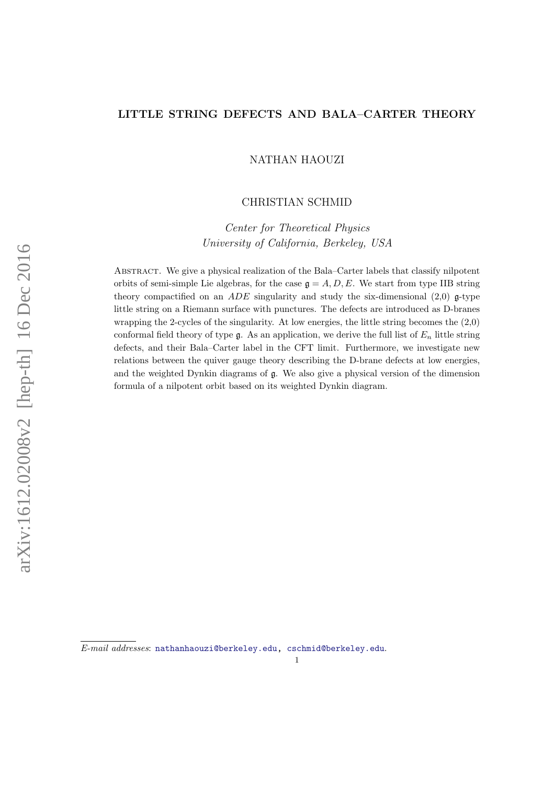# LITTLE STRING DEFECTS AND BALA–CARTER THEORY

NATHAN HAOUZI

# CHRISTIAN SCHMID

Center for Theoretical Physics University of California, Berkeley, USA

Abstract. We give a physical realization of the Bala–Carter labels that classify nilpotent orbits of semi-simple Lie algebras, for the case  $\mathfrak{g} = A, D, E$ . We start from type IIB string theory compactified on an ADE singularity and study the six-dimensional  $(2,0)$  g-type little string on a Riemann surface with punctures. The defects are introduced as D-branes wrapping the 2-cycles of the singularity. At low energies, the little string becomes the (2,0) conformal field theory of type  $\mathfrak{g}$ . As an application, we derive the full list of  $E_n$  little string defects, and their Bala–Carter label in the CFT limit. Furthermore, we investigate new relations between the quiver gauge theory describing the D-brane defects at low energies, and the weighted Dynkin diagrams of g. We also give a physical version of the dimension formula of a nilpotent orbit based on its weighted Dynkin diagram.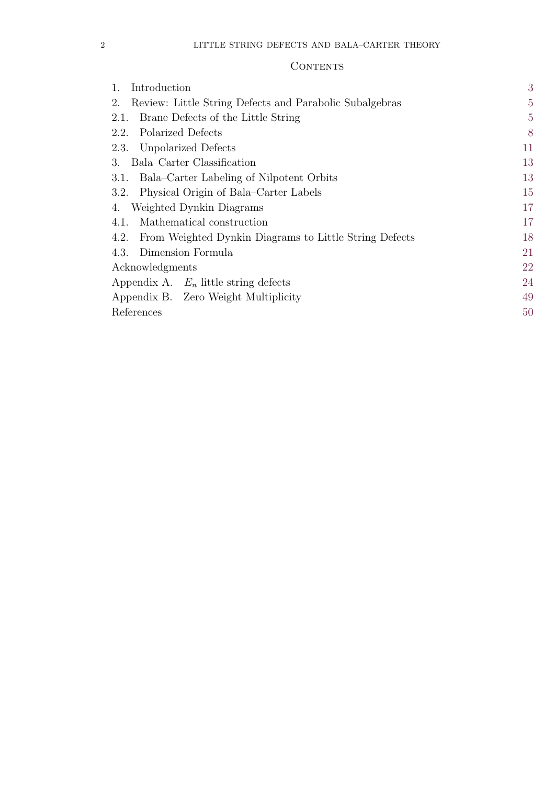# **CONTENTS**

| 3              |
|----------------|
| $\overline{5}$ |
| $\overline{5}$ |
| 8              |
| 11             |
| 13             |
| 13             |
| 15             |
| 17             |
| 17             |
| 18             |
| 21             |
| 22             |
| 24             |
| 49             |
| 50             |
|                |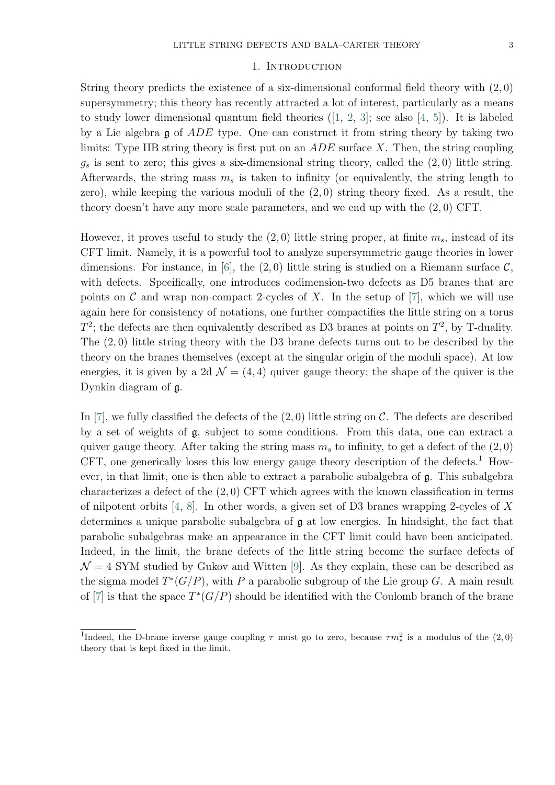#### 1. INTRODUCTION

<span id="page-2-0"></span>String theory predicts the existence of a six-dimensional conformal field theory with (2, 0) supersymmetry; this theory has recently attracted a lot of interest, particularly as a means to study lower dimensional quantum field theories([\[1,](#page-49-1) [2,](#page-49-2) [3\]](#page-49-3); see also [\[4,](#page-49-4) [5\]](#page-49-5)). It is labeled by a Lie algebra g of ADE type. One can construct it from string theory by taking two limits: Type IIB string theory is first put on an  $ADE$  surface X. Then, the string coupling  $g_s$  is sent to zero; this gives a six-dimensional string theory, called the  $(2,0)$  little string. Afterwards, the string mass  $m_s$  is taken to infinity (or equivalently, the string length to zero), while keeping the various moduli of the  $(2,0)$  string theory fixed. As a result, the theory doesn't have any more scale parameters, and we end up with the  $(2, 0)$  CFT.

However, it proves useful to study the  $(2,0)$  little string proper, at finite  $m_s$ , instead of its CFT limit. Namely, it is a powerful tool to analyze supersymmetric gauge theories in lower dimensions. For instance, in [\[6\]](#page-49-6), the  $(2,0)$  little string is studied on a Riemann surface  $\mathcal{C}$ , with defects. Specifically, one introduces codimension-two defects as D5 branes that are points on  $\mathcal C$  and wrap non-compact 2-cycles of X. In the setup of [\[7\]](#page-49-7), which we will use again here for consistency of notations, one further compactifies the little string on a torus  $T^2$ ; the defects are then equivalently described as D3 branes at points on  $T^2$ , by T-duality. The  $(2,0)$  little string theory with the D3 brane defects turns out to be described by the theory on the branes themselves (except at the singular origin of the moduli space). At low energies, it is given by a 2d  $\mathcal{N} = (4, 4)$  quiver gauge theory; the shape of the quiver is the Dynkin diagram of g.

In [\[7\]](#page-49-7), we fully classified the defects of the  $(2,0)$  little string on C. The defects are described by a set of weights of g, subject to some conditions. From this data, one can extract a quiver gauge theory. After taking the string mass  $m_s$  to infinity, to get a defect of the  $(2, 0)$ CFT, one generically loses this low energy gauge theory description of the defects.<sup>1</sup> However, in that limit, one is then able to extract a parabolic subalgebra of  $\mathfrak{g}$ . This subalgebra characterizes a defect of the (2, 0) CFT which agrees with the known classification in terms of nilpotent orbits [\[4,](#page-49-4) [8\]](#page-49-8). In other words, a given set of D3 branes wrapping 2-cycles of X determines a unique parabolic subalgebra of g at low energies. In hindsight, the fact that parabolic subalgebras make an appearance in the CFT limit could have been anticipated. Indeed, in the limit, the brane defects of the little string become the surface defects of  $\mathcal{N} = 4$  SYM studied by Gukov and Witten [\[9\]](#page-49-9). As they explain, these can be described as the sigma model  $T^*(G/P)$ , with P a parabolic subgroup of the Lie group G. A main result of [\[7\]](#page-49-7) is that the space  $T^*(G/P)$  should be identified with the Coulomb branch of the brane

<sup>&</sup>lt;sup>1</sup>Indeed, the D-brane inverse gauge coupling  $\tau$  must go to zero, because  $\tau m_s^2$  is a modulus of the  $(2,0)$ theory that is kept fixed in the limit.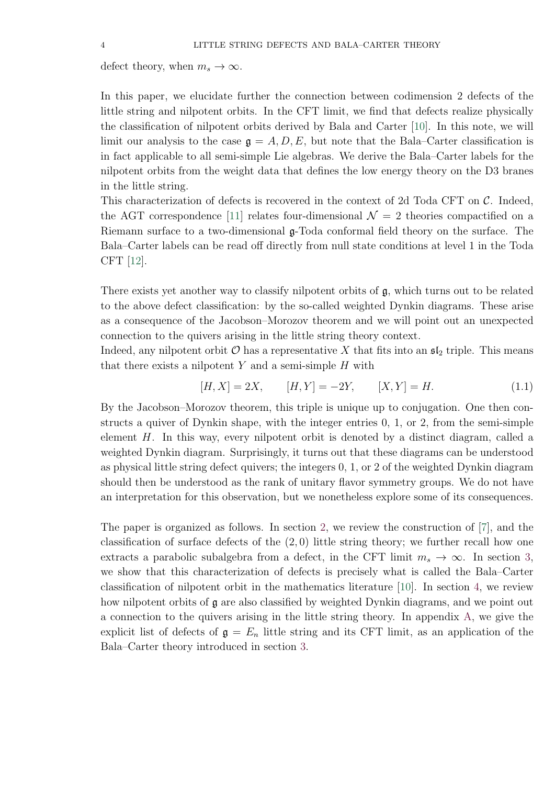defect theory, when  $m_s \to \infty$ .

In this paper, we elucidate further the connection between codimension 2 defects of the little string and nilpotent orbits. In the CFT limit, we find that defects realize physically the classification of nilpotent orbits derived by Bala and Carter [\[10\]](#page-49-10). In this note, we will limit our analysis to the case  $\mathfrak{g} = A, D, E$ , but note that the Bala–Carter classification is in fact applicable to all semi-simple Lie algebras. We derive the Bala–Carter labels for the nilpotent orbits from the weight data that defines the low energy theory on the D3 branes in the little string.

This characterization of defects is recovered in the context of 2d Toda CFT on  $\mathcal{C}$ . Indeed, the AGT correspondence [\[11\]](#page-49-11) relates four-dimensional  $\mathcal{N}=2$  theories compactified on a Riemann surface to a two-dimensional  $\mathfrak{g}$ -Toda conformal field theory on the surface. The Bala–Carter labels can be read off directly from null state conditions at level 1 in the Toda CFT [\[12\]](#page-49-12).

There exists yet another way to classify nilpotent orbits of g, which turns out to be related to the above defect classification: by the so-called weighted Dynkin diagrams. These arise as a consequence of the Jacobson–Morozov theorem and we will point out an unexpected connection to the quivers arising in the little string theory context.

Indeed, any nilpotent orbit  $\mathcal O$  has a representative X that fits into an  $\mathfrak{sl}_2$  triple. This means that there exists a nilpotent  $Y$  and a semi-simple  $H$  with

$$
[H, X] = 2X, \t [H, Y] = -2Y, \t [X, Y] = H. \t (1.1)
$$

By the Jacobson–Morozov theorem, this triple is unique up to conjugation. One then constructs a quiver of Dynkin shape, with the integer entries 0, 1, or 2, from the semi-simple element H. In this way, every nilpotent orbit is denoted by a distinct diagram, called a weighted Dynkin diagram. Surprisingly, it turns out that these diagrams can be understood as physical little string defect quivers; the integers 0, 1, or 2 of the weighted Dynkin diagram should then be understood as the rank of unitary flavor symmetry groups. We do not have an interpretation for this observation, but we nonetheless explore some of its consequences.

The paper is organized as follows. In section [2,](#page-4-0) we review the construction of [\[7\]](#page-49-7), and the classification of surface defects of the  $(2,0)$  little string theory; we further recall how one extracts a parabolic subalgebra from a defect, in the CFT limit  $m_s \to \infty$ . In section [3,](#page-12-0) we show that this characterization of defects is precisely what is called the Bala–Carter classification of nilpotent orbit in the mathematics literature [\[10\]](#page-49-10). In section [4,](#page-16-0) we review how nilpotent orbits of  $\mathfrak g$  are also classified by weighted Dynkin diagrams, and we point out a connection to the quivers arising in the little string theory. In appendix [A,](#page-23-0) we give the explicit list of defects of  $g = E_n$  little string and its CFT limit, as an application of the Bala–Carter theory introduced in section [3.](#page-12-0)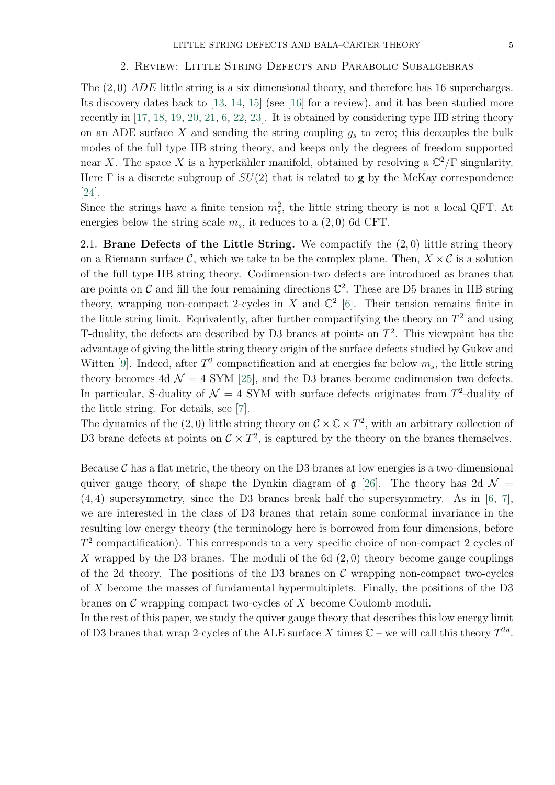#### <span id="page-4-2"></span>2. Review: Little String Defects and Parabolic Subalgebras

<span id="page-4-0"></span>The (2, 0) ADE little string is a six dimensional theory, and therefore has 16 supercharges. Its discovery dates back to [\[13,](#page-49-13) [14,](#page-49-14) [15\]](#page-49-15) (see [\[16\]](#page-49-16) for a review), and it has been studied more recently in [\[17,](#page-49-17) [18,](#page-50-0) [19,](#page-50-1) [20,](#page-50-2) [21,](#page-50-3) [6,](#page-49-6) [22,](#page-50-4) [23\]](#page-50-5). It is obtained by considering type IIB string theory on an ADE surface X and sending the string coupling  $g_s$  to zero; this decouples the bulk modes of the full type IIB string theory, and keeps only the degrees of freedom supported near X. The space X is a hyperkähler manifold, obtained by resolving a  $\mathbb{C}^2/\Gamma$  singularity. Here  $\Gamma$  is a discrete subgroup of  $SU(2)$  that is related to g by the McKay correspondence [\[24\]](#page-50-6).

Since the strings have a finite tension  $m_s^2$ , the little string theory is not a local QFT. At energies below the string scale  $m_s$ , it reduces to a  $(2,0)$  6d CFT.

<span id="page-4-1"></span>2.1. Brane Defects of the Little String. We compactify the  $(2,0)$  little string theory on a Riemann surface C, which we take to be the complex plane. Then,  $X \times C$  is a solution of the full type IIB string theory. Codimension-two defects are introduced as branes that are points on  $\mathcal C$  and fill the four remaining directions  $\mathbb C^2$ . These are D5 branes in IIB string theory, wrapping non-compact 2-cycles in X and  $\mathbb{C}^2$  [\[6\]](#page-49-6). Their tension remains finite in the little string limit. Equivalently, after further compactifying the theory on  $T^2$  and using T-duality, the defects are described by D3 branes at points on  $T<sup>2</sup>$ . This viewpoint has the advantage of giving the little string theory origin of the surface defects studied by Gukov and Witten [\[9\]](#page-49-9). Indeed, after  $T^2$  compactification and at energies far below  $m_s$ , the little string theory becomes 4d  $\mathcal{N} = 4$  SYM [\[25\]](#page-50-7), and the D3 branes become codimension two defects. In particular, S-duality of  $\mathcal{N} = 4$  SYM with surface defects originates from  $T^2$ -duality of the little string. For details, see [\[7\]](#page-49-7).

The dynamics of the (2,0) little string theory on  $\mathcal{C} \times \mathbb{C} \times T^2$ , with an arbitrary collection of D3 brane defects at points on  $C \times T^2$ , is captured by the theory on the branes themselves.

Because  $\mathcal C$  has a flat metric, the theory on the D3 branes at low energies is a two-dimensional quiver gauge theory, of shape the Dynkin diagram of  $\mathfrak{g}$  [\[26\]](#page-50-8). The theory has 2d  $\mathcal{N} =$  $(4, 4)$  supersymmetry, since the D3 branes break half the supersymmetry. As in [\[6,](#page-49-6) [7\]](#page-49-7), we are interested in the class of D3 branes that retain some conformal invariance in the resulting low energy theory (the terminology here is borrowed from four dimensions, before  $T<sup>2</sup>$  compactification). This corresponds to a very specific choice of non-compact 2 cycles of X wrapped by the D3 branes. The moduli of the 6d  $(2,0)$  theory become gauge couplings of the 2d theory. The positions of the D3 branes on  $\mathcal C$  wrapping non-compact two-cycles of X become the masses of fundamental hypermultiplets. Finally, the positions of the D3 branes on  $\mathcal C$  wrapping compact two-cycles of  $X$  become Coulomb moduli.

In the rest of this paper, we study the quiver gauge theory that describes this low energy limit of D3 branes that wrap 2-cycles of the ALE surface X times  $\mathbb{C}$  – we will call this theory  $T^{2d}$ .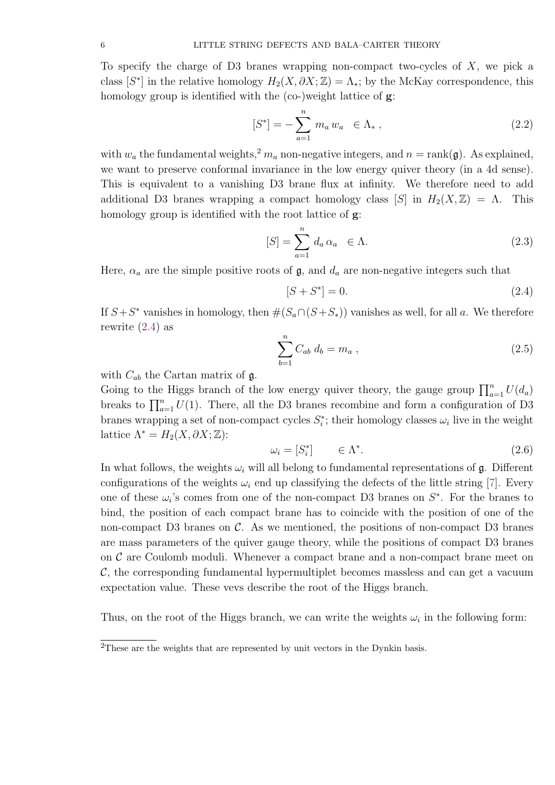To specify the charge of D3 branes wrapping non-compact two-cycles of  $X$ , we pick a class  $[S^*]$  in the relative homology  $H_2(X, \partial X; \mathbb{Z}) = \Lambda_*$ ; by the McKay correspondence, this homology group is identified with the (co-)weight lattice of **g**:

$$
[S^*] = -\sum_{a=1}^n m_a w_a \in \Lambda_*, \qquad (2.2)
$$

with  $w_a$  the fundamental weights,<sup>2</sup>  $m_a$  non-negative integers, and  $n = \text{rank}(\mathfrak{g})$ . As explained, we want to preserve conformal invariance in the low energy quiver theory (in a 4d sense). This is equivalent to a vanishing D3 brane flux at infinity. We therefore need to add additional D3 branes wrapping a compact homology class  $[S]$  in  $H_2(X,\mathbb{Z}) = \Lambda$ . This homology group is identified with the root lattice of **g**:

$$
[S] = \sum_{a=1}^{n} d_a \alpha_a \in \Lambda.
$$
 (2.3)

Here,  $\alpha_a$  are the simple positive roots of  $\mathfrak{g}$ , and  $d_a$  are non-negative integers such that

<span id="page-5-0"></span>
$$
[S + S^*] = 0.
$$
 (2.4)

If  $S + S^*$  vanishes in homology, then  $\#(S_a \cap (S + S_*))$  vanishes as well, for all a. We therefore rewrite [\(2.4\)](#page-5-0) as

<span id="page-5-1"></span>
$$
\sum_{b=1}^{n} C_{ab} d_b = m_a , \qquad (2.5)
$$

with  $C_{ab}$  the Cartan matrix of  $\mathfrak{g}$ .

Going to the Higgs branch of the low energy quiver theory, the gauge group  $\prod_{a=1}^{n} U(d_a)$ breaks to  $\prod_{a=1}^{n} U(1)$ . There, all the D3 branes recombine and form a configuration of D3 branes wrapping a set of non-compact cycles  $S_i^*$ ; their homology classes  $\omega_i$  live in the weight lattice  $\Lambda^* = H_2(X, \partial X; \mathbb{Z})$ :

$$
\omega_i = [S_i^*] \qquad \in \Lambda^*.
$$
\n
$$
(2.6)
$$

In what follows, the weights  $\omega_i$  will all belong to fundamental representations of g. Different configurations of the weights  $\omega_i$  end up classifying the defects of the little string [\[7\]](#page-49-7). Every one of these  $\omega_i$ 's comes from one of the non-compact D3 branes on  $S^*$ . For the branes to bind, the position of each compact brane has to coincide with the position of one of the non-compact D3 branes on  $\mathcal{C}$ . As we mentioned, the positions of non-compact D3 branes are mass parameters of the quiver gauge theory, while the positions of compact D3 branes on  $\mathcal C$  are Coulomb moduli. Whenever a compact brane and a non-compact brane meet on  $\mathcal{C}$ , the corresponding fundamental hypermultiplet becomes massless and can get a vacuum expectation value. These vevs describe the root of the Higgs branch.

Thus, on the root of the Higgs branch, we can write the weights  $\omega_i$  in the following form:

<sup>&</sup>lt;sup>2</sup>These are the weights that are represented by unit vectors in the Dynkin basis.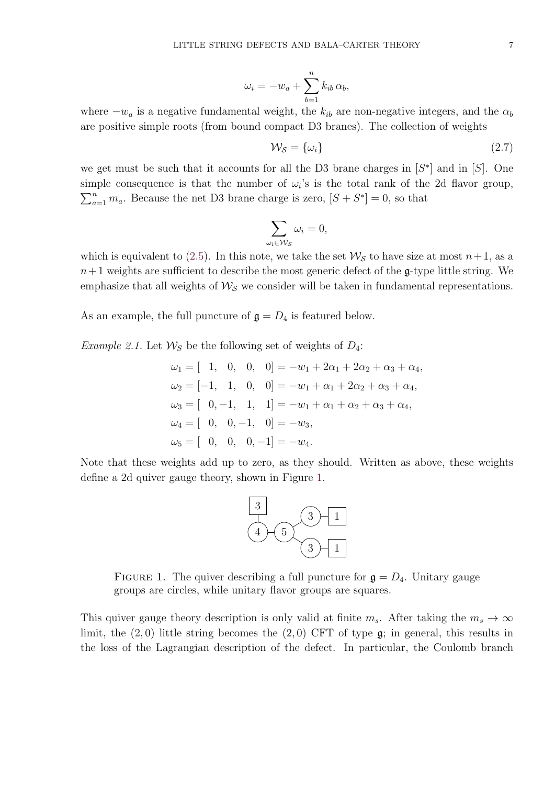$$
\omega_i = -w_a + \sum_{b=1}^n k_{ib} \,\alpha_b,
$$

where  $-w_a$  is a negative fundamental weight, the  $k_{ib}$  are non-negative integers, and the  $\alpha_b$ are positive simple roots (from bound compact D3 branes). The collection of weights

$$
\mathcal{W}_{\mathcal{S}} = \{\omega_i\} \tag{2.7}
$$

we get must be such that it accounts for all the D3 brane charges in  $[S^*]$  and in  $[S]$ . One simple consequence is that the number of  $\omega_i$ 's is the total rank of the 2d flavor group,  $\sum_{a=1}^{n} m_a$ . Because the net D3 brane charge is zero,  $[S + S^*] = 0$ , so that

$$
\sum_{\omega_i \in \mathcal{W}_{\mathcal{S}}} \omega_i = 0,
$$

which is equivalent to [\(2.5\)](#page-5-1). In this note, we take the set  $\mathcal{W}_{\mathcal{S}}$  to have size at most  $n+1$ , as a  $n+1$  weights are sufficient to describe the most generic defect of the g-type little string. We emphasize that all weights of  $\mathcal{W}_{\mathcal{S}}$  we consider will be taken in fundamental representations.

As an example, the full puncture of  $\mathfrak{g} = D_4$  is featured below.

<span id="page-6-1"></span>*Example 2.1.* Let  $\mathcal{W}_S$  be the following set of weights of  $D_4$ :

$$
\omega_1 = [ 1, 0, 0, 0] = -w_1 + 2\alpha_1 + 2\alpha_2 + \alpha_3 + \alpha_4,
$$
  
\n
$$
\omega_2 = [-1, 1, 0, 0] = -w_1 + \alpha_1 + 2\alpha_2 + \alpha_3 + \alpha_4,
$$
  
\n
$$
\omega_3 = [ 0, -1, 1, 1] = -w_1 + \alpha_1 + \alpha_2 + \alpha_3 + \alpha_4,
$$
  
\n
$$
\omega_4 = [ 0, 0, -1, 0] = -w_3,
$$
  
\n
$$
\omega_5 = [ 0, 0, 0, -1] = -w_4.
$$

<span id="page-6-0"></span>Note that these weights add up to zero, as they should. Written as above, these weights define a 2d quiver gauge theory, shown in Figure [1.](#page-6-0)



FIGURE 1. The quiver describing a full puncture for  $\mathfrak{g} = D_4$ . Unitary gauge groups are circles, while unitary flavor groups are squares.

This quiver gauge theory description is only valid at finite  $m_s$ . After taking the  $m_s \to \infty$ limit, the  $(2,0)$  little string becomes the  $(2,0)$  CFT of type  $\mathfrak{g}$ ; in general, this results in the loss of the Lagrangian description of the defect. In particular, the Coulomb branch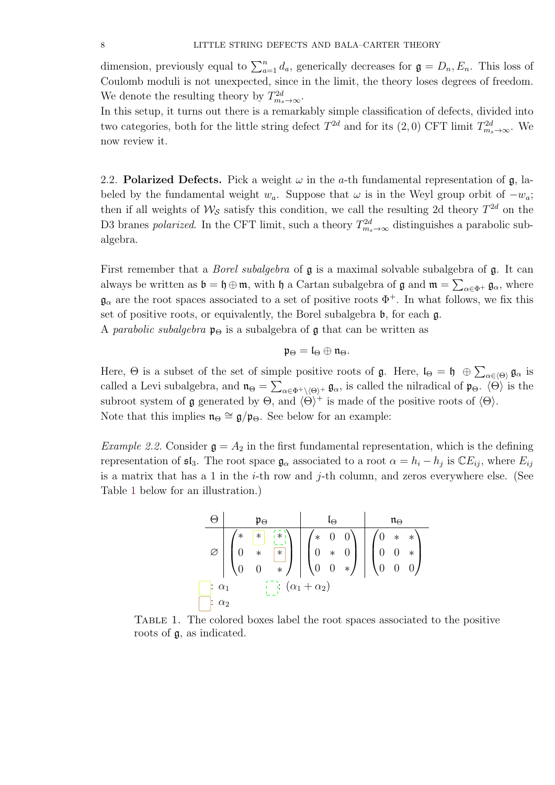dimension, previously equal to  $\sum_{a=1}^{n} d_a$ , generically decreases for  $\mathfrak{g} = D_n, E_n$ . This loss of Coulomb moduli is not unexpected, since in the limit, the theory loses degrees of freedom. We denote the resulting theory by  $T^{2d}_{m_s \to \infty}$ .

In this setup, it turns out there is a remarkably simple classification of defects, divided into two categories, both for the little string defect  $T^{2d}$  and for its  $(2,0)$  CFT limit  $T^{2d}_{m_s \to \infty}$ . We now review it.

<span id="page-7-0"></span>2.2. Polarized Defects. Pick a weight  $\omega$  in the a-th fundamental representation of g, labeled by the fundamental weight  $w_a$ . Suppose that  $\omega$  is in the Weyl group orbit of  $-w_a$ ; then if all weights of  $\mathcal{W}_{\mathcal{S}}$  satisfy this condition, we call the resulting 2d theory  $T^{2d}$  on the D3 branes *polarized*. In the CFT limit, such a theory  $T_{m_s \to \infty}^{2d}$  distinguishes a parabolic subalgebra.

First remember that a *Borel subalgebra* of  $\mathfrak g$  is a maximal solvable subalgebra of  $\mathfrak g$ . It can always be written as  $\mathfrak{b} = \mathfrak{h} \oplus \mathfrak{m}$ , with  $\mathfrak{h}$  a Cartan subalgebra of  $\mathfrak{g}$  and  $\mathfrak{m} = \sum_{\alpha \in \Phi^+} \mathfrak{g}_{\alpha}$ , where  $\mathfrak{g}_{\alpha}$  are the root spaces associated to a set of positive roots  $\Phi^+$ . In what follows, we fix this set of positive roots, or equivalently, the Borel subalgebra  $\mathfrak b$ , for each  $\mathfrak g$ .

A parabolic subalgebra  $\mathfrak{p}_{\Theta}$  is a subalgebra of  $\mathfrak g$  that can be written as

$$
\mathfrak{p}_{\Theta}=\mathfrak{l}_{\Theta}\oplus\mathfrak{n}_{\Theta}.
$$

Here,  $\Theta$  is a subset of the set of simple positive roots of  $\mathfrak{g}$ . Here,  $\mathfrak{l}_{\Theta} = \mathfrak{h} \oplus \sum_{\alpha \in \langle \Theta \rangle} \mathfrak{g}_{\alpha}$  is called a Levi subalgebra, and  $\mathfrak{n}_{\Theta} = \sum_{\alpha \in \Phi^+ \setminus \langle \Theta \rangle^+} \mathfrak{g}_{\alpha}$ , is called the nilradical of  $\mathfrak{p}_{\Theta}$ .  $\langle \Theta \rangle$  is the subroot system of **g** generated by  $\Theta$ , and  $\langle \Theta \rangle^+$  is made of the positive roots of  $\langle \Theta \rangle$ . Note that this implies  $\mathfrak{n}_{\Theta} \cong \mathfrak{g}/\mathfrak{p}_{\Theta}$ . See below for an example:

<span id="page-7-1"></span>*Example 2.2.* Consider  $\mathfrak{g} = A_2$  in the first fundamental representation, which is the defining representation of  $\mathfrak{sl}_3$ . The root space  $\mathfrak{g}_{\alpha}$  associated to a root  $\alpha = h_i - h_j$  is  $\mathbb{C}E_{ij}$ , where  $E_{ij}$ is a matrix that has a 1 in the  $i$ -th row and  $j$ -th column, and zeros everywhere else. (See Table [1](#page-7-1) below for an illustration.)

$$
\begin{array}{c|c|c|c|c} \Theta & \mathfrak{p}_{\Theta} & \mathfrak{l}_{\Theta} & \mathfrak{n}_{\Theta} \\ \hline \varnothing & \uparrow & \mathfrak{p}_{\Theta} & \mathfrak{p}_{\Theta} \\ \varnothing & \mathfrak{p}_{\Theta} & \mathfrak{p}_{\Theta} & \mathfrak{p}_{\Theta} \\ \hline \mathfrak{p}_{\Theta} & \mathfrak{p}_{\Theta} & \mathfrak{p}_{\Theta} & \mathfrak{p}_{\Theta} \\ \mathfrak{p}_{\Theta} & \mathfrak{p}_{\Theta} & \mathfrak{p}_{\Theta} & \mathfrak{p}_{\Theta} \\ \hline \mathfrak{p}_{\Theta} & \mathfrak{p}_{\Theta} & \mathfrak{p}_{\Theta} & \mathfrak{p}_{\Theta} \\ \hline \mathfrak{p}_{\Theta} & \mathfrak{p}_{\Theta} & \mathfrak{p}_{\Theta} & \mathfrak{p}_{\Theta} \\ \hline \mathfrak{p}_{\Theta} & \mathfrak{p}_{\Theta} & \mathfrak{p}_{\Theta} & \mathfrak{p}_{\Theta} \\ \hline \mathfrak{p}_{\Theta} & \mathfrak{p}_{\Theta} & \mathfrak{p}_{\Theta} & \mathfrak{p}_{\Theta} & \mathfrak{p}_{\Theta} \\ \hline \mathfrak{p}_{\Theta} & \mathfrak{p}_{\Theta} & \mathfrak{p}_{\Theta} & \mathfrak{p}_{\Theta} & \mathfrak{p}_{\Theta} \\ \hline \mathfrak{p}_{\Theta} & \mathfrak{p}_{\Theta} & \mathfrak{p}_{\Theta} & \mathfrak{p}_{\Theta} & \mathfrak{p}_{\Theta} & \mathfrak{p}_{\Theta} \\ \hline \mathfrak{p}_{\Theta} & \mathfrak{p}_{\Theta} & \mathfrak{p}_{\Theta} & \mathfrak{p}_{\Theta} & \mathfrak{p}_{\Theta} & \mathfrak{p}_{\Theta} \\ \hline \mathfrak{p}_{\Theta} & \mathfrak{p}_{\Theta} & \mathfrak{p}_{\Theta} & \mathfrak{p}_{\Theta} & \mathfrak{p}_{\Theta} & \mathfrak{p}_{\Theta} \\ \hline \end{array}
$$

Table 1. The colored boxes label the root spaces associated to the positive roots of g, as indicated.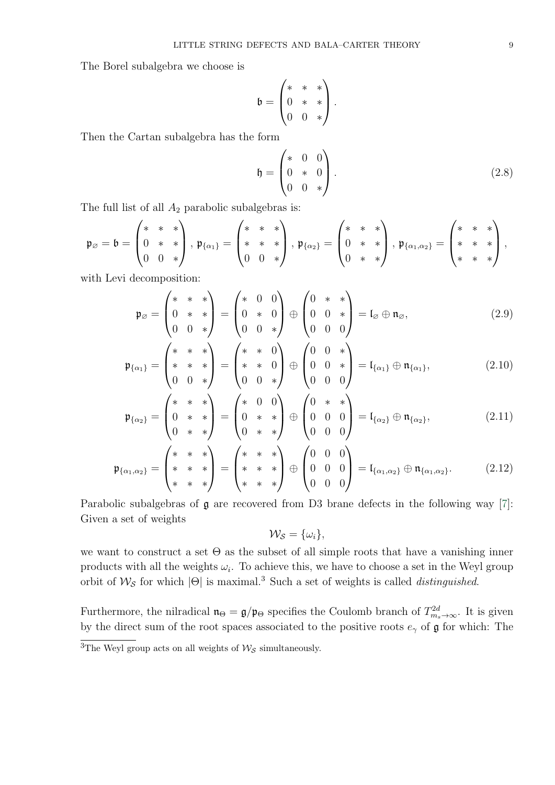The Borel subalgebra we choose is

$$
\mathfrak{b} = \begin{pmatrix} * & * & * \\ 0 & * & * \\ 0 & 0 & * \end{pmatrix}.
$$

Then the Cartan subalgebra has the form

$$
\mathfrak{h} = \begin{pmatrix} * & 0 & 0 \\ 0 & * & 0 \\ 0 & 0 & * \end{pmatrix} . \tag{2.8}
$$

The full list of all  $A_2$  parabolic subalgebras is:

$$
\mathfrak{p}_{\varnothing}=\mathfrak{b}=\begin{pmatrix} *&*&*\\0&*&*\\0&0&*\end{pmatrix},\,\mathfrak{p}_{\{\alpha_{1}\}}=\begin{pmatrix}*&*&*\\ *&*&*\\0&0&*\end{pmatrix},\,\mathfrak{p}_{\{\alpha_{2}\}}=\begin{pmatrix}*&*&*\\0&*&*\\0&*&*\end{pmatrix},\,\mathfrak{p}_{\{\alpha_{1},\alpha_{2}\}}=\begin{pmatrix}*&*&*\\ *&*&*\\ *&*&*\end{pmatrix},
$$

with Levi decomposition:

$$
\mathfrak{p}_{\varnothing} = \begin{pmatrix} * & * & * \\ 0 & * & * \\ 0 & 0 & * \end{pmatrix} = \begin{pmatrix} * & 0 & 0 \\ 0 & * & 0 \\ 0 & 0 & * \end{pmatrix} \oplus \begin{pmatrix} 0 & * & * \\ 0 & 0 & * \\ 0 & 0 & 0 \end{pmatrix} = \mathfrak{l}_{\varnothing} \oplus \mathfrak{n}_{\varnothing}, \tag{2.9}
$$

$$
\mathfrak{p}_{\{\alpha_1\}} = \begin{pmatrix} * & * & * \\ * & * & * \\ 0 & 0 & * \end{pmatrix} = \begin{pmatrix} * & * & 0 \\ * & * & 0 \\ 0 & 0 & * \end{pmatrix} \oplus \begin{pmatrix} 0 & 0 & * \\ 0 & 0 & * \\ 0 & 0 & 0 \end{pmatrix} = \mathfrak{l}_{\{\alpha_1\}} \oplus \mathfrak{n}_{\{\alpha_1\}},\tag{2.10}
$$

$$
\mathfrak{p}_{\{\alpha_2\}} = \begin{pmatrix} * & * & * \\ 0 & * & * \\ 0 & * & * \end{pmatrix} = \begin{pmatrix} * & 0 & 0 \\ 0 & * & * \\ 0 & * & * \end{pmatrix} \oplus \begin{pmatrix} 0 & * & * \\ 0 & 0 & 0 \\ 0 & 0 & 0 \end{pmatrix} = \mathfrak{l}_{\{\alpha_2\}} \oplus \mathfrak{n}_{\{\alpha_2\}}, \tag{2.11}
$$

$$
\mathfrak{p}_{\{\alpha_1,\alpha_2\}} = \begin{pmatrix} * & * & * \\ * & * & * \\ * & * & * \end{pmatrix} = \begin{pmatrix} * & * & * \\ * & * & * \\ * & * & * \end{pmatrix} \oplus \begin{pmatrix} 0 & 0 & 0 \\ 0 & 0 & 0 \\ 0 & 0 & 0 \end{pmatrix} = \mathfrak{l}_{\{\alpha_1,\alpha_2\}} \oplus \mathfrak{n}_{\{\alpha_1,\alpha_2\}}.
$$
 (2.12)

Parabolic subalgebras of  $\mathfrak g$  are recovered from D3 brane defects in the following way [\[7\]](#page-49-7): Given a set of weights

$$
\mathcal{W}_{\mathcal{S}} = \{\omega_i\},\
$$

we want to construct a set  $\Theta$  as the subset of all simple roots that have a vanishing inner products with all the weights  $\omega_i$ . To achieve this, we have to choose a set in the Weyl group orbit of  $\mathcal{W}_{\mathcal{S}}$  for which  $|\Theta|$  is maximal.<sup>3</sup> Such a set of weights is called *distinguished*.

Furthermore, the nilradical  $\mathfrak{n}_{\Theta} = \mathfrak{g}/\mathfrak{p}_{\Theta}$  specifies the Coulomb branch of  $T_{m_s \to \infty}^{2d}$ . It is given by the direct sum of the root spaces associated to the positive roots  $e_\gamma$  of g for which: The

<sup>&</sup>lt;sup>3</sup>The Weyl group acts on all weights of  $\mathcal{W}_{\mathcal{S}}$  simultaneously.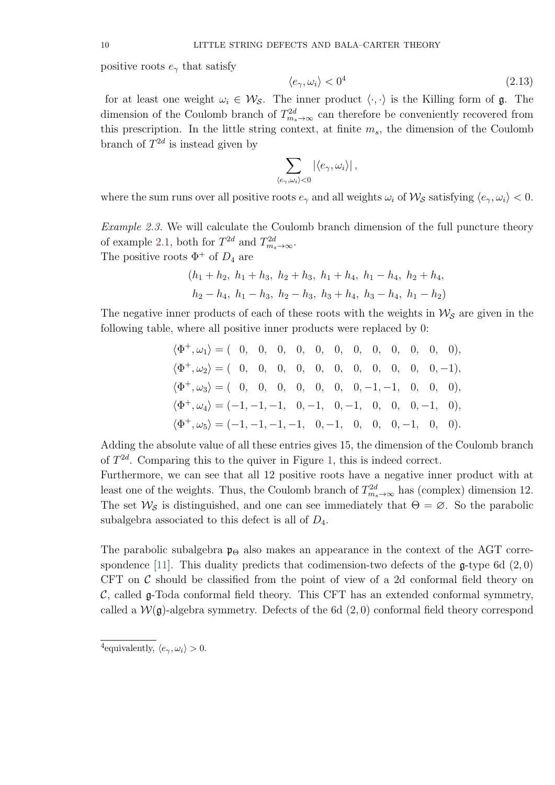positive roots  $e_{\gamma}$  that satisfy

$$
\langle e_{\gamma}, \omega_i \rangle < 0^4 \tag{2.13}
$$

for at least one weight  $\omega_i \in \mathcal{W}_{\mathcal{S}}$ . The inner product  $\langle \cdot, \cdot \rangle$  is the Killing form of g. The dimension of the Coulomb branch of  $T_{m_s \to \infty}^{2d}$  can therefore be conveniently recovered from this prescription. In the little string context, at finite  $m_s$ , the dimension of the Coulomb branch of  $T^{2d}$  is instead given by

$$
\sum_{\langle e_\gamma,\omega_i\rangle<0}|\langle e_\gamma,\omega_i\rangle|,
$$

where the sum runs over all positive roots  $e_\gamma$  and all weights  $\omega_i$  of  $\mathcal{W}_{\mathcal{S}}$  satisfying  $\langle e_\gamma, \omega_i \rangle < 0$ .

Example 2.3. We will calculate the Coulomb branch dimension of the full puncture theory of example [2.1,](#page-6-1) both for  $T^{2d}$  and  $T^{2d}_{m_s \to \infty}$ . The positive roots  $\Phi^+$  of  $D_4$  are

$$
(h_1 + h_2, h_1 + h_3, h_2 + h_3, h_1 + h_4, h_1 - h_4, h_2 + h_4,
$$
  
 $h_2 - h_4, h_1 - h_3, h_2 - h_3, h_3 + h_4, h_3 - h_4, h_1 - h_2)$ 

The negative inner products of each of these roots with the weights in  $\mathcal{W}_{\mathcal{S}}$  are given in the following table, where all positive inner products were replaced by 0:

$$
\langle \Phi^+, \omega_1 \rangle = (0, 0, 0, 0, 0, 0, 0, 0, 0, 0, 0, 0, 0),
$$
  
\n
$$
\langle \Phi^+, \omega_2 \rangle = (0, 0, 0, 0, 0, 0, 0, 0, 0, 0, 0, -1),
$$
  
\n
$$
\langle \Phi^+, \omega_3 \rangle = (0, 0, 0, 0, 0, 0, 0, -1, -1, 0, 0, 0),
$$
  
\n
$$
\langle \Phi^+, \omega_4 \rangle = (-1, -1, -1, 0, -1, 0, -1, 0, 0, 0, -1, 0),
$$
  
\n
$$
\langle \Phi^+, \omega_5 \rangle = (-1, -1, -1, -1, 0, -1, 0, 0, -1, 0, 0).
$$

Adding the absolute value of all these entries gives 15, the dimension of the Coulomb branch of  $T^{2d}$ . Comparing this to the quiver in Figure [1,](#page-6-0) this is indeed correct.

Furthermore, we can see that all 12 positive roots have a negative inner product with at least one of the weights. Thus, the Coulomb branch of  $T_{m_s \to \infty}^{2d}$  has (complex) dimension 12. The set  $\mathcal{W}_{\mathcal{S}}$  is distinguished, and one can see immediately that  $\Theta = \emptyset$ . So the parabolic subalgebra associated to this defect is all of  $D_4$ .

The parabolic subalgebra  $\mathfrak{p}_{\Theta}$  also makes an appearance in the context of the AGT corre-spondence [\[11\]](#page-49-11). This duality predicts that codimension-two defects of the  $\mathfrak{g}\text{-type}$  6d (2,0) CFT on  $\mathcal C$  should be classified from the point of view of a 2d conformal field theory on  $\mathcal{C}$ , called  $\mathfrak{g}\text{-}\text{Toda}$  conformal field theory. This CFT has an extended conformal symmetry, called a  $W(\mathfrak{g})$ -algebra symmetry. Defects of the 6d  $(2,0)$  conformal field theory correspond

<sup>&</sup>lt;sup>4</sup>equivalently,  $\langle e_{\gamma}, \omega_i \rangle > 0$ .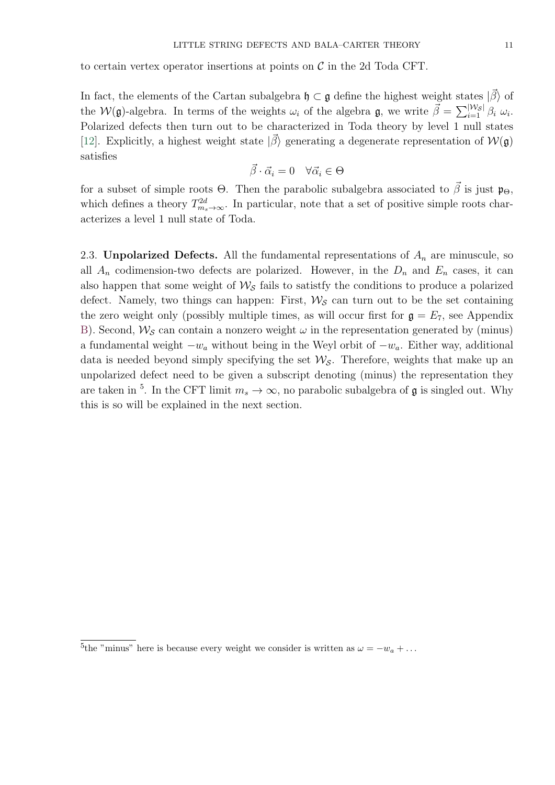to certain vertex operator insertions at points on  $\mathcal C$  in the 2d Toda CFT.

In fact, the elements of the Cartan subalgebra  $\mathfrak{h} \subset \mathfrak{g}$  define the highest weight states  $|\vec{\beta}\rangle$  of the  $W(\mathfrak{g})$ -algebra. In terms of the weights  $\omega_i$  of the algebra  $\mathfrak{g}$ , we write  $\vec{\beta} = \sum_{i=1}^{\vert W_S \vert} \beta_i \omega_i$ . Polarized defects then turn out to be characterized in Toda theory by level 1 null states [\[12\]](#page-49-12). Explicitly, a highest weight state  $|\vec{\beta}\rangle$  generating a degenerate representation of  $W(\mathfrak{g})$ satisfies

$$
\vec{\beta} \cdot \vec{\alpha}_i = 0 \quad \forall \vec{\alpha}_i \in \Theta
$$

for a subset of simple roots  $\Theta$ . Then the parabolic subalgebra associated to  $\beta$  is just  $\mathfrak{p}_{\Theta}$ , which defines a theory  $T_{m_s \to \infty}^{2d}$ . In particular, note that a set of positive simple roots characterizes a level 1 null state of Toda.

<span id="page-10-0"></span>2.3. Unpolarized Defects. All the fundamental representations of  $A_n$  are minuscule, so all  $A_n$  codimension-two defects are polarized. However, in the  $D_n$  and  $E_n$  cases, it can also happen that some weight of  $\mathcal{W}_{\mathcal{S}}$  fails to satistfy the conditions to produce a polarized defect. Namely, two things can happen: First,  $\mathcal{W}_{\mathcal{S}}$  can turn out to be the set containing the zero weight only (possibly multiple times, as will occur first for  $g = E_7$ , see Appendix [B\)](#page-48-0). Second,  $\mathcal{W}_{\mathcal{S}}$  can contain a nonzero weight  $\omega$  in the representation generated by (minus) a fundamental weight  $-w_a$  without being in the Weyl orbit of  $-w_a$ . Either way, additional data is needed beyond simply specifying the set  $\mathcal{W}_{\mathcal{S}}$ . Therefore, weights that make up an unpolarized defect need to be given a subscript denoting (minus) the representation they are taken in <sup>5</sup>. In the CFT limit  $m_s \to \infty$ , no parabolic subalgebra of **g** is singled out. Why this is so will be explained in the next section.

<sup>&</sup>lt;sup>5</sup>the "minus" here is because every weight we consider is written as  $\omega = -w_a + \dots$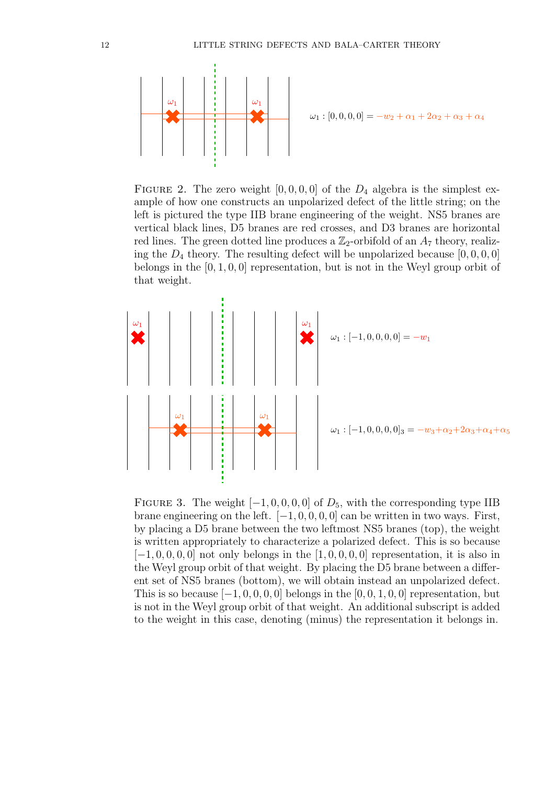

FIGURE 2. The zero weight  $[0, 0, 0, 0]$  of the  $D_4$  algebra is the simplest example of how one constructs an unpolarized defect of the little string; on the left is pictured the type IIB brane engineering of the weight. NS5 branes are vertical black lines, D5 branes are red crosses, and D3 branes are horizontal red lines. The green dotted line produces a  $\mathbb{Z}_2$ -orbifold of an  $A_7$  theory, realizing the  $D_4$  theory. The resulting defect will be unpolarized because  $[0, 0, 0, 0]$ belongs in the  $[0, 1, 0, 0]$  representation, but is not in the Weyl group orbit of that weight.



FIGURE 3. The weight  $[-1, 0, 0, 0, 0]$  of  $D_5$ , with the corresponding type IIB brane engineering on the left.  $[-1, 0, 0, 0, 0]$  can be written in two ways. First, by placing a D5 brane between the two leftmost NS5 branes (top), the weight is written appropriately to characterize a polarized defect. This is so because  $[-1, 0, 0, 0, 0]$  not only belongs in the  $[1, 0, 0, 0, 0]$  representation, it is also in the Weyl group orbit of that weight. By placing the D5 brane between a different set of NS5 branes (bottom), we will obtain instead an unpolarized defect. This is so because  $[-1, 0, 0, 0, 0]$  belongs in the  $[0, 0, 1, 0, 0]$  representation, but is not in the Weyl group orbit of that weight. An additional subscript is added to the weight in this case, denoting (minus) the representation it belongs in.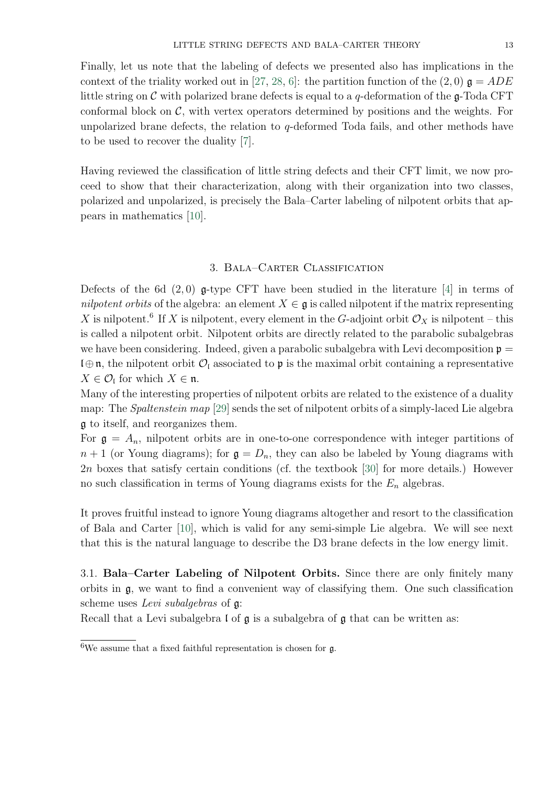Finally, let us note that the labeling of defects we presented also has implications in the context of the triality worked out in [\[27,](#page-50-9) [28,](#page-50-10) [6\]](#page-49-6): the partition function of the  $(2,0)$   $\mathfrak{g} = ADE$ little string on  $\mathcal C$  with polarized brane defects is equal to a q-deformation of the  $\mathfrak g$ -Toda CFT conformal block on  $\mathcal{C}$ , with vertex operators determined by positions and the weights. For unpolarized brane defects, the relation to  $q$ -deformed Toda fails, and other methods have to be used to recover the duality [\[7\]](#page-49-7).

Having reviewed the classification of little string defects and their CFT limit, we now proceed to show that their characterization, along with their organization into two classes, polarized and unpolarized, is precisely the Bala–Carter labeling of nilpotent orbits that appears in mathematics [\[10\]](#page-49-10).

## 3. Bala–Carter Classification

<span id="page-12-0"></span>Defects of the 6d  $(2,0)$  g-type CFT have been studied in the literature [\[4\]](#page-49-4) in terms of nilpotent orbits of the algebra: an element  $X \in \mathfrak{g}$  is called nilpotent if the matrix representing X is nilpotent.<sup>6</sup> If X is nilpotent, every element in the G-adjoint orbit  $\mathcal{O}_X$  is nilpotent – this is called a nilpotent orbit. Nilpotent orbits are directly related to the parabolic subalgebras we have been considering. Indeed, given a parabolic subalgebra with Levi decomposition  $\mathfrak{p} =$  $\mathfrak{l}_\oplus\mathfrak{n}$ , the nilpotent orbit  $\mathcal{O}_\mathfrak{l}$  associated to **p** is the maximal orbit containing a representative  $X \in \mathcal{O}_{\mathfrak{l}}$  for which  $X \in \mathfrak{n}$ .

Many of the interesting properties of nilpotent orbits are related to the existence of a duality map: The *Spaltenstein map* [\[29\]](#page-50-11) sends the set of nilpotent orbits of a simply-laced Lie algebra g to itself, and reorganizes them.

For  $\mathfrak{g} = A_n$ , nilpotent orbits are in one-to-one correspondence with integer partitions of  $n+1$  (or Young diagrams); for  $\mathfrak{g} = D_n$ , they can also be labeled by Young diagrams with 2n boxes that satisfy certain conditions (cf. the textbook [\[30\]](#page-50-12) for more details.) However no such classification in terms of Young diagrams exists for the  $E_n$  algebras.

It proves fruitful instead to ignore Young diagrams altogether and resort to the classification of Bala and Carter [\[10\]](#page-49-10), which is valid for any semi-simple Lie algebra. We will see next that this is the natural language to describe the D3 brane defects in the low energy limit.

<span id="page-12-1"></span>3.1. Bala–Carter Labeling of Nilpotent Orbits. Since there are only finitely many orbits in g, we want to find a convenient way of classifying them. One such classification scheme uses *Levi subalgebras* of  $\mathfrak{g}$ :

Recall that a Levi subalgebra l of g is a subalgebra of g that can be written as:

 $\sqrt[6]{\frac{1}{6}}$  we assume that a fixed faithful representation is chosen for g.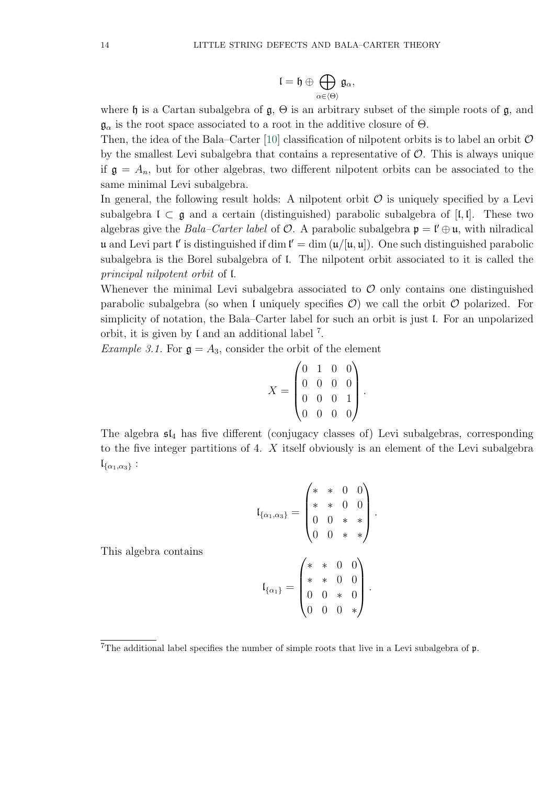$$
\mathfrak{l}=\mathfrak{h}\oplus\bigoplus_{\alpha\in\langle\Theta\rangle}\mathfrak{g}_{\alpha},
$$

where h is a Cartan subalgebra of  $\mathfrak{g}, \Theta$  is an arbitrary subset of the simple roots of  $\mathfrak{g}$ , and  $\mathfrak{g}_{\alpha}$  is the root space associated to a root in the additive closure of  $\Theta$ .

Then, the idea of the Bala–Carter [\[10\]](#page-49-10) classification of nilpotent orbits is to label an orbit  $\mathcal O$ by the smallest Levi subalgebra that contains a representative of  $\mathcal O$ . This is always unique if  $\mathfrak{g} = A_n$ , but for other algebras, two different nilpotent orbits can be associated to the same minimal Levi subalgebra.

In general, the following result holds: A nilpotent orbit  $\mathcal O$  is uniquely specified by a Levi subalgebra  $\mathfrak{l} \subset \mathfrak{g}$  and a certain (distinguished) parabolic subalgebra of [ $\mathfrak{l}, \mathfrak{l}$ ]. These two algebras give the *Bala–Carter label* of  $O$ . A parabolic subalgebra  $\mathfrak{p} = \mathfrak{l}' \oplus \mathfrak{u}$ , with nilradical u and Levi part l' is distinguished if dim  $\mathbf{l}' = \dim (\mathbf{u}/[\mathbf{u}, \mathbf{u}])$ . One such distinguished parabolic subalgebra is the Borel subalgebra of l. The nilpotent orbit associated to it is called the principal nilpotent orbit of l.

Whenever the minimal Levi subalgebra associated to  $\mathcal O$  only contains one distinguished parabolic subalgebra (so when I uniquely specifies  $\mathcal{O}$ ) we call the orbit  $\mathcal O$  polarized. For simplicity of notation, the Bala–Carter label for such an orbit is just l. For an unpolarized orbit, it is given by  $\mathfrak l$  and an additional label  $^7$ .

*Example 3.1.* For  $g = A_3$ , consider the orbit of the element

$$
X = \begin{pmatrix} 0 & 1 & 0 & 0 \\ 0 & 0 & 0 & 0 \\ 0 & 0 & 0 & 1 \\ 0 & 0 & 0 & 0 \end{pmatrix}.
$$

The algebra  $\mathfrak{sl}_4$  has five different (conjugacy classes of) Levi subalgebras, corresponding to the five integer partitions of 4. X itself obviously is an element of the Levi subalgebra  $\mathfrak{l}_{\{\alpha_1,\alpha_3\}}$ :

|                                        |  | $\begin{pmatrix} * & * & 0 & 0 \\ * & * & 0 & 0 \\ 0 & 0 & * & * \\ 0 & 0 & * & * \end{pmatrix}$ |
|----------------------------------------|--|--------------------------------------------------------------------------------------------------|
|                                        |  |                                                                                                  |
| $\mathfrak{l}_{\{\alpha_1,\alpha_3\}}$ |  |                                                                                                  |
|                                        |  |                                                                                                  |
|                                        |  |                                                                                                  |
|                                        |  | $\begin{pmatrix} *&*&0&0\\ *&*&0&0\\ 0&0&*&0\\ 0&0&0&*\end{pmatrix}.$                            |
|                                        |  |                                                                                                  |
| $\mathfrak{l}_{\{\alpha\}}$            |  |                                                                                                  |
|                                        |  |                                                                                                  |
|                                        |  |                                                                                                  |

This algebra contains

<sup>&</sup>lt;sup>7</sup>The additional label specifies the number of simple roots that live in a Levi subalgebra of  $\mathfrak{p}$ .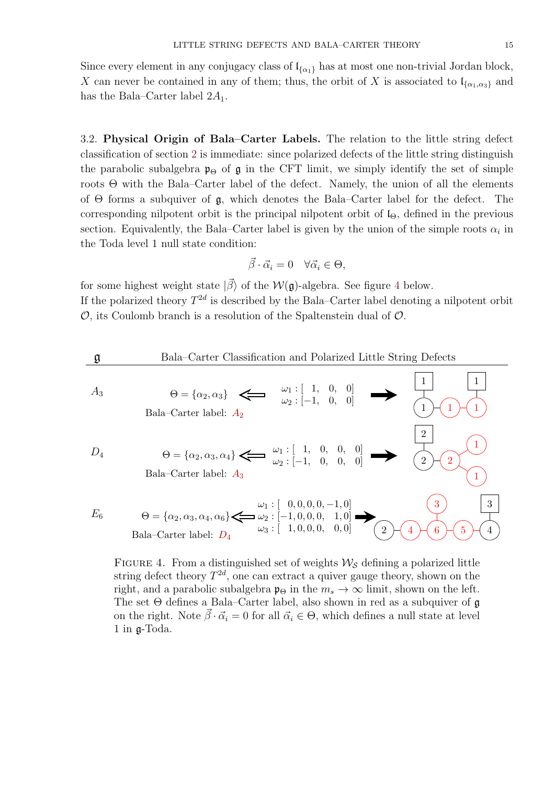Since every element in any conjugacy class of  $\mathfrak{l}_{\{\alpha_1\}}$  has at most one non-trivial Jordan block, X can never be contained in any of them; thus, the orbit of X is associated to  $\mathfrak{l}_{\{\alpha_1,\alpha_3\}}$  and has the Bala–Carter label  $2A_1$ .

<span id="page-14-0"></span>3.2. Physical Origin of Bala–Carter Labels. The relation to the little string defect classification of section [2](#page-4-0) is immediate: since polarized defects of the little string distinguish the parabolic subalgebra  $\mathfrak{p}_{\Theta}$  of  $\mathfrak{g}$  in the CFT limit, we simply identify the set of simple roots  $\Theta$  with the Bala–Carter label of the defect. Namely, the union of all the elements of Θ forms a subquiver of g, which denotes the Bala–Carter label for the defect. The corresponding nilpotent orbit is the principal nilpotent orbit of  $I_{\Theta}$ , defined in the previous section. Equivalently, the Bala–Carter label is given by the union of the simple roots  $\alpha_i$  in the Toda level 1 null state condition:

$$
\vec{\beta} \cdot \vec{\alpha}_i = 0 \quad \forall \vec{\alpha}_i \in \Theta,
$$

for some highest weight state  $|\vec{\beta}\rangle$  of the  $\mathcal{W}(\mathfrak{g})$ -algebra. See figure [4](#page-14-1) below. If the polarized theory  $T^{2d}$  is described by the Bala–Carter label denoting a nilpotent orbit  $\mathcal{O}$ , its Coulomb branch is a resolution of the Spaltenstein dual of  $\mathcal{O}$ .

<span id="page-14-1"></span>

| g                                                   | Bala–Carter Classification and Polarized Little String Defects |                                  |   |   |   |   |
|-----------------------------------------------------|----------------------------------------------------------------|----------------------------------|---|---|---|---|
| $A_3$                                               | $\theta = {\alpha_2, \alpha_3}$                                | $\omega_1 : [1, 0, 0]$           | 1 | 1 |   |   |
| Bala–Carter label: $A_2$                            | $\omega_2 : [-1, 0, 0]$                                        | 2                                |   |   |   |   |
| $D_4$                                               | $\theta = {\alpha_2, \alpha_3, \alpha_4}$                      | $\omega_1 : [1, 0, 0, 0]$        | 2 |   |   |   |
| Bala–Carter label: $A_3$                            | $\omega_2 : [-1, 0, 0, 0, 0]$                                  | 2                                |   |   |   |   |
| $\theta = {\alpha_2, \alpha_3, \alpha_4, \alpha_6}$ | $\omega_1 : [0, 0, 0, 0, -1, 0]$                               | 3                                |   |   |   |   |
| $E_6$                                               | $\theta = {\alpha_2, \alpha_3, \alpha_4, \alpha_6}$            | $\omega_2 : [-1, 0, 0, 0, 1, 0]$ | 3 |   |   |   |
| Bala–Carter label: $D_4$                            | $\omega_3 : [1, 0, 0, 0, 0, 0]$                                | 2                                | 4 | 6 | 5 | 4 |

FIGURE 4. From a distinguished set of weights  $\mathcal{W}_{\mathcal{S}}$  defining a polarized little string defect theory  $T^{2d}$ , one can extract a quiver gauge theory, shown on the right, and a parabolic subalgebra  $\mathfrak{p}_{\Theta}$  in the  $m_s \to \infty$  limit, shown on the left. The set  $\Theta$  defines a Bala–Carter label, also shown in red as a subquiver of  $\mathfrak g$ on the right. Note  $\beta \cdot \vec{\alpha}_i = 0$  for all  $\vec{\alpha}_i \in \Theta$ , which defines a null state at level 1 in g-Toda.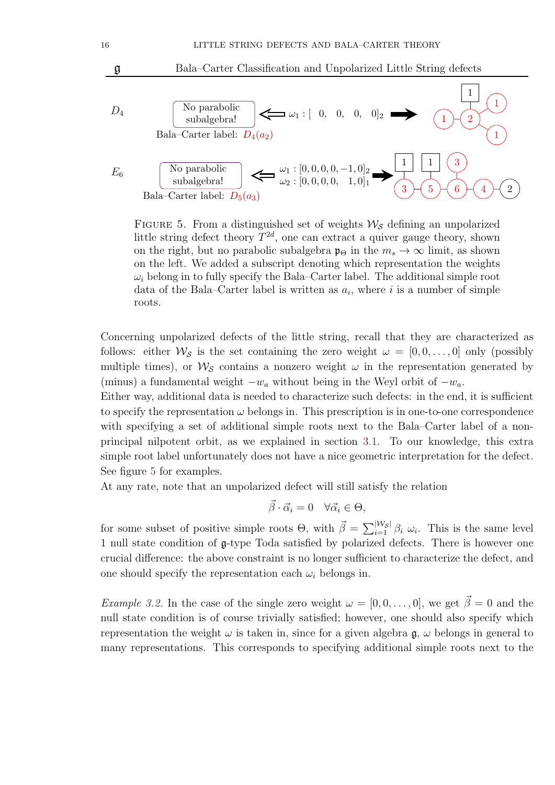<span id="page-15-0"></span>

FIGURE 5. From a distinguished set of weights  $\mathcal{W}_{\mathcal{S}}$  defining an unpolarized little string defect theory  $T^{2d}$ , one can extract a quiver gauge theory, shown on the right, but no parabolic subalgebra  $\mathfrak{p}_{\Theta}$  in the  $m_s \to \infty$  limit, as shown on the left. We added a subscript denoting which representation the weights  $\omega_i$  belong in to fully specify the Bala–Carter label. The additional simple root data of the Bala–Carter label is written as  $a_i$ , where i is a number of simple roots.

Concerning unpolarized defects of the little string, recall that they are characterized as follows: either  $\mathcal{W}_S$  is the set containing the zero weight  $\omega = [0, 0, \ldots, 0]$  only (possibly multiple times), or  $\mathcal{W}_{\mathcal{S}}$  contains a nonzero weight  $\omega$  in the representation generated by (minus) a fundamental weight  $-w_a$  without being in the Weyl orbit of  $-w_a$ .

Either way, additional data is needed to characterize such defects: in the end, it is sufficient to specify the representation  $\omega$  belongs in. This prescription is in one-to-one correspondence with specifying a set of additional simple roots next to the Bala–Carter label of a nonprincipal nilpotent orbit, as we explained in section [3.1.](#page-12-1) To our knowledge, this extra simple root label unfortunately does not have a nice geometric interpretation for the defect. See figure [5](#page-15-0) for examples.

At any rate, note that an unpolarized defect will still satisfy the relation

$$
\vec{\beta} \cdot \vec{\alpha}_i = 0 \quad \forall \vec{\alpha}_i \in \Theta,
$$

for some subset of positive simple roots  $\Theta$ , with  $\vec{\beta} = \sum_{i=1}^{\vert W_S \vert} \beta_i \omega_i$ . This is the same level 1 null state condition of g-type Toda satisfied by polarized defects. There is however one crucial difference: the above constraint is no longer sufficient to characterize the defect, and one should specify the representation each  $\omega_i$  belongs in.

*Example 3.2.* In the case of the single zero weight  $\omega = [0, 0, \ldots, 0]$ , we get  $\vec{\beta} = 0$  and the null state condition is of course trivially satisfied; however, one should also specify which representation the weight  $\omega$  is taken in, since for a given algebra  $\mathfrak{g}, \omega$  belongs in general to many representations. This corresponds to specifying additional simple roots next to the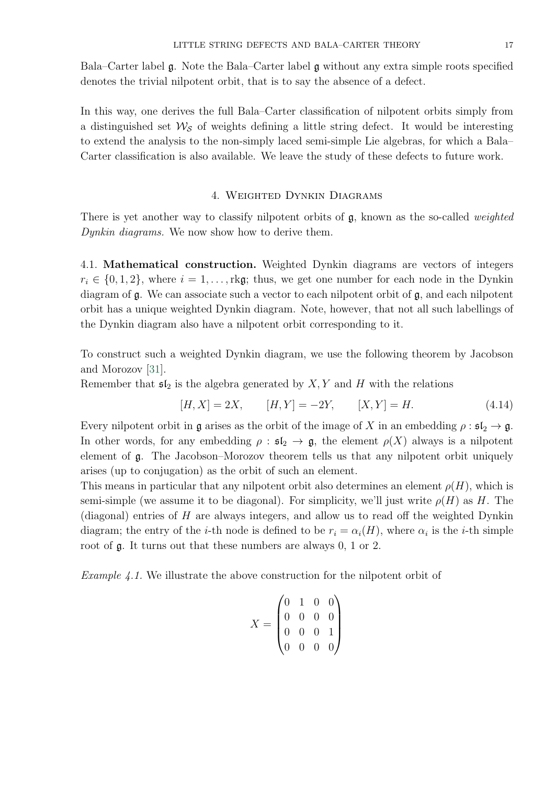Bala–Carter label  $\mathfrak{g}$ . Note the Bala–Carter label  $\mathfrak{g}$  without any extra simple roots specified denotes the trivial nilpotent orbit, that is to say the absence of a defect.

In this way, one derives the full Bala–Carter classification of nilpotent orbits simply from a distinguished set  $\mathcal{W}_{\mathcal{S}}$  of weights defining a little string defect. It would be interesting to extend the analysis to the non-simply laced semi-simple Lie algebras, for which a Bala– Carter classification is also available. We leave the study of these defects to future work.

# 4. Weighted Dynkin Diagrams

<span id="page-16-0"></span>There is yet another way to classify nilpotent orbits of  $\mathfrak{g}$ , known as the so-called *weighted* Dynkin diagrams. We now show how to derive them.

<span id="page-16-1"></span>4.1. Mathematical construction. Weighted Dynkin diagrams are vectors of integers  $r_i \in \{0, 1, 2\}$ , where  $i = 1, \ldots, r$  kg; thus, we get one number for each node in the Dynkin diagram of  $\mathfrak g$ . We can associate such a vector to each nilpotent orbit of  $\mathfrak g$ , and each nilpotent orbit has a unique weighted Dynkin diagram. Note, however, that not all such labellings of the Dynkin diagram also have a nilpotent orbit corresponding to it.

To construct such a weighted Dynkin diagram, we use the following theorem by Jacobson and Morozov [\[31\]](#page-50-13).

Remember that  $\mathfrak{sl}_2$  is the algebra generated by  $X, Y$  and H with the relations

$$
[H, X] = 2X, \t [H, Y] = -2Y, \t [X, Y] = H.
$$
\n(4.14)

Every nilpotent orbit in g arises as the orbit of the image of X in an embedding  $\rho : \mathfrak{sl}_2 \to \mathfrak{g}$ . In other words, for any embedding  $\rho : \mathfrak{sl}_2 \to \mathfrak{g}$ , the element  $\rho(X)$  always is a nilpotent element of g. The Jacobson–Morozov theorem tells us that any nilpotent orbit uniquely arises (up to conjugation) as the orbit of such an element.

This means in particular that any nilpotent orbit also determines an element  $\rho(H)$ , which is semi-simple (we assume it to be diagonal). For simplicity, we'll just write  $\rho(H)$  as H. The (diagonal) entries of  $H$  are always integers, and allow us to read off the weighted Dynkin diagram; the entry of the *i*-th node is defined to be  $r_i = \alpha_i(H)$ , where  $\alpha_i$  is the *i*-th simple root of g. It turns out that these numbers are always 0, 1 or 2.

Example 4.1. We illustrate the above construction for the nilpotent orbit of

$$
X = \begin{pmatrix} 0 & 1 & 0 & 0 \\ 0 & 0 & 0 & 0 \\ 0 & 0 & 0 & 1 \\ 0 & 0 & 0 & 0 \end{pmatrix}
$$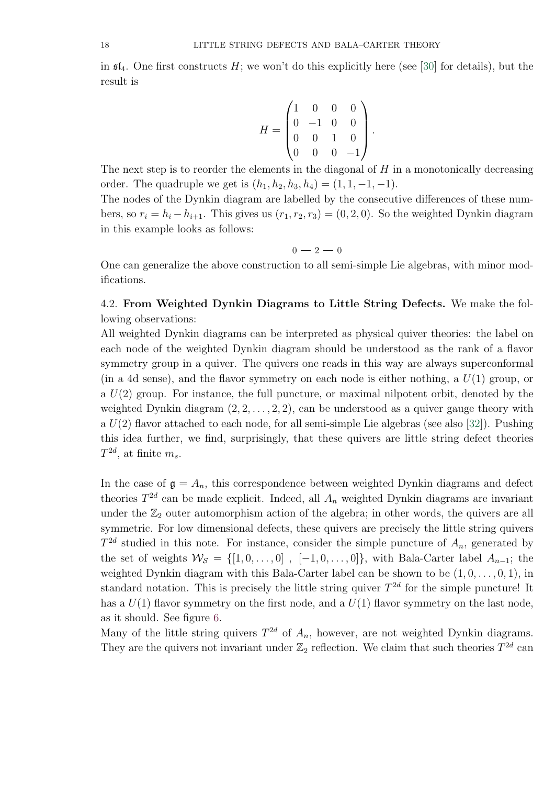in  $\mathfrak{sl}_4$ . One first constructs H; we won't do this explicitly here (see [\[30\]](#page-50-12) for details), but the result is

$$
H = \begin{pmatrix} 1 & 0 & 0 & 0 \\ 0 & -1 & 0 & 0 \\ 0 & 0 & 1 & 0 \\ 0 & 0 & 0 & -1 \end{pmatrix}.
$$

The next step is to reorder the elements in the diagonal of  $H$  in a monotonically decreasing order. The quadruple we get is  $(h_1, h_2, h_3, h_4) = (1, 1, -1, -1)$ .

The nodes of the Dynkin diagram are labelled by the consecutive differences of these numbers, so  $r_i = h_i - h_{i+1}$ . This gives us  $(r_1, r_2, r_3) = (0, 2, 0)$ . So the weighted Dynkin diagram in this example looks as follows:

$$
0-2-0
$$

One can generalize the above construction to all semi-simple Lie algebras, with minor modifications.

<span id="page-17-0"></span>4.2. From Weighted Dynkin Diagrams to Little String Defects. We make the following observations:

All weighted Dynkin diagrams can be interpreted as physical quiver theories: the label on each node of the weighted Dynkin diagram should be understood as the rank of a flavor symmetry group in a quiver. The quivers one reads in this way are always superconformal (in a 4d sense), and the flavor symmetry on each node is either nothing, a  $U(1)$  group, or a  $U(2)$  group. For instance, the full puncture, or maximal nilpotent orbit, denoted by the weighted Dynkin diagram  $(2, 2, \ldots, 2, 2)$ , can be understood as a quiver gauge theory with a  $U(2)$  flavor attached to each node, for all semi-simple Lie algebras (see also [\[32\]](#page-50-14)). Pushing this idea further, we find, surprisingly, that these quivers are little string defect theories  $T^{2d}$ , at finite  $m_s$ .

In the case of  $\mathfrak{g} = A_n$ , this correspondence between weighted Dynkin diagrams and defect theories  $T^{2d}$  can be made explicit. Indeed, all  $A_n$  weighted Dynkin diagrams are invariant under the  $\mathbb{Z}_2$  outer automorphism action of the algebra; in other words, the quivers are all symmetric. For low dimensional defects, these quivers are precisely the little string quivers  $T^{2d}$  studied in this note. For instance, consider the simple puncture of  $A_n$ , generated by the set of weights  $\mathcal{W}_{\mathcal{S}} = \{ [1, 0, \ldots, 0], [-1, 0, \ldots, 0] \}$ , with Bala-Carter label  $A_{n-1}$ ; the weighted Dynkin diagram with this Bala-Carter label can be shown to be  $(1, 0, \ldots, 0, 1)$ , in standard notation. This is precisely the little string quiver  $T^{2d}$  for the simple puncture! It has a  $U(1)$  flavor symmetry on the first node, and a  $U(1)$  flavor symmetry on the last node, as it should. See figure [6.](#page-18-0)

Many of the little string quivers  $T^{2d}$  of  $A_n$ , however, are not weighted Dynkin diagrams. They are the quivers not invariant under  $\mathbb{Z}_2$  reflection. We claim that such theories  $T^{2d}$  can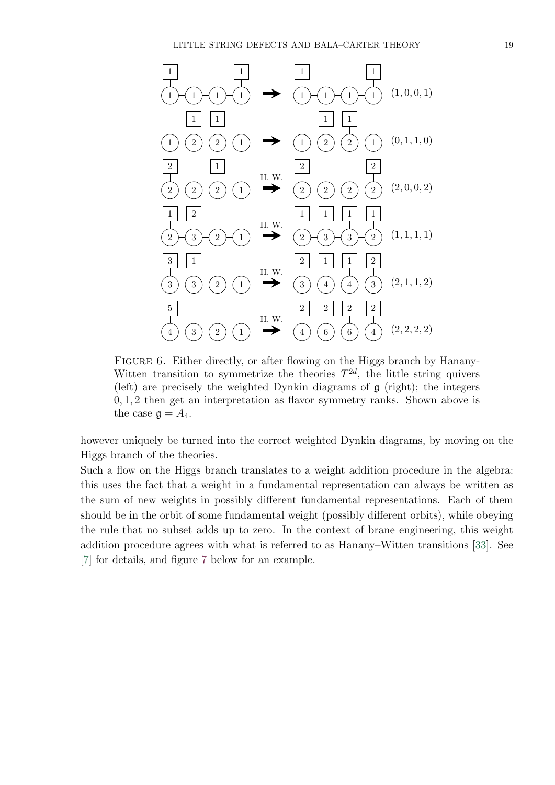<span id="page-18-0"></span>

FIGURE 6. Either directly, or after flowing on the Higgs branch by Hanany-Witten transition to symmetrize the theories  $T^{2d}$ , the little string quivers (left) are precisely the weighted Dynkin diagrams of g (right); the integers 0, 1, 2 then get an interpretation as flavor symmetry ranks. Shown above is the case  $\mathfrak{g} = A_4$ .

however uniquely be turned into the correct weighted Dynkin diagrams, by moving on the Higgs branch of the theories.

Such a flow on the Higgs branch translates to a weight addition procedure in the algebra: this uses the fact that a weight in a fundamental representation can always be written as the sum of new weights in possibly different fundamental representations. Each of them should be in the orbit of some fundamental weight (possibly different orbits), while obeying the rule that no subset adds up to zero. In the context of brane engineering, this weight addition procedure agrees with what is referred to as Hanany–Witten transitions [\[33\]](#page-50-15). See [\[7\]](#page-49-7) for details, and figure [7](#page-19-0) below for an example.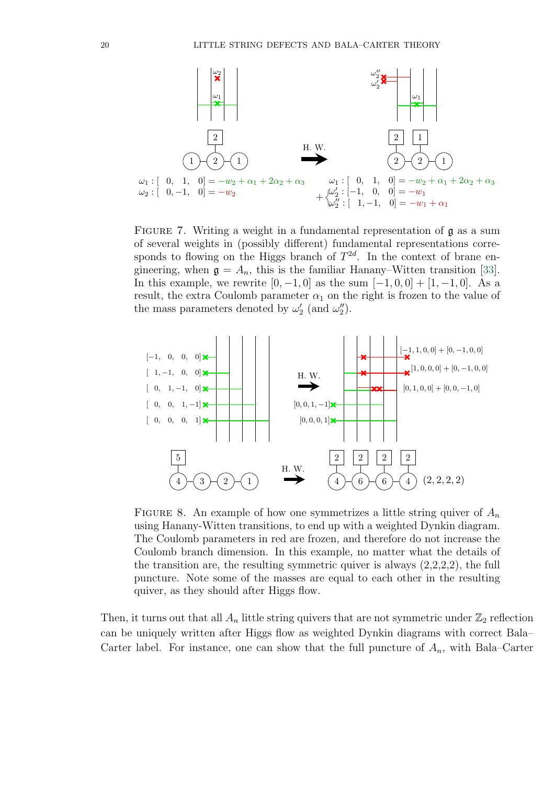<span id="page-19-0"></span>

FIGURE 7. Writing a weight in a fundamental representation of  $\mathfrak g$  as a sum of several weights in (possibly different) fundamental representations corresponds to flowing on the Higgs branch of  $T^{2d}$ . In the context of brane engineering, when  $\mathfrak{g} = A_n$ , this is the familiar Hanany–Witten transition [\[33\]](#page-50-15). In this example, we rewrite  $[0, -1, 0]$  as the sum  $[-1, 0, 0] + [1, -1, 0]$ . As a result, the extra Coulomb parameter  $\alpha_1$  on the right is frozen to the value of the mass parameters denoted by  $\omega_2'$  (and  $\omega_2'$ ).

<span id="page-19-1"></span>

FIGURE 8. An example of how one symmetrizes a little string quiver of  $A_n$ using Hanany-Witten transitions, to end up with a weighted Dynkin diagram. The Coulomb parameters in red are frozen, and therefore do not increase the Coulomb branch dimension. In this example, no matter what the details of the transition are, the resulting symmetric quiver is always  $(2,2,2,2)$ , the full puncture. Note some of the masses are equal to each other in the resulting quiver, as they should after Higgs flow.

Then, it turns out that all  $A_n$  little string quivers that are not symmetric under  $\mathbb{Z}_2$  reflection can be uniquely written after Higgs flow as weighted Dynkin diagrams with correct Bala– Carter label. For instance, one can show that the full puncture of  $A_n$ , with Bala–Carter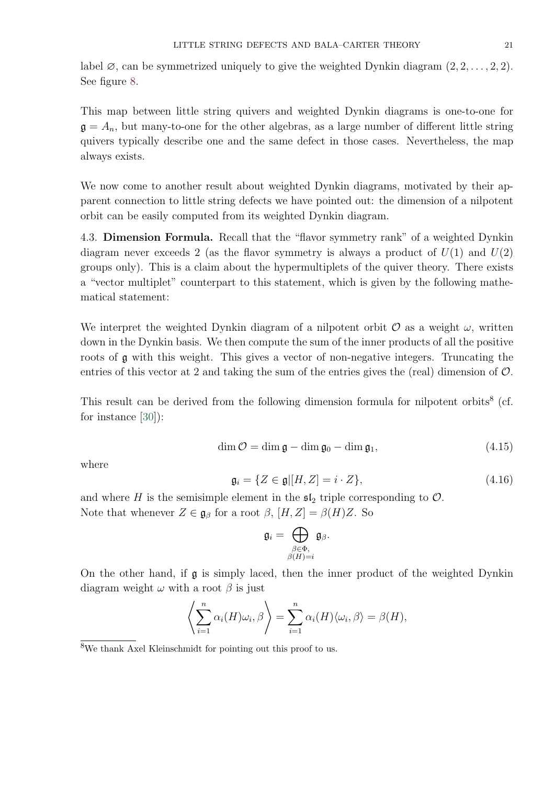label  $\emptyset$ , can be symmetrized uniquely to give the weighted Dynkin diagram  $(2, 2, \ldots, 2, 2)$ . See figure [8.](#page-19-1)

This map between little string quivers and weighted Dynkin diagrams is one-to-one for  $\mathfrak{g} = A_n$ , but many-to-one for the other algebras, as a large number of different little string quivers typically describe one and the same defect in those cases. Nevertheless, the map always exists.

We now come to another result about weighted Dynkin diagrams, motivated by their apparent connection to little string defects we have pointed out: the dimension of a nilpotent orbit can be easily computed from its weighted Dynkin diagram.

<span id="page-20-0"></span>4.3. Dimension Formula. Recall that the "flavor symmetry rank" of a weighted Dynkin diagram never exceeds 2 (as the flavor symmetry is always a product of  $U(1)$  and  $U(2)$ ) groups only). This is a claim about the hypermultiplets of the quiver theory. There exists a "vector multiplet" counterpart to this statement, which is given by the following mathematical statement:

We interpret the weighted Dynkin diagram of a nilpotent orbit  $\mathcal O$  as a weight  $\omega$ , written down in the Dynkin basis. We then compute the sum of the inner products of all the positive roots of g with this weight. This gives a vector of non-negative integers. Truncating the entries of this vector at 2 and taking the sum of the entries gives the (real) dimension of  $\mathcal{O}$ .

This result can be derived from the following dimension formula for nilpotent orbits<sup>8</sup> (cf. for instance [\[30\]](#page-50-12)):

<span id="page-20-2"></span>
$$
\dim \mathcal{O} = \dim \mathfrak{g} - \dim \mathfrak{g}_0 - \dim \mathfrak{g}_1,\tag{4.15}
$$

where

<span id="page-20-1"></span>
$$
\mathfrak{g}_i = \{ Z \in \mathfrak{g} | [H, Z] = i \cdot Z \},\tag{4.16}
$$

and where H is the semisimple element in the  $\mathfrak{sl}_2$  triple corresponding to  $\mathcal{O}$ . Note that whenever  $Z \in \mathfrak{g}_{\beta}$  for a root  $\beta$ ,  $[H, Z] = \beta(H)Z$ . So

$$
\mathfrak{g}_i = \bigoplus_{\substack{\beta \in \Phi, \\ \beta(H)=i}} \mathfrak{g}_{\beta}.
$$

On the other hand, if g is simply laced, then the inner product of the weighted Dynkin diagram weight  $\omega$  with a root  $\beta$  is just

$$
\left\langle \sum_{i=1}^n \alpha_i(H)\omega_i, \beta \right\rangle = \sum_{i=1}^n \alpha_i(H)\langle \omega_i, \beta \rangle = \beta(H),
$$

<sup>8</sup>We thank Axel Kleinschmidt for pointing out this proof to us.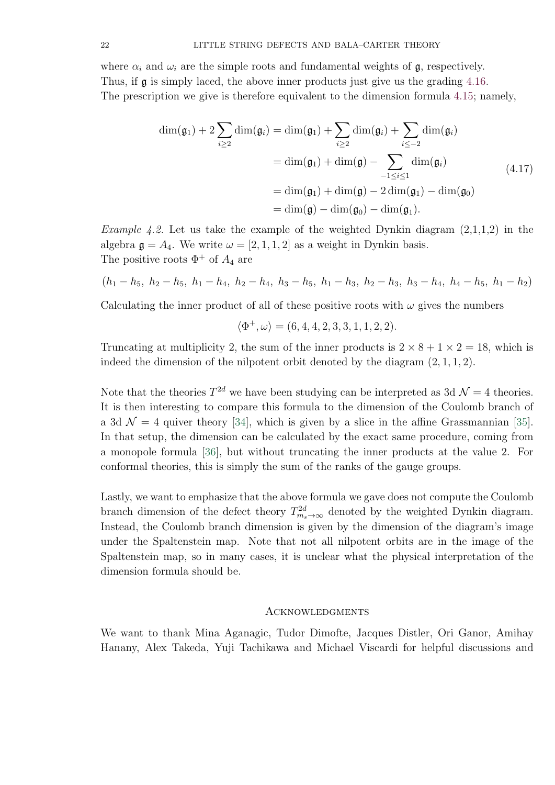where  $\alpha_i$  and  $\omega_i$  are the simple roots and fundamental weights of  $\mathfrak{g}$ , respectively. Thus, if g is simply laced, the above inner products just give us the grading [4.16.](#page-20-1) The prescription we give is therefore equivalent to the dimension formula [4.15;](#page-20-2) namely,

$$
\dim(\mathfrak{g}_1) + 2\sum_{i\geq 2} \dim(\mathfrak{g}_i) = \dim(\mathfrak{g}_1) + \sum_{i\geq 2} \dim(\mathfrak{g}_i) + \sum_{i\leq -2} \dim(\mathfrak{g}_i)
$$
  
= 
$$
\dim(\mathfrak{g}_1) + \dim(\mathfrak{g}) - \sum_{-1\leq i\leq 1} \dim(\mathfrak{g}_i)
$$
  
= 
$$
\dim(\mathfrak{g}_1) + \dim(\mathfrak{g}) - 2\dim(\mathfrak{g}_1) - \dim(\mathfrak{g}_0)
$$
  
= 
$$
\dim(\mathfrak{g}) - \dim(\mathfrak{g}_0) - \dim(\mathfrak{g}_1).
$$
 (4.17)

*Example 4.2.* Let us take the example of the weighted Dynkin diagram  $(2,1,1,2)$  in the algebra  $\mathfrak{g} = A_4$ . We write  $\omega = [2, 1, 1, 2]$  as a weight in Dynkin basis. The positive roots  $\Phi^+$  of  $A_4$  are

$$
(h_1 - h_5, h_2 - h_5, h_1 - h_4, h_2 - h_4, h_3 - h_5, h_1 - h_3, h_2 - h_3, h_3 - h_4, h_4 - h_5, h_1 - h_2)
$$

Calculating the inner product of all of these positive roots with  $\omega$  gives the numbers

$$
\langle \Phi^+, \omega \rangle = (6, 4, 4, 2, 3, 3, 1, 1, 2, 2).
$$

Truncating at multiplicity 2, the sum of the inner products is  $2 \times 8 + 1 \times 2 = 18$ , which is indeed the dimension of the nilpotent orbit denoted by the diagram (2, 1, 1, 2).

Note that the theories  $T^{2d}$  we have been studying can be interpreted as 3d  $\mathcal{N}=4$  theories. It is then interesting to compare this formula to the dimension of the Coulomb branch of a 3d  $\mathcal{N} = 4$  quiver theory [\[34\]](#page-50-16), which is given by a slice in the affine Grassmannian [\[35\]](#page-50-17). In that setup, the dimension can be calculated by the exact same procedure, coming from a monopole formula [\[36\]](#page-50-18), but without truncating the inner products at the value 2. For conformal theories, this is simply the sum of the ranks of the gauge groups.

Lastly, we want to emphasize that the above formula we gave does not compute the Coulomb branch dimension of the defect theory  $T_{m_s \to \infty}^{2d}$  denoted by the weighted Dynkin diagram. Instead, the Coulomb branch dimension is given by the dimension of the diagram's image under the Spaltenstein map. Note that not all nilpotent orbits are in the image of the Spaltenstein map, so in many cases, it is unclear what the physical interpretation of the dimension formula should be.

# <span id="page-21-0"></span>**ACKNOWLEDGMENTS**

We want to thank Mina Aganagic, Tudor Dimofte, Jacques Distler, Ori Ganor, Amihay Hanany, Alex Takeda, Yuji Tachikawa and Michael Viscardi for helpful discussions and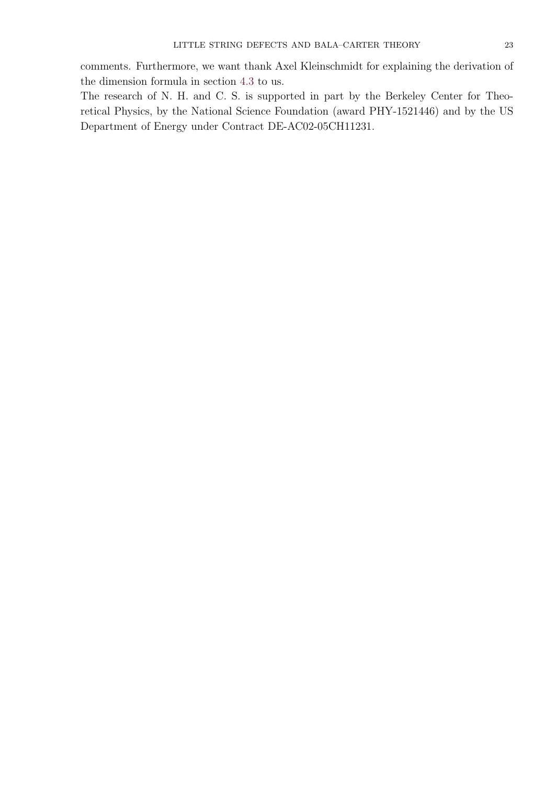The research of N. H. and C. S. is supported in part by the Berkeley Center for Theoretical Physics, by the National Science Foundation (award PHY-1521446) and by the US Department of Energy under Contract DE-AC02-05CH11231.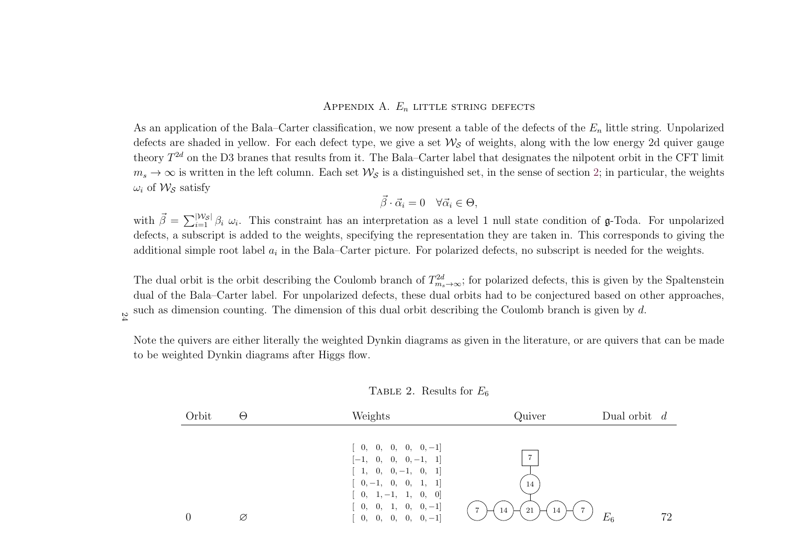# Appendix A.  $E_n$  little string defects

As an application of the Bala–Carter classification, we now present a table of the defects of the  $E_n$  little string. Unpolarized defects are shaded in yellow. For each defect type, we give a set  $\mathcal{W}_{\mathcal{S}}$  of weights, along with the low energy 2d quiver gauge theory  $T^{2d}$  on the D3 branes that results from it. The Bala–Carter label that designates the nilpotent orbit in the CFT limit  $m_s \to \infty$  is written in the left column. Each set  $\mathcal{W}_{\mathcal{S}}$  is a distinguished set, in the sense of section [2;](#page-4-2) in particular, the weights  $\omega_i$  of  $\mathcal{W}_{\mathcal{S}}$  satisfy

$$
\vec{\beta} \cdot \vec{\alpha}_i = 0 \quad \forall \vec{\alpha}_i \in \Theta,
$$

with  $\vec{\beta}$  defects, <sup>a</sup> subscript is added to the weights, specifying the representation they are taken in. This corresponds to <sup>g</sup>iving the  $\vec{\beta} = \sum_{i=1}^{\lvert \mathcal{W}_{\mathcal{S}} \rvert} \beta_i \omega_i$ . This constraint has an interpretation as a level 1 null state condition of g-Toda. For unpolarized additional simple root label  $a_i$  in the Bala–Carter picture. For polarized defects, no subscript is needed for the weights.

The dual orbit is the orbit describing the Coulomb branch of  $T_{m_s\to\infty}^{2d}$ ; for polarized defects, this is given by the Spaltenstein dual of the Bala–Carter label. For unpolarized defects, these dual orbits had to be conjectured based on other approaches, such as dimension counting. The dimension of this dual orbit describing the Coulomb branch is given by d.

Note the quivers are either literally the weighted Dynkin diagrams as <sup>g</sup>iven in the literature, or are quivers that can be made to be weighted Dynkin diagrams after Higgs flow.

TABLE 2. Results for  $E_6$ 

<span id="page-23-0"></span>

| Orbit | $\Theta$ | Weights                                                                                          | Quiver                                                   | Dual orbit $d$ |
|-------|----------|--------------------------------------------------------------------------------------------------|----------------------------------------------------------|----------------|
|       |          | $[0, 0, 0, 0, 0, -1]$<br>$[-1, 0, 0, 0, -1, 1]$<br>$[1, 0, 0, -1, 0, 1]$                         |                                                          |                |
|       | Ø        | $[0, -1, 0, 0, 1, 1]$<br>$[0, 1, -1, 1, 0, 0]$<br>$[0, 0, 1, 0, 0, -1]$<br>$[0, 0, 0, 0, 0, -1]$ | 14<br>$\overline{7}$<br>$\overline{ }$<br>21<br>14<br>14 | $E_6$<br>72    |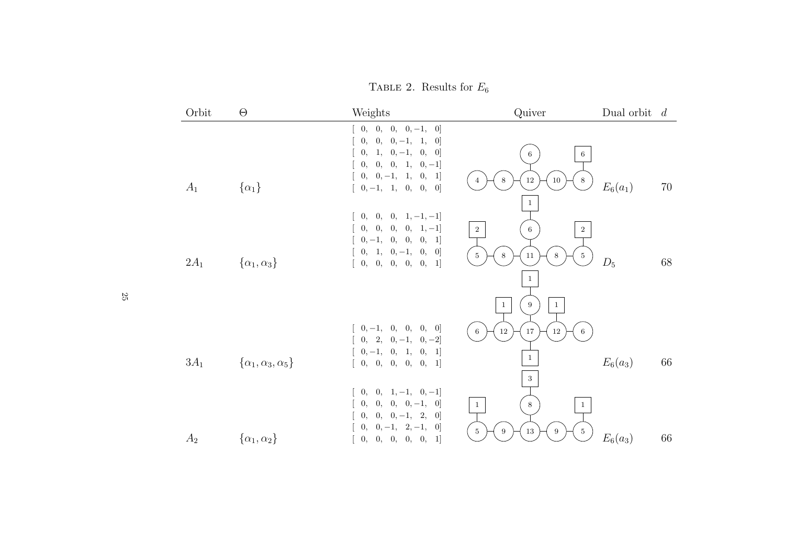TABLE 2. Results for  $E_6$ 

| Orbit  | $\Theta$                           | Weights                                                                                                                                                                                                                                                                   | Quiver                                                                                                                | Dual orbit $d$ |    |
|--------|------------------------------------|---------------------------------------------------------------------------------------------------------------------------------------------------------------------------------------------------------------------------------------------------------------------------|-----------------------------------------------------------------------------------------------------------------------|----------------|----|
| $A_1$  | $\{\alpha_1\}$                     | $[0, 0, 0, 0, -1, 0]$<br>$[0, 0, 0, -1, 1, 0]$<br>$0, 1, 0, -1, 0, 0]$<br>$0,\quad 0,\quad 0,\quad 1,\quad 0,\, -1]$<br>$\left[\begin{array}{cccc} 0, & 0, -1, & 1, & 0, & 1\end{array}\right]$<br>$[0, -1, 1, 0, 0, 0]$                                                  | $6\phantom{.0}$<br>6<br>$12\,$<br>$8\,$<br>8<br>10                                                                    | $E_6(a_1)$     | 70 |
| $2A_1$ | $\{\alpha_1,\alpha_3\}$            | $[0, 0, 0, 1, -1, -1]$<br>$[0, 0, 0, 0, 1, -1]$<br>$\left[\begin{array}{cccc} 0,-1,&0,&0,&0,&1\end{array}\right]$<br>$\left[\begin{array}{cccc} 0, & 1, & 0, -1, & 0, & 0 \end{array}\right]$<br>$\left[\begin{array}{cccc} 0, & 0, & 0, & 0, & 0, & 1\end{array}\right]$ | $\mathbf{1}$<br>$\overline{2}$<br>6<br>$\overline{2}$<br>$5\phantom{.0}$<br>$11\,$<br>$5\,$<br>8<br>8<br>$\mathbf{1}$ | $D_5$          | 68 |
| $3A_1$ | $\{\alpha_1, \alpha_3, \alpha_5\}$ | $\left[\begin{array}{cccc} 0,-1, & 0, & 0, & 0, & 0 \end{array}\right]$<br>$[0, 2, 0, -1, 0, -2]$<br>$\left[\begin{array}{cccc} 0,-1,&0,&1,&0,&1 \end{array}\right]$<br>[0, 0, 0, 0, 0, 1]<br>$0, 0, 1, -1, 0, -1]$                                                       | 9<br>$\mathbf{1}$<br>$\mathbf{1}$<br>$12\,$<br>17<br>$12\,$<br>$6\phantom{.0}$<br>6<br>$\mathbf{1}$<br>$\,$ 3 $\,$    | $E_6(a_3)$     | 66 |
| $A_2$  | $\{\alpha_1,\alpha_2\}$            | $\left[\begin{array}{cccc} 0, & 0, & 0, & 0, -1, & 0 \end{array}\right]$<br>$\begin{bmatrix} 0, & 0, & 0, -1, & 2, & 0 \end{bmatrix}$<br>$0, 0, -1, 2, -1, 0]$<br>[0, 0, 0, 0, 0, 1]                                                                                      | $8\,$<br>$\mathbf{1}$<br>$\mathbf{1}$<br>$5\phantom{.0}$<br>13<br>$\overline{5}$<br>9<br>9                            | $E_6(a_3)$     | 66 |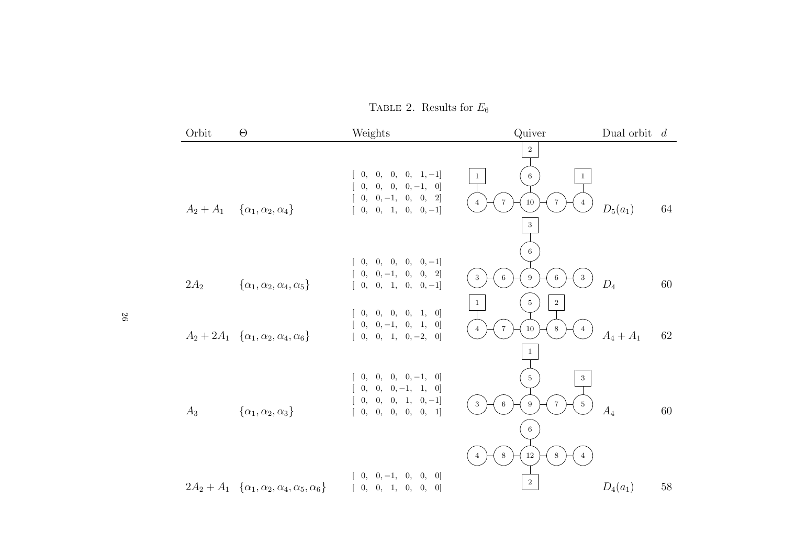TABLE 2. Results for  $E_6$ 

| Orbit  | $\Theta$                                                          | Weights                                                                                                                                                                                            | Quiver                                                                                                                                    | Dual orbit $d$ |        |
|--------|-------------------------------------------------------------------|----------------------------------------------------------------------------------------------------------------------------------------------------------------------------------------------------|-------------------------------------------------------------------------------------------------------------------------------------------|----------------|--------|
|        | $A_2 + A_1 \quad {\alpha_1, \alpha_2, \alpha_4}$                  | $[0, 0, 0, 0, 1, -1]$<br>$[0, 0, 0, 0, -1, 0]$<br>$[0, 0, -1, 0, 0, 2]$<br>$[0, 0, 1, 0, 0, -1]$                                                                                                   | $\,2\,$<br>$6\phantom{.}6$<br>$\mathbf{1}$<br>$\mathbf{1}$<br>$\overline{7}$<br>10<br>$\overline{7}$<br>$\overline{4}$<br>4<br>$\sqrt{3}$ | $D_5(a_1)$     | 64     |
| $2A_2$ | $\{\alpha_1, \alpha_2, \alpha_4, \alpha_5\}$                      | $\left[\begin{array}{cccc} 0, & 0, & 0, & 0, & 0, -1\end{array}\right]$<br>$[0, 0, -1, 0, 0, 2]$<br>$[0, 0, 1, 0, 0, -1]$                                                                          | $6\phantom{.}6$<br>9<br>$\sqrt{3}$<br>6<br>3<br>6<br>$\,2$<br>$\bf 5$<br>$\mathbf{1}$                                                     | $D_4$          | 60     |
|        | $A_2 + 2A_1 \quad {\alpha_1, \alpha_2, \alpha_4, \alpha_6}$       | [0, 0, 0, 0, 1, 0]<br>$\left[\begin{array}{cccc} 0, & 0, -1, & 0, & 1, & 0 \end{array}\right]$<br>$[0, 0, 1, 0, -2, 0]$                                                                            | $\,7$<br>$10\,$<br>$\,8\,$<br>$\overline{4}$<br>$\overline{4}$<br>$1\,$                                                                   | $A_4 + A_1$    | 62     |
| $A_3$  | $\{\alpha_1, \alpha_2, \alpha_3\}$                                | $[0, 0, 0, 0, -1, 0]$<br>$\left[\begin{array}{cccc} 0, & 0, & 0, -1, & 1, & 0 \end{array}\right]$<br>$\left[\begin{array}{cccc} 0, & 0, & 0, & 1, & 0, -1\end{array}\right]$<br>[0, 0, 0, 0, 0, 1] | $5\overline{)}$<br>$\,3$<br>$\,6\,$<br>$\,9$<br>$\,7$<br>$\bf 5$<br>$\mathbf{3}$<br>6                                                     | $A_4$          | 60     |
|        | $2A_2 + A_1 \{\alpha_1, \alpha_2, \alpha_4, \alpha_5, \alpha_6\}$ | $[0, 0, -1, 0, 0, 0]$<br>[0, 0, 1, 0, 0, 0]                                                                                                                                                        | $\,8\,$<br>12<br>8<br>$\overline{4}$<br>4<br>$\,2$                                                                                        | $D_4(a_1)$     | $58\,$ |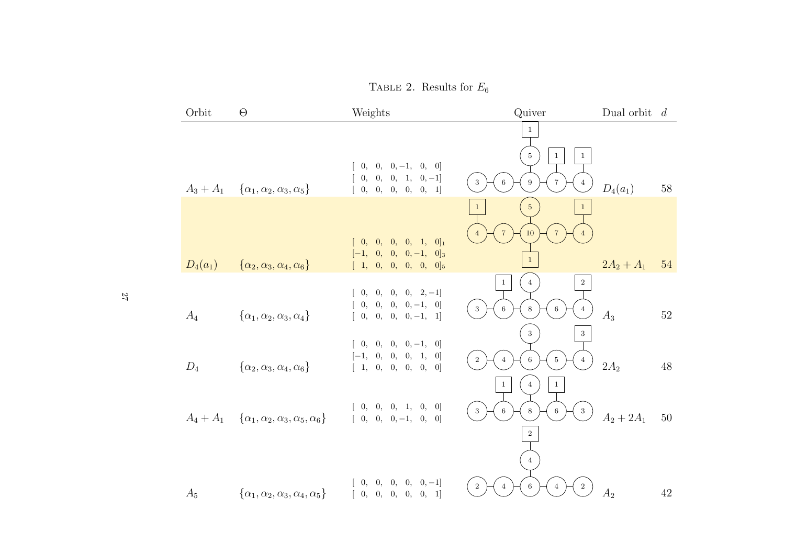TABLE 2. Results for  $E_6$ 

| Orbit       | $\Theta$                                               | Weights                                                                                            | Quiver                                                                                                                    | Dual orbit $d$ |        |
|-------------|--------------------------------------------------------|----------------------------------------------------------------------------------------------------|---------------------------------------------------------------------------------------------------------------------------|----------------|--------|
| $A_3 + A_1$ |                                                        | $[0, 0, 0, -1, 0, 0]$<br>$[0, 0, 0, 1, 0, -1]$                                                     | $\mathbf{1}$<br>5 <sup>5</sup><br>$\mathbf{1}$<br>$\mathbf{1}$<br>3<br>9<br>$\overline{7}$<br>6<br>$\overline{4}$         | $D_4(a_1)$     | $58\,$ |
|             | $\{\alpha_1, \alpha_2, \alpha_3, \alpha_5\}$           | $\left[\begin{array}{cccc} 0, & 0, & 0, & 0, & 0, & 1\end{array}\right]$<br>$[0, 0, 0, 0, 1, 0]_1$ | 5 <sub>5</sub><br>$\mathbf{1}$<br>$\mathbf{1}$<br>$\overline{7}$<br>10<br>$\overline{4}$                                  |                |        |
| $D_4(a_1)$  | $\{\alpha_2, \alpha_3, \alpha_4, \alpha_6\}$           | $[-1, 0, 0, 0, -1, 0]_3$<br>$[1, 0, 0, 0, 0, 0]_5$                                                 | $\mathbf{1}$                                                                                                              | $2A_2 + A_1$   | 54     |
| $A_4$       | $\{\alpha_1, \alpha_2, \alpha_3, \alpha_4\}$           | $[0, 0, 0, 0, 2, -1]$<br>$[0, 0, 0, 0, -1, 0]$<br>$[0, 0, 0, 0, -1, 1]$                            | $\,2$<br>$\mathbf{1}$<br>$\overline{4}$<br>3<br>6<br>8<br>6<br>$\overline{4}$                                             | $A_3$          | $52\,$ |
| $D_4$       | $\{\alpha_2, \alpha_3, \alpha_4, \alpha_6\}$           | $[0, 0, 0, 0, -1, 0]$<br>$[-1, 0, 0, 0, 1, 0]$<br>[1, 0, 0, 0, 0, 0]                               | 3 <sup>1</sup><br>$\,3$<br>$\,2$<br>6<br>$\bf 5$<br>$\overline{4}$<br>$\overline{4}$<br>$\mathbf{1}$<br>$\mathbf{1}$<br>4 | $2A_2$         | 48     |
| $A_4+A_1$   | $\{\alpha_1, \alpha_2, \alpha_3, \alpha_5, \alpha_6\}$ | $\left[\begin{array}{cccc} 0, & 0, & 0, & 1, & 0, & 0 \end{array}\right]$<br>$[0, 0, 0, -1, 0, 0]$ | $\sqrt{3}$<br>$\,6\,$<br>$\,8\,$<br>$\sqrt{3}$<br>$\,6\,$<br>$\overline{2}$                                               | $A_2 + 2A_1$   | 50     |
| $A_5$       | $\{\alpha_1, \alpha_2, \alpha_3, \alpha_4, \alpha_5\}$ | $[0, 0, 0, 0, 0, -1]$<br>[0, 0, 0, 0, 0, 1]                                                        | 4<br>$\overline{2}$<br>$\sqrt{2}$<br>6<br>$\overline{4}$<br>$\overline{4}$                                                | $A_2$          | 42     |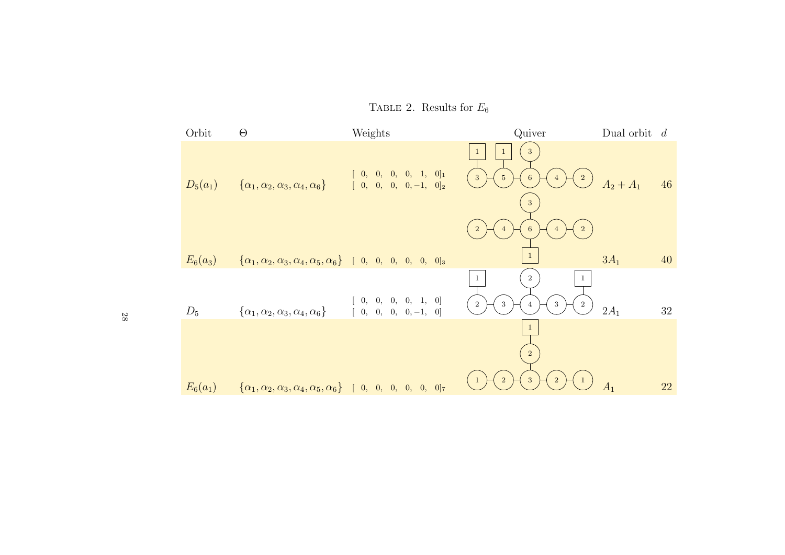Orbit <sup>Θ</sup> Weights Quiver Dual orbit <sup>d</sup>  $\frac{1}{3}$ 11 $[\begin{array}{cccccc} 0, & 0, & 0, & 0, & 1, & 0]_{1}\ 0, & 0, & 0, & 0, & -1, & 0]_{2} \end{array}$ 25634 $D_5(a_1)$  $\{\alpha_1, \alpha_2, \alpha_3, \alpha_4, \alpha_6\}$  $A_2 + A_1$  46  $\overline{3}$  $\begin{smallmatrix}3\1\6\1\end{smallmatrix}$ 24 $\frac{1}{2}$ 64 $\mathbf{1}$  $3A_1$  $E_6(a_3)$  <sup>40</sup>  $\big\{\alpha_1, \alpha_2, \alpha_3, \alpha_4, \alpha_5, \alpha_6\big\}$  [ 0, 0, 0, 0, 0, 0]<sub>3</sub> 211 $[ 0, 0, 0, 0, 1, 0]$ 32324 $D_5$  $\{\alpha_1, \alpha_2, \alpha_3, \alpha_4, \alpha_6\}$  $2A_1$  <sup>32</sup>  $[0, 0, 0, 0, -1, 0]$  $\mathbf{1}$  $\frac{1}{2}$  $\sqrt{2}$  $\begin{bmatrix} 2 \end{bmatrix}$  $\left(1\right)$ 32 1  $A_1$  <sup>22</sup>  $E_6(a_1)$  $\big\{\alpha_1, \alpha_2, \alpha_3, \alpha_4, \alpha_5, \alpha_6\big\}$  [ 0, 0, 0, 0, 0, 0]<sub>7</sub>

TABLE 2. Results for  $E_6$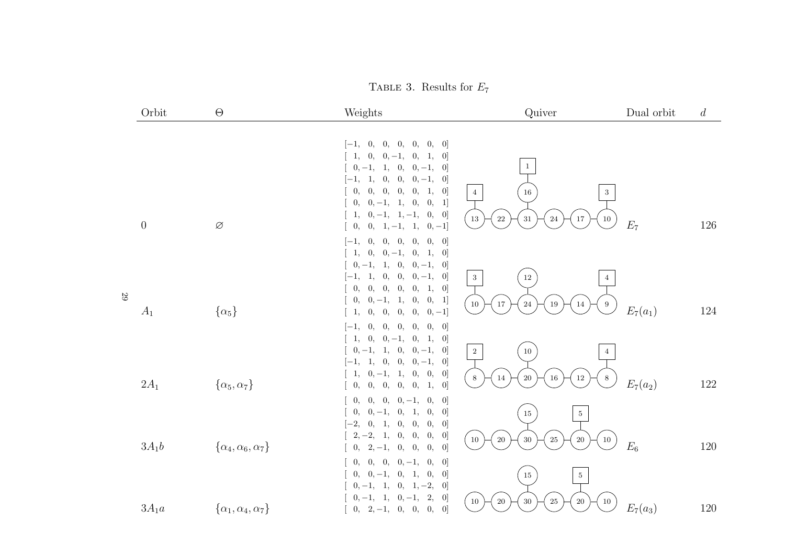TABLE 3. Results for  $E_7$ 

|   | Orbit            | $\Theta$                           | Weights                                                                                                                                                                                                                                                                                                                            | Quiver                                                                                                             | Dual orbit | $\overline{d}$ |
|---|------------------|------------------------------------|------------------------------------------------------------------------------------------------------------------------------------------------------------------------------------------------------------------------------------------------------------------------------------------------------------------------------------|--------------------------------------------------------------------------------------------------------------------|------------|----------------|
|   | $\boldsymbol{0}$ | $\varnothing$                      | $[-1, 0,$<br>0, 0,<br>[0, 0, 0]<br>0,<br>0,<br>$0, -1,$<br>[0]<br>1,<br>1,<br>$0, -1, 1,$<br>0,<br>$0, -1,$<br>[0]<br>1,<br>0, 0,<br>$0, -1,$<br>$[-1,$<br>$\vert 0 \vert$<br>0, 1,<br>0,<br>0, 0,<br>0,<br>[0]<br>0,<br>$0, -1, 1, 0,$<br>[0, 1]<br>0,<br>$0, -1, 1, -1,$<br>$\vert 0 \vert$<br>1,<br>$0, 1, -1, 1, 0, -1]$<br>0, | $\mathbf{1}$<br>$16\,$<br>$\,3$<br>$\overline{4}$<br>$31\,$<br>$22\,$<br>$17\,$<br>$10\,$<br>$13\,$<br>$\sqrt{24}$ | $E_7$      | 126            |
| 5 | $A_1$            | $\{\alpha_5\}$                     | [0, 0]<br>0, 0,<br>0,<br>$[-1,$<br>$\theta$ ,<br>0,<br>$0, -1,$<br>1,<br>$\vert 0 \vert$<br>0,<br>1,<br>$0, -1,$<br>0,<br>$0, -1,$<br>$\vert 0 \vert$<br>1,<br>$0, 0, 0, -1,$<br>$[-1, 1,$<br> 0 <br>0, 1,<br>0,<br>0,<br>0, 0,<br>$\vert 0 \vert$<br>$0, -1, 1,$<br>0, 0, 1]<br>0,<br>0,<br>0,<br>$[0,-1]$<br>0,<br>0,<br>1.      | $12\,$<br>$\sqrt{3}$<br>$\overline{4}$<br>$10\,$<br>$17\,$<br>$\sqrt{24}$<br>$\,9$<br>$19\,$<br>$14\,$             | $E_7(a_1)$ | 124            |
|   | $2A_1$           | $\{\alpha_5, \alpha_7\}$           | [0, 0]<br>0,<br>0, 0,<br>0,<br>$ -1,$<br>$0, 0, -1,$<br>$\begin{bmatrix} 1, \end{bmatrix}$<br>[0, 1, 0]<br>$0, -1,$<br>$0, -1,$<br>1, 0,<br>$\vert 0 \vert$<br>$1, 0, 0, 0, -1, 0$<br>$[-1,$<br>0, 0,<br>$0, -1, 1,$<br>1,<br>[0]<br>0, 0, 0,<br>0,<br>1,<br>[0]<br>0,                                                             | $\,2$<br>$10\,$<br>$20\,$<br>$12\,$<br>$14\,$<br>$\,8\,$<br>$16\,$<br>8                                            | $E_7(a_2)$ | 122            |
|   | $3A_1b$          | $\{\alpha_4, \alpha_6, \alpha_7\}$ | 0,<br>0,<br>$0, -1,$<br>0,<br>[0]<br>0,<br>0,<br>$0, -1, 0,$<br>1,<br>0,<br>[0]<br>$\left[-2\right]$<br>0, 0,<br>0,<br>0,<br>1,<br>[0]<br>$2, -2,$<br>0,<br>0,<br>0,<br>[0]<br>1,<br>$2, -1,$<br>0, 0,<br>0,<br>[0]<br>0,                                                                                                          | $15\,$<br>$5\,$<br>$20\,$<br>$30\,$<br>$\rm 25$<br>$20\,$<br>$10\,$<br>$10\,$                                      | $E_6$      | 120            |
|   | $3A_1a$          | $\{\alpha_1, \alpha_4, \alpha_7\}$ | $0,\quad 0,\quad 0,\,-1,\quad 0,$<br>[0]<br>0,<br>$0,-1,\phantom{-}0,\phantom{-}1,\phantom{-}0,$<br>0,<br>[0]<br>$0, 1, -2,$<br>$0, -1,$<br>$\vert 0 \vert$<br>1,<br>2,<br>$0, -1,$<br>[0]<br>$0, -1, 1,$<br>$0, 2, -1, 0, 0, 0,$<br>[0]                                                                                           | $5\,$<br>$15\,$<br>$20\,$<br>$30\,$<br>$25\,$<br>$20\,$<br>$10\,$<br>$10\,$                                        | $E_7(a_3)$ | $120\,$        |

29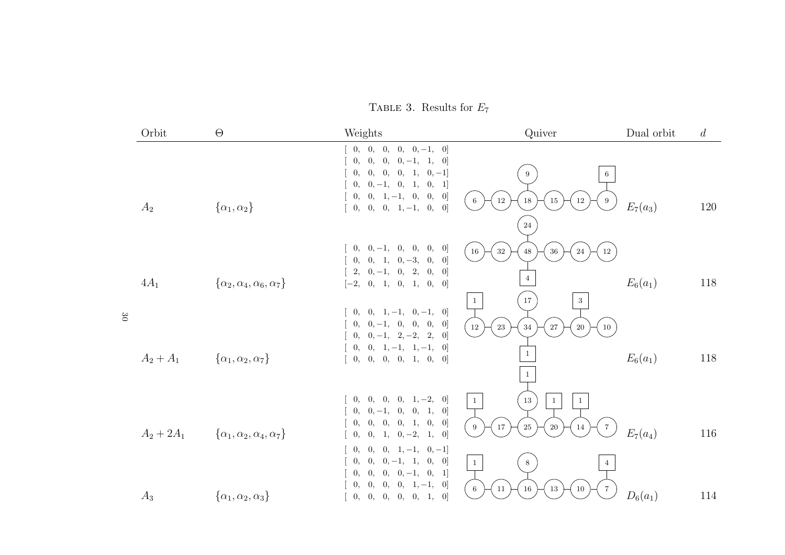TABLE 3. Results for  $E_7$ 

|              | Orbit        | $\Theta$                                     | Weights                                                                                                                                                                                                                       | Quiver                                                                                                                                                 | Dual orbit | d       |
|--------------|--------------|----------------------------------------------|-------------------------------------------------------------------------------------------------------------------------------------------------------------------------------------------------------------------------------|--------------------------------------------------------------------------------------------------------------------------------------------------------|------------|---------|
|              | $A_2$        | $\{\alpha_1,\alpha_2\}$                      | 0, 0, 0,<br>$[0, 0, -1, 0]$<br>$[0, 0, 0, -1, 1, 0]$<br>0,<br>$0, 0, 0, 1, 0, -1]$<br>0,<br>$0, -1, 0, 1,$<br>[0, 1]<br>0,<br>$0, 1, -1, 0,$<br>0,<br>[0]<br>0,<br>$0, 0, 1, -1, 0,$<br>0,<br>$\vert 0 \vert$                 | 9<br>6<br>$12\,$<br>$6\,$<br>$18\,$<br>$12\,$<br>15<br>9<br>$24\,$                                                                                     | $E_7(a_3)$ | 120     |
| $0\,{\rm g}$ | $4A_1$       | $\{\alpha_2, \alpha_4, \alpha_6, \alpha_7\}$ | $0, 0, -1,$<br>0,<br>0,<br>0,<br>[0]<br>$0, 1, 0, -3, 0,$<br>$\vert 0 \vert$<br>0,<br>0,<br>$2, 0, -1, 0, 2,$<br>$\vert 0 \vert$<br>[0, 1, 0, 1, 0, 0]<br>$[-2,$<br>$0, 0, 1, -1, 0, -1, 0$                                   | $16\,$<br>$32\,$<br>$48\,$<br>$36\,$<br>$12\,$<br>$24\,$<br>$\,4$<br>$17\,$<br>$\sqrt{3}$<br>$\mathbf{1}$                                              | $E_6(a_1)$ | 118     |
|              | $A_2 + A_1$  | $\{\alpha_1, \alpha_2, \alpha_7\}$           | $0, -1, 0, 0,$<br>0,<br>0,<br>[0]<br>$0, -1, 2, -2, 2,$<br>$\vert 0 \vert$<br>0,<br>$0, 1, -1, 1, -1, 0]$<br>0,<br>[0, 0, 0, 1, 0, 0]<br>0,                                                                                   | $12\,$<br>$23\,$<br>$34\,$<br>$27\,$<br>$20\,$<br>$10\,$<br>$\mathbf{1}$<br>$\mathbf{1}$                                                               | $E_6(a_1)$ | 118     |
|              | $A_2 + 2A_1$ | $\{\alpha_1, \alpha_2, \alpha_4, \alpha_7\}$ | 0,<br>$[0, 1, -2, 0]$<br>0,<br>0,<br>$0, 0, -1, 0, 0, 1,$<br> 0 <br>0, 0, 0, 1, 0,<br>0,<br>$\left[0\right]$<br>$0, 1, 0, -2, 1,$<br>0,<br> 0 <br>$\overline{0}$ ,<br>$0, 0, 1, -1, 0, -1]$<br>$0, 0, -1, 1,$<br>[0, 0]<br>0, | $13\,$<br>$\mathbf{1}$<br>$\mathbf{1}$<br>$\mathbf{1}$<br>$25\,$<br>17<br>$20\,$<br>$9\phantom{.0}$<br>$\,7$<br>14<br>$1\,$<br>$8\,$<br>$\overline{4}$ | $E_7(a_4)$ | 116     |
|              | $A_3$        | $\{\alpha_1, \alpha_2, \alpha_3\}$           | $0, 0, -1, 0, 1]$<br>0,<br>0,<br>0,<br>$0, 0, 1, -1,$<br>0,<br>$\left[0\right]$<br>$\begin{bmatrix} 0, & 0, & 0, & 0, & 0, & 1, & 0 \end{bmatrix}$                                                                            | $16\,$<br>$\,6\,$<br>$11\,$<br>13<br>$10\,$<br>$\overline{7}$                                                                                          | $D_6(a_1)$ | $114\,$ |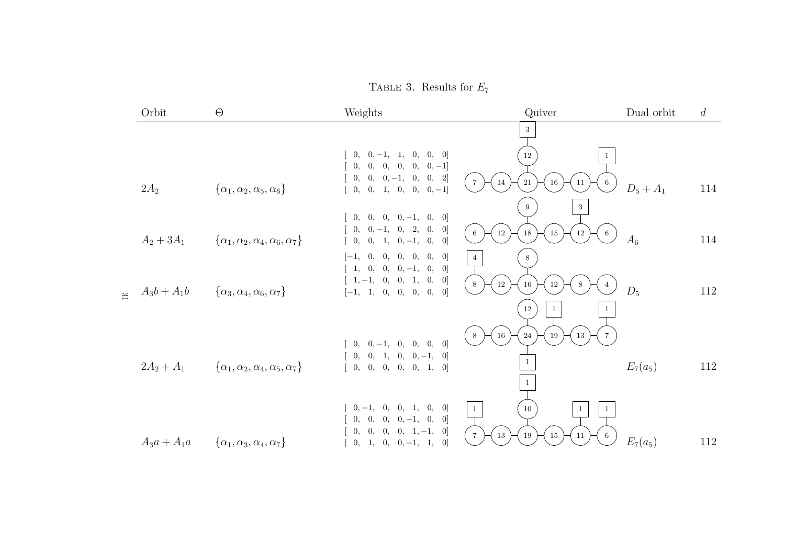TABLE 3. Results for  $E_7$ 

|       | Orbit         | $\Theta$                                               | Weights                                                              | Quiver                                                           | Dual orbit  | $\overline{d}$ |
|-------|---------------|--------------------------------------------------------|----------------------------------------------------------------------|------------------------------------------------------------------|-------------|----------------|
|       |               |                                                        |                                                                      | 3                                                                |             |                |
|       |               |                                                        | $0, 0, -1, 1, 0, 0, 0]$                                              | $12\,$<br>$\mathbf{1}$                                           |             |                |
|       |               |                                                        | $0, 0, 0, 0, 0, 0, -1]$<br>$0, 0, 0, -1, 0, 0, 2]$                   | $\overline{7}$<br>14<br>$21\,$<br>$16\,$<br>11<br>6              |             |                |
|       | $2A_2$        | $\{\alpha_1, \alpha_2, \alpha_5, \alpha_6\}$           | $[0, 0, 1, 0, 0, 0, -1]$                                             | 9<br>$\sqrt{3}$                                                  | $D_5 + A_1$ | 114            |
|       |               |                                                        | $[0, 0, 0, 0, -1, 0, 0]$<br>$0, 0, -1, 0, 2, 0,$                     |                                                                  |             |                |
|       | $A_2 + 3A_1$  | $\{\alpha_1, \alpha_2, \alpha_4, \alpha_6, \alpha_7\}$ | $\vert 0 \vert$<br>$[0, 0, 1, 0, -1, 0,$<br> 0                       | $12\,$<br>$18\,$<br>$15\,$<br>$12\,$<br>6<br>$\,6\,$             | $A_6$       | 114            |
|       |               |                                                        | $[-1, 0, 0, 0, 0, 0, 0]$<br>$[1, 0, 0, 0, -1, 0,$<br>$\vert 0 \vert$ | 8<br>$\overline{4}$                                              |             |                |
|       | $A_3b+A_1b$   |                                                        | $[1, -1, 0, 0, 1, 0,$<br>[0]                                         | $12\,$<br>$8\,$<br>$16\,$<br>$12\,$<br>8                         | $D_5$       | 112            |
| $\Xi$ |               | $\{\alpha_3,\alpha_4,\alpha_6,\alpha_7\}$              | $[-1, 1, 0, 0, 0, 0, 0,$<br> 0                                       | $12\,$<br>$\mathbf{1}$<br>$\mathbf{1}$                           |             |                |
|       |               |                                                        |                                                                      | $16\,$<br>$\sqrt{24}$<br>$\overline{7}$<br>19<br>$13\,$<br>$8\,$ |             |                |
|       |               |                                                        | $0, 0, -1, 0, 0, 0, 0]$<br>$[0, 0, 1, 0, 0, -1, 0]$                  |                                                                  |             |                |
|       | $2A_2 + A_1$  | $\{\alpha_1, \alpha_2, \alpha_4, \alpha_5, \alpha_7\}$ | [0, 0, 0, 0, 0, 1, 0]                                                |                                                                  | $E_7(a_5)$  | 112            |
|       |               |                                                        |                                                                      | 1                                                                |             |                |
|       |               |                                                        | $0, -1, 0, 0, 1, 0, 0$                                               | $10\,$<br>$\mathbf{1}$<br>$\mathbf{1}$<br>1                      |             |                |
|       |               |                                                        | $0, 0, 0, 0, -1, 0,$<br> 0 <br>$0, 0, 0, 0, 1, -1, 0$                | $\,7$<br>$15\,$<br>$13\,$<br>19<br>11<br>6                       |             |                |
|       | $A_3a + A_1a$ | $\{\alpha_1,\alpha_3,\alpha_4,\alpha_7\}$              | $[0, 1, 0, 0, -1, 1, 0]$                                             |                                                                  | $E_7(a_5)$  | 112            |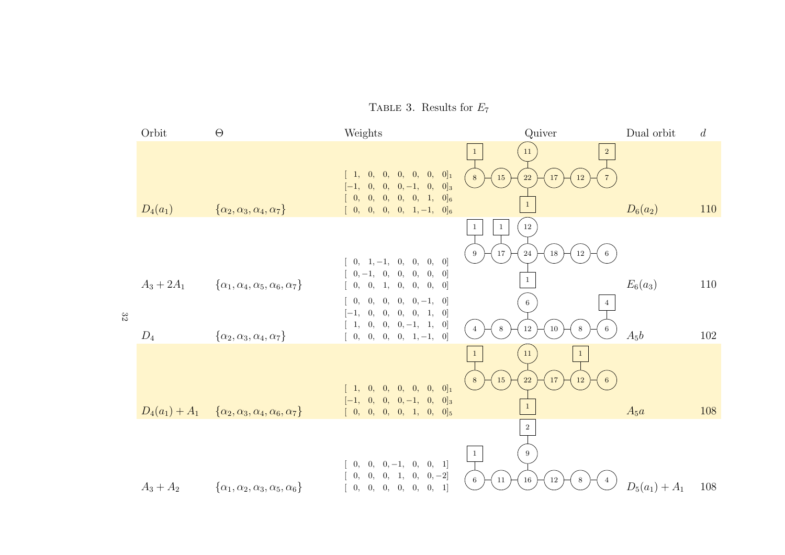Orbit <sup>Θ</sup> Weights Quiver Dual orbit <sup>d</sup> 21 111 $[\begin{array}{cccccc} 1, & 0, & 0, & 0, & 0, & 0, & 0]_1 \end{array}$ 8  $\leftarrow$  15  $\leftarrow$  22  $\leftarrow$  17  $\leftarrow$  12 87 $[-1, 0, 0, 0, -1, 0, 0]_3$  $[ 0, 0, 0, 0, 0, 1, 0]_6$  $D_4(a_1)$  $\{\alpha_2, \alpha_3, \alpha_4, \alpha_7\}$  $D_6(a_2)$  <sup>110</sup> $[ 0, 0, 0, 0, 1, -1, 0]_6$ 111  $\frac{12}{7}$   $\frac{24}{1}$ 969  $\leftarrow$  17  $\leftarrow$  24  $\leftarrow$  18  $\leftarrow$  12  $[ 0, 1, -1, 0, 0, 0, 0]$  $[ 0, -1, 0, 0, 0, 0, 0]$  $A_3 + 2A_1$  $E_6(a_3)$  110  $\{\alpha_1, \alpha_4, \alpha_5, \alpha_6, \alpha_7\}$  $[ 0, 0, 1, 0, 0, 0, 0]$  $[ 0, 0, 0, 0, 0, -1, 0]$ 64 $[-1, 0, 0, 0, 0, 1, 0]$ 32 $[ 1, 0, 0, 0, -1, 1, 0]$  $12 \mid 10$ 8864 $A_5b$  $\{\alpha_2, \alpha_3, \alpha_4, \alpha_7\}$  $D_4$  <sup>102</sup> $[ 0, 0, 0, 0, 1, -1, 0]$  11111868  $\leftarrow$  15  $\leftarrow$  22  $\leftarrow$  17  $\leftarrow$  12  $[1, 0, 0, 0, 0, 0, 0]_1$  $[-1, 0, 0, 0, -1, 0, 0]_3$  $A_5a$  <sup>108</sup>  $D_4(a_1) + A_1 \quad \{\alpha_2, \alpha_3, \alpha_4, \alpha_6, \alpha_7\}$  $[ 0, 0, 0, 0, 1, 0, 0]_5$  $\frac{2}{9}$ 1 $9$  $[ 0, 0, 0, -1, 0, 0, 1]$  $[ 0, 0, 0, 1, 0, 0, -2]$ 11  $\div$ (16  $\div$ (12 684 $\{\alpha_1, \alpha_2, \alpha_3, \alpha_5, \alpha_6\}$  $A_3 +$  $D_5(a_1) + A_1$  108  $[ 0, 0, 0, 0, 0, 0, 1]$ 

TABLE 3. Results for  $E_7$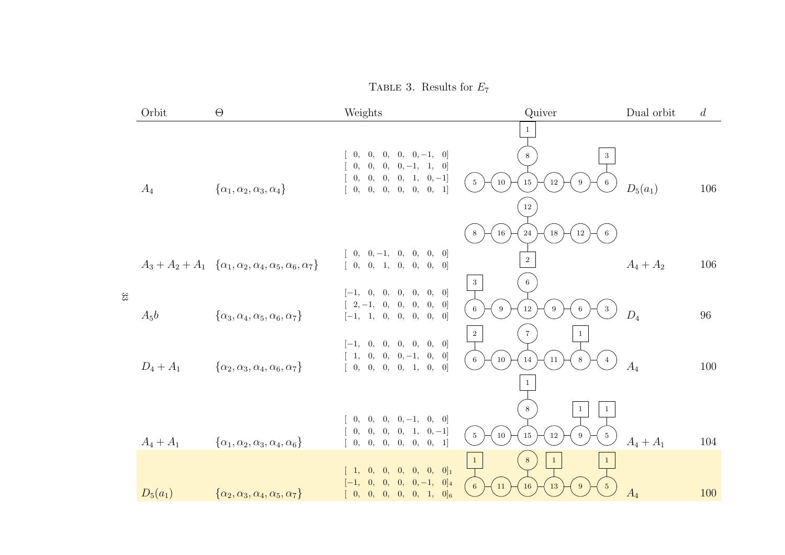TABLE 3. Results for  $E_7$ 

|        | Orbit       | $\Theta$                                                                           | Weights                                                                                                                                                                                       | Quiver                                                                                                           | Dual orbit  | $\overline{d}$ |
|--------|-------------|------------------------------------------------------------------------------------|-----------------------------------------------------------------------------------------------------------------------------------------------------------------------------------------------|------------------------------------------------------------------------------------------------------------------|-------------|----------------|
|        | $A_4$       | $\{\alpha_1, \alpha_2, \alpha_3, \alpha_4\}$                                       | $[0, 0, 0, 0, 0, -1, 0]$<br>$[0, 0, 0, 0, -1, 1, 0]$<br>$\left[\begin{array}{cccccc} 0, & 0, & 0, & 0, & 1, & 0, -1\end{array}\right]$<br>[0, 0, 0, 0, 0, 0, 1]                               | $8\phantom{.0}$<br>$\sqrt{3}$<br>$5\phantom{.0}$<br>$10\,$<br>$15\,$<br>$\,6\,$<br>$12\,$<br>9<br>$12\,$         | $D_5(a_1)$  | 106            |
|        |             | $A_3 + A_2 + A_1 \{ \alpha_1, \alpha_2, \alpha_4, \alpha_5, \alpha_6, \alpha_7 \}$ | $[0, 0, -1, 0, 0, 0, 0]$<br>[0, 0, 1, 0, 0, 0, 0]                                                                                                                                             | $16\,$<br>24<br>$18\,$<br>$12\,$<br>$\,6\,$<br>8<br>$\mathbf{2}$<br>$\,$ 3 $\,$<br>$6\phantom{.0}$               | $A_4 + A_2$ | 106            |
| $33\,$ | $A_5b$      | $\{\alpha_3,\alpha_4,\alpha_5,\alpha_6,\alpha_7\}$                                 | $[-1, 0, 0, 0, 0, 0, 0]$<br>$2,-1, \quad 0, \quad 0, \quad 0, \quad 0,$<br>[0]<br>$[-1, 1, 0, 0, 0, 0, 0]$                                                                                    | $12\,$<br>$\,6\,$<br>$9\,$<br>$\sqrt{3}$<br>9<br>6<br>$\,2\,$<br>$\overline{7}$<br>$\mathbf{1}$                  | $D_4$       | 96             |
|        | $D_4 + A_1$ | $\{\alpha_2, \alpha_3, \alpha_4, \alpha_6, \alpha_7\}$                             | $[-1, 0, 0, 0, 0, 0, 0]$<br>$[1, 0, 0, 0, -1, 0,$<br>$\vert 0 \vert$<br>[0, 0, 0, 0, 1, 0,<br> 0                                                                                              | $10\,$<br>$6\,$<br>14<br>8<br>$\overline{4}$<br>11<br>$\mathbf{1}$                                               | $A_4$       | 100            |
|        | $A_4 + A_1$ | $\{\alpha_1, \alpha_2, \alpha_3, \alpha_4, \alpha_6\}$                             | $[0, 0, 0, 0, -1, 0, 0]$<br>$\left[\begin{array}{cccccc} 0, & 0, & 0, & 0, & 1, & 0, -1\end{array}\right]$<br>$\left[\begin{array}{cccccc} 0, & 0, & 0, & 0, & 0, & 0, & 1\end{array}\right]$ | $\,$ 8 $\,$<br>$\mathbf{1}$<br>$\mathbf{1}$<br>$\,$ 5 $\,$<br>$5\phantom{.0}$<br>$10\,$<br>$15\,$<br>$12\,$<br>9 | $A_4 + A_1$ | 104            |
|        | $D_5(a_1)$  | $\{\alpha_2, \alpha_3, \alpha_4, \alpha_5, \alpha_7\}$                             | $[1, 0, 0, 0, 0, 0, 0]_1$<br>$[-1, 0, 0, 0, 0, -1, 0]_4$<br>[0, 0, 0, 0, 0, 1, 0]                                                                                                             | $\,$ 8 $\,$<br>$\mathbf{1}$<br>$\mathbf{1}$<br>$6\overline{6}$<br>$11\,$<br>$\sqrt{5}$<br>16<br>13<br>9          | $A_4$       | 100            |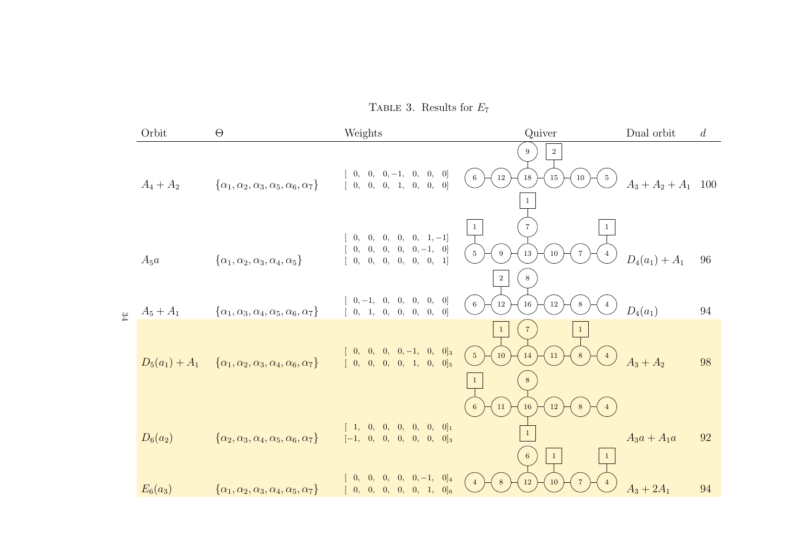TABLE 3. Results for  $E_7$ 

|               | Orbit            | $\Theta$                                                         | Weights                                                                                                                     | Quiver                                                                                         | Dual orbit            | d  |
|---------------|------------------|------------------------------------------------------------------|-----------------------------------------------------------------------------------------------------------------------------|------------------------------------------------------------------------------------------------|-----------------------|----|
|               | $A_4 + A_2$      | $\{\alpha_1, \alpha_2, \alpha_3, \alpha_5, \alpha_6, \alpha_7\}$ | $0, 0, 0, -1, 0, 0,$<br> 0 <br>$\left[\begin{array}{cccccc} 0, & 0, & 0, & 1, & 0, & 0, & 0 \end{array}\right]$             | $\,2$<br>9<br>$12\,$<br>$18\,$<br>$\,6\,$<br>$\sqrt{5}$<br>$15\,$<br>10                        | $A_3 + A_2 + A_1$ 100 |    |
|               | $A_5a$           | $\{\alpha_1, \alpha_2, \alpha_3, \alpha_4, \alpha_5\}$           | $0, 0, 0, 0, 0, 1, -1]$<br>$\begin{bmatrix} 0, & 0, & 0, & 0, & -1, & 0 \end{bmatrix}$<br>[0, 0, 0, 0, 0, 0, 1]             | $\overline{7}$<br>$\,$ 5 $\,$<br>$9\,$<br>$13\,$<br>$10\,$<br>$\overline{4}$<br>$\,2$<br>8     | $D_4(a_1) + A_1$      | 96 |
| $\frac{8}{4}$ | $A_5 + A_1$      | $\{\alpha_1, \alpha_3, \alpha_4, \alpha_5, \alpha_6, \alpha_7\}$ | $[0, -1, 0, 0, 0, 0, 0]$<br>$\vert 0 \vert$<br>$\left[\begin{array}{cccccc} 0, & 1, & 0, & 0, & 0, & 0, \end{array}\right]$ | $12\,$<br>$6\,$<br>$16\,$<br>$12\,$<br>8<br>$\overline{4}$                                     | $D_4(a_1)$            | 94 |
|               | $D_5(a_1) + A_1$ | $\{\alpha_1, \alpha_2, \alpha_3, \alpha_4, \alpha_6, \alpha_7\}$ | $[0, 0, 0, 0, -1, 0, 0]_3$<br>[0, 0, 0, 0, 1, 0, 0]                                                                         | $\overline{7}$<br>$\mathbf{1}$<br>5 <sup>5</sup><br>10<br>14<br>8<br>$\overline{4}$<br>11<br>8 | $A_3 + A_2$           | 98 |
|               | $D_6(a_2)$       | $\{\alpha_2, \alpha_3, \alpha_4, \alpha_5, \alpha_6, \alpha_7\}$ | $[1, 0, 0, 0, 0, 0, 0]_1$<br>$\left[-1,\quad 0,\quad 0,\quad 0,\quad 0,\quad 0,\quad 0\right]_{3}$                          | $11\,$<br>$16\,$<br>$12\,$<br>6<br>8<br>$\mathbf{1}$<br>$\vert 1 \vert$<br>6<br>$\mathbf{1}$   | $A_3a + A_1a$         | 92 |
|               | $E_6(a_3)$       | $\{\alpha_1, \alpha_2, \alpha_3, \alpha_4, \alpha_5, \alpha_7\}$ | $[0, 0, 0, 0, 0, -1, 0]_4$<br>$[0, 0, 0, 0, 0, 1, 0]_6$                                                                     | $12\,$<br>8<br>10                                                                              | $A_3 + 2A_1$          | 94 |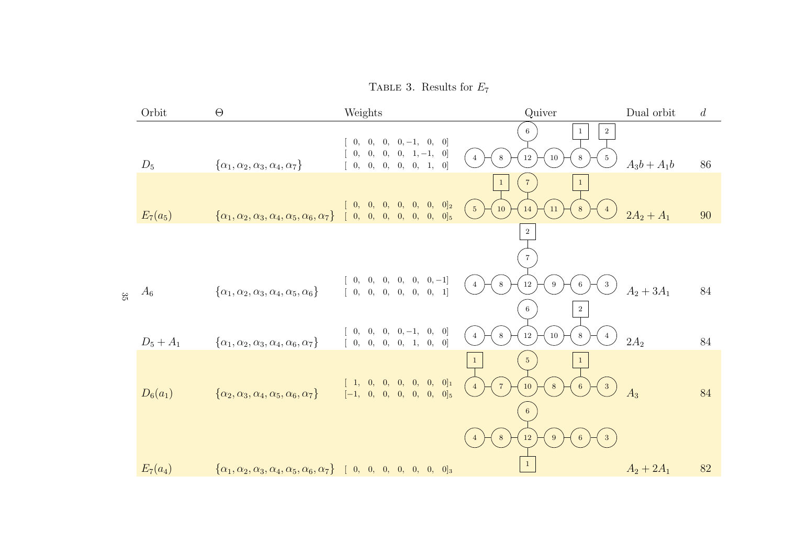TABLE 3. Results for  $E_7$ 

|     | Orbit       | $\Theta$                                                                                                       | Weights                                                                                                      | Quiver                                                                                                                 | Dual orbit    | d  |
|-----|-------------|----------------------------------------------------------------------------------------------------------------|--------------------------------------------------------------------------------------------------------------|------------------------------------------------------------------------------------------------------------------------|---------------|----|
|     | $D_5$       | $\{\alpha_1, \alpha_2, \alpha_3, \alpha_4, \alpha_7\}$                                                         | $0, 0, 0, 0, -1, 0, 0]$<br>$0, 0, 0, 0, 1, -1, 0]$<br>[0, 0, 0, 0, 0, 1, 0]                                  | $\overline{2}$<br>6<br>$\mathbf{1}$<br>12<br>$10\,$<br>8<br>8<br>$5\phantom{.0}$<br>$\overline{4}$                     | $A_3b + A_1b$ | 86 |
|     | $E_7(a_5)$  | $\{\alpha_1, \alpha_2, \alpha_3, \alpha_4, \alpha_5, \alpha_6, \alpha_7\}$ [ 0, 0, 0, 0, 0, 0, 0] <sub>5</sub> | $[0, 0, 0, 0, 0, 0, 0, 0]_2$                                                                                 | $\sqrt{7}$<br>$\mathbf{1}$<br>$\mathbf{1}$<br>$\overline{5}$<br>10<br>11<br>14<br>8<br>$\overline{4}$<br>$\,2$         | $2A_2 + A_1$  | 90 |
| ಜ್ಞ | $A_6$       | $\{\alpha_1, \alpha_2, \alpha_3, \alpha_4, \alpha_5, \alpha_6\}$                                               | $\begin{array}{cccccc} 0, & 0, & 0, & 0, & 0, & 0, -1 \end{array}$<br>[0, 0, 0, 0, 0, 0, 0, 1]               | $12\,$<br>$8\,$<br>$\sqrt{3}$<br>9<br>4<br>6<br>$\overline{2}$                                                         | $A_2 + 3A_1$  | 84 |
|     | $D_5 + A_1$ | $\{\alpha_1, \alpha_2, \alpha_3, \alpha_4, \alpha_6, \alpha_7\}$                                               | $[0, 0, 0, 0, -1, 0, 0]$<br>$\left[\begin{array}{cccccc} 0, & 0, & 0, & 0, & 1, & 0, & 0 \end{array}\right]$ | $8\,$<br>$12\,$<br>$10\,$<br>8<br>$\overline{4}$<br>$\overline{4}$                                                     | $2A_2$        | 84 |
|     | $D_6(a_1)$  | $\{\alpha_2, \alpha_3, \alpha_4, \alpha_5, \alpha_6, \alpha_7\}$                                               | $[1, 0, 0, 0, 0, 0, 0]_1$<br>$[-1, 0, 0, 0, 0, 0, 0]$                                                        | 5 <sub>5</sub><br>$\mathbf{1}$<br>$\overline{7}$<br>10<br>8<br>$\overline{3}$<br>6<br>$\overline{4}$<br>$6\phantom{.}$ | $A_3$         | 84 |
|     | $E_7(a_4)$  | $\{\alpha_1, \alpha_2, \alpha_3, \alpha_4, \alpha_5, \alpha_6, \alpha_7\}$ [ 0, 0, 0, 0, 0, 0, 0] <sub>3</sub> |                                                                                                              | $12\,$<br>8<br>9                                                                                                       | $A_2 + 2A_1$  | 82 |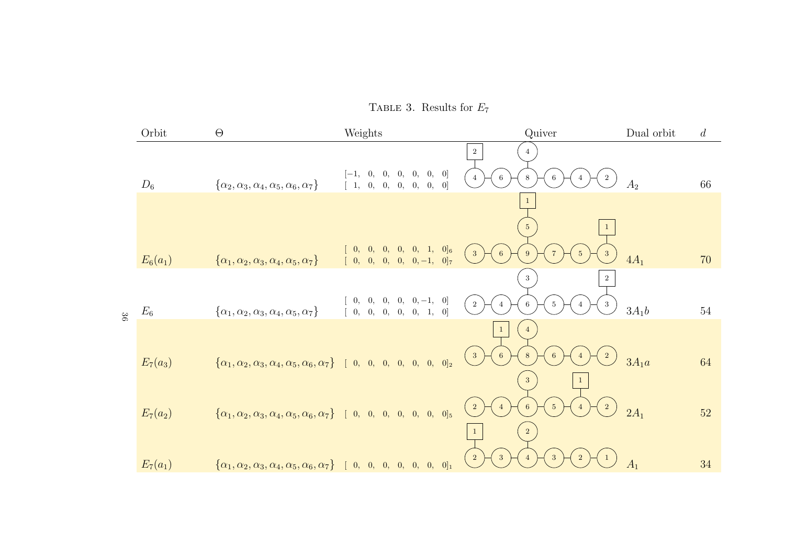TABLE 3. Results for  $E_7$ 

|    | Orbit           | $\Theta$                                                                                                       | Weights                                                                                                                    | Quiver                                                                                                                | Dual orbit     | $\overline{d}$ |
|----|-----------------|----------------------------------------------------------------------------------------------------------------|----------------------------------------------------------------------------------------------------------------------------|-----------------------------------------------------------------------------------------------------------------------|----------------|----------------|
|    | $D_6$           | $\{\alpha_2, \alpha_3, \alpha_4, \alpha_5, \alpha_6, \alpha_7\}$                                               | 0, 0, 0]<br>0,<br>0, 0,<br>$ -1,$<br>[0, 0, 0]<br>0, 0, 0,<br>$\begin{bmatrix} 1, \end{bmatrix}$                           | $\,2\,$<br>$6\phantom{1}6$<br>8<br>6<br>$\overline{4}$<br>$\overline{2}$                                              | A <sub>2</sub> | 66             |
|    |                 |                                                                                                                |                                                                                                                            | $5\phantom{.0}$<br>$\mathbf{1}$                                                                                       |                |                |
| 98 | $E_6(a_1)$      | $\{\alpha_1, \alpha_2, \alpha_3, \alpha_4, \alpha_5, \alpha_7\}$                                               | $[0, 0, 1, 0]_6$<br>0,<br>$\vert 0, \vert$<br>$\begin{bmatrix} 0, \end{bmatrix}$<br>$[0, 0, 0, 0, 0, -1, 0]$               | $3\phantom{.0}$<br>$\sqrt{3}$<br>6<br>9<br>$\overline{5}$                                                             | $4A_1$         | 70             |
|    | $\mathcal{E}_6$ | $\{\alpha_1, \alpha_2, \alpha_3, \alpha_4, \alpha_5, \alpha_7\}$                                               | $0, 0, 0, -1, 0]$<br>$\begin{bmatrix} 0, & 0, \end{bmatrix}$<br>[0, 0, 0, 1, 0]<br>$\begin{bmatrix} 0, & 0, \end{bmatrix}$ | $\sqrt{3}$<br>$\,2$<br>$\overline{2}$<br>$6\phantom{.}6$<br>$\mathbf{3}$<br>$\overline{5}$<br>$\overline{4}$          | $3A_1b$        | $54\,$         |
|    |                 |                                                                                                                |                                                                                                                            | $\overline{4}$<br>$\mathbf{1}$<br>$\,$ 2 $\,$<br>$\overline{\mathbf{3}}$<br>$\,6\,$<br>$\,8\,$<br>$6\phantom{.}6$     |                |                |
|    | $E_7(a_3)$      | $\{\alpha_1, \alpha_2, \alpha_3, \alpha_4, \alpha_5, \alpha_6, \alpha_7\}$ [ 0, 0, 0, 0, 0, 0, 0] <sub>2</sub> |                                                                                                                            | $3\phantom{.0}$<br>$\mathbf{1}$                                                                                       | $3A_1a$        | 64             |
|    | $E_7(a_2)$      | $\{\alpha_1, \alpha_2, \alpha_3, \alpha_4, \alpha_5, \alpha_6, \alpha_7\}$ [ 0, 0, 0, 0, 0, 0, 0] <sub>5</sub> |                                                                                                                            | $\sqrt{2}$<br>$\begin{pmatrix} 2 \end{pmatrix}$<br>$5\phantom{.0}$<br>$\overline{4}$<br>$6\phantom{.}6$<br>$\sqrt{2}$ | $2A_1$         | 52             |
|    | $E_7(a_1)$      | $\{\alpha_1, \alpha_2, \alpha_3, \alpha_4, \alpha_5, \alpha_6, \alpha_7\}$ [ 0, 0, 0, 0, 0, 0, 0] <sub>1</sub> |                                                                                                                            | $\overline{2}$<br>3 <sup>5</sup><br>$\sqrt{2}$<br>3 <sup>2</sup><br>$\overline{4}$                                    | A <sub>1</sub> | 34             |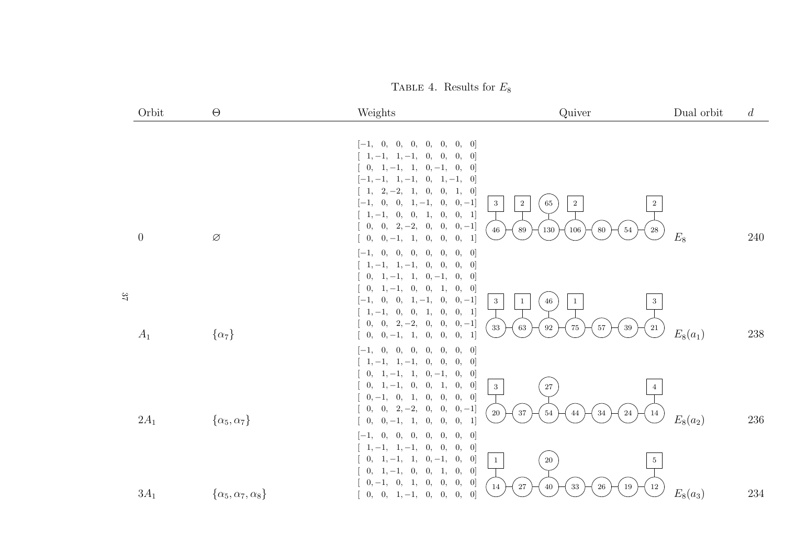TABLE 4. Results for  $E_8$ 

|    | Orbit            | $\Theta$                           | Weights                                                                                                                                                                                                                                                                                                                                                                                                                          | Quiver                                                                                                          | Dual orbit | $\overline{d}$ |
|----|------------------|------------------------------------|----------------------------------------------------------------------------------------------------------------------------------------------------------------------------------------------------------------------------------------------------------------------------------------------------------------------------------------------------------------------------------------------------------------------------------|-----------------------------------------------------------------------------------------------------------------|------------|----------------|
|    |                  |                                    | $[-1, 0, 0,$<br>[0, 0, 0, 0, 0]<br>$\begin{bmatrix} 1, -1, 1, -1, 0, 0, \end{bmatrix}$<br>[0, 0]<br>$0, 1, -1, 1, 0, -1, 0,$<br> 0 <br>$[-1, -1, 1, -1, 0, 1, -1, 0]$<br>$\begin{bmatrix} 1, & 2, -2, & 1, & 0, & 0, & 1, & 0 \end{bmatrix}$<br>$0, 0, 1, -1, 0, 0, -1]$<br>$[-1,$<br>$\mathbf{3}$<br>$\left[\begin{array}{cccccc} 1,-1,&0,&0,&1,&0, \end{array}\right.$<br>[0, 1]<br>$0, 0, 2, -2, 0, 0, 0, -1]$<br>$\sqrt{46}$ | $\,2$<br>$\,2$<br>$65\,$<br>$\overline{2}$<br>89<br>$130\,$<br>$106\,$<br>$54\,$<br>$\bf 28$<br>$80\,$          |            |                |
|    | $\boldsymbol{0}$ | Ø                                  | $0, 0, -1, 1, 0, 0,$<br>[0, 1]<br>0,<br>0,<br>0,<br>[0, 0]<br>$[-1,$<br>0,<br>0,<br>$\begin{bmatrix} 1, -1, 1, -1, 0, 0, \end{bmatrix}$<br>0,<br>$\vert 0 \vert$                                                                                                                                                                                                                                                                 |                                                                                                                 | $E_8$      | 240            |
| 27 |                  |                                    | $0, 1, -1, 1, 0, -1, 0,$<br> 0 <br>$0, 1, -1, 0, 0, 1,$<br>[0, 0]<br>$0, 0, 1, -1, 0, 0, -1]$<br>$[-1,$<br>3<br>$[1, -1, 0, 0, 1, 0,$<br>[0, 1]<br>$0, 0, 2, -2, 0, 0, 0, -1]$<br>$33\,$                                                                                                                                                                                                                                         | $\sqrt{46}$<br>$\mathbf{1}$<br>$\mathbf{1}$<br>3<br>$63\,$<br>$\bf{92}$<br>$75\,$<br>$39\,$<br>$57\,$<br>$21\,$ |            | $238\,$        |
|    | $A_1$            | $\{\alpha_7\}$                     | $0, 0, -1, 1, 0, 0, 0, 1]$<br>[0, 0, 0, 0]<br>$[-1, 0, 0, 0,$<br>0,<br>$[1, -1, 1, -1, 0, 0, 0, 0]$<br>$0, 1, -1, 1, 0, -1, 0,$<br>$\vert 0 \vert$                                                                                                                                                                                                                                                                               |                                                                                                                 | $E_8(a_1)$ |                |
|    | $2A_1$           | $\{\alpha_5, \alpha_7\}$           | $0, 1, -1, 0, 0, 1, 0, 0]$<br>3<br>$0,-1,\phantom{-}0,\phantom{-}1,\phantom{-}0,\phantom{-}0,$<br>[0, 0]<br>$0, 0, 2, -2, 0, 0, 0, -1]$<br>$20\,$<br>$0, 0, -1, 1, 0, 0, 0, 1]$                                                                                                                                                                                                                                                  | $27\,$<br>$37\,$<br>$54\,$<br>$24\,$<br>$\bf 44$<br>$34\,$<br>14                                                | $E_8(a_2)$ | $236\,$        |
|    |                  |                                    | $[-1, 0, 0,$<br>0, 0, 0,<br>$\vert 0 \vert$<br>0,<br>$[1, -1, 1, -1, 0, 0, 0, 0]$<br>$1, -1, 1, 0, -1,$<br>0,<br>$\vert 0 \vert$<br>0,<br>$\mathbf{1}$<br>$0, 1, -1, 0, 0, 1, 0,$<br>$\vert 0 \vert$                                                                                                                                                                                                                             | $20\,$<br>$5\overline{)}$                                                                                       |            |                |
|    | $3A_1$           | $\{\alpha_5, \alpha_7, \alpha_8\}$ | $0, -1, 0, 1, 0, 0,$<br>[0, 0]<br>14<br>$[0, 0, 1, -1, 0, 0,$<br>$\vert 0 \vert$<br>0,                                                                                                                                                                                                                                                                                                                                           | $27\,$<br>$40\,$<br>$33\,$<br>$19\,$<br>$26\,$<br>$12\,$                                                        | $E_8(a_3)$ | 234            |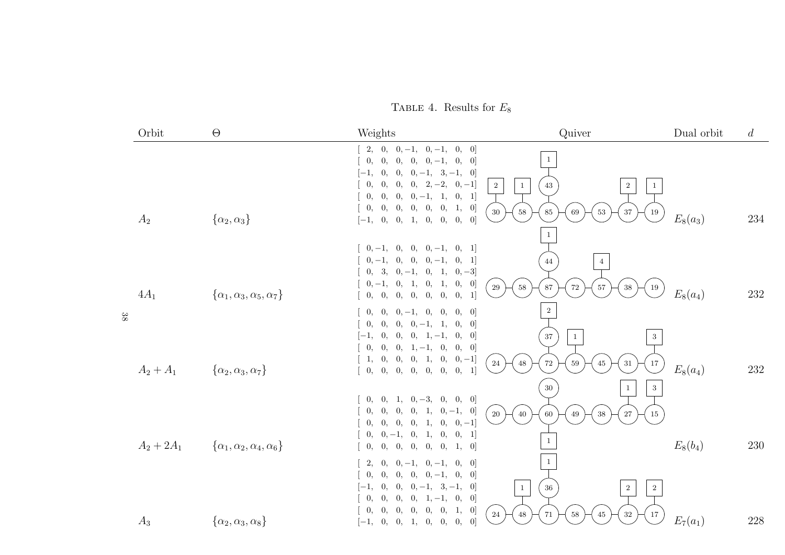TABLE 4. Results for  $E_8$ 

|        | Orbit        | $\Theta$                                     | Weights                                                                                                                                                                                                                                                                                                                                                                                                                                                                        | Quiver                                                                                                                                 | Dual orbit | $\boldsymbol{d}$ |
|--------|--------------|----------------------------------------------|--------------------------------------------------------------------------------------------------------------------------------------------------------------------------------------------------------------------------------------------------------------------------------------------------------------------------------------------------------------------------------------------------------------------------------------------------------------------------------|----------------------------------------------------------------------------------------------------------------------------------------|------------|------------------|
|        | $A_2$        | $\{\alpha_2,\alpha_3\}$                      | $2, 0, 0, -1, 0, -1,$<br>0,<br>$\vert 0 \vert$<br>$\begin{bmatrix} 0, & 0, \end{bmatrix}$<br>$0, 0, 0, -1,$<br>0,<br>$\vert 0 \vert$<br>0,<br>$[-1,$<br>$0, 0, -1, 3, -1, 0$<br>$0, 0, 2, -2,$<br>$\begin{bmatrix} 0, \end{bmatrix}$<br>$\mathbf{0},$<br>$[0,-1]$<br>$\begin{bmatrix} 0, \end{bmatrix}$<br>$\vert 0, \vert$<br>$0, 0, -1, 1,$<br>[0, 1]<br>0,<br>0, 0, 0, 0, 1,<br>$\begin{bmatrix} 0, \end{bmatrix}$<br>[0]<br>$[-1, 0, 0, 1, 0, 0,$<br>0,<br>$\vert 0 \vert$ | $\mathbf{1}$<br>$\overline{2}$<br>$\,2$<br>43<br>$\mathbf{1}$<br>$\mathbf{1}$<br>30<br>$37\,$<br>58<br>$85\,$<br>69<br>$53\,$<br>19    | $E_8(a_3)$ | 234              |
|        | $4A_1$       | $\{\alpha_1, \alpha_3, \alpha_5, \alpha_7\}$ | $[0, -1, 0,$<br>$0, 0, -1,$<br>[0, 1]<br>$0, -1, 0, 0, 0, -1,$<br>[0, 1]<br>$0, 3, 0, -1, 0, 1,$<br>$[0, -3]$<br>$0, -1, 0, 1, 0, 1,$<br>[0, 0]<br>$\begin{bmatrix} 0, & 0, & 0, & 0, & 0, & 0, \end{bmatrix}$<br>0,<br> 1                                                                                                                                                                                                                                                     | $\mathbf{1}$<br>44<br>$\overline{4}$<br>87<br>29<br>58<br>$\rm 72$<br>$57\,$<br>$38\,$<br>$19\,$                                       | $E_8(a_4)$ | 232              |
| $38\,$ | $A_2 + A_1$  | $\{\alpha_2, \alpha_3, \alpha_7\}$           | $[0, 0, 0, -1, 0,$<br>0,<br>$\vert 0 \vert$<br>0,<br>0,<br>$\begin{bmatrix} 0, \end{bmatrix}$<br>$0, 0, -1, 1,$<br>0,<br>$\vert 0 \vert$<br>$\left[-1, \quad 0,\right]$<br>$0, 0, 1, -1,$<br>0,<br>$\vert 0 \vert$<br>$\begin{bmatrix} 0, & 0, \end{bmatrix}$<br>$0, 1, -1, 0,$<br>[0, 0]<br>$\left[\begin{array}{ccc} 1, & 0, \end{array}\right]$<br>$[0, 0, 1, 0, 0, -1]$<br>[0, 1]                                                                                          | $\,2$<br>$37\,$<br>3<br>$\mathbf{1}$<br>48<br>$72\,$<br>24<br>$\rm 45$<br>$17\,$<br>$59\,$<br>$31\,$                                   | $E_8(a_4)$ | 232              |
|        | $A_2 + 2A_1$ | $\{\alpha_1, \alpha_2, \alpha_4, \alpha_6\}$ | $0, 1, 0, -3,$<br>$\begin{bmatrix} 0, \end{bmatrix}$<br>[0, 0, 0]<br>$\begin{bmatrix} 0, & 0, \end{bmatrix}$<br>$[0, 0, 1, 0, -1, 0]$<br>[0, 0, 0, 0, 1, 0,<br>$[0,-1]$<br>$0, 0, -1, 0, 1, 0,$<br>[0, 1]<br>0,<br>0,<br>0, 0, 0,<br>1,<br>$\left[0\right]$<br>0,                                                                                                                                                                                                              | $30\,$<br>$\,3\,$<br>$\mathbf{1}$<br>$20\,$<br>$15\,$<br>40<br>$27\,$<br>60<br>49<br>$38\,$<br>$\mathbf{1}$                            | $E_8(b_4)$ | 230              |
|        | $A_3$        | $\{\alpha_2,\alpha_3,\alpha_8\}$             | $\begin{bmatrix} 2, & 0, & 0, -1, & 0, -1, \end{bmatrix}$<br>$\vert 0 \vert$<br>0,<br>0,<br>$\begin{bmatrix} 0, \end{bmatrix}$<br>$0, 0, 0, -1,$<br>0,<br>$\vert 0 \vert$<br>0,<br>$0, 0, -1, 3, -1,$<br>$[-1,$<br>$\vert 0 \vert$<br>$\begin{bmatrix} 0, \end{bmatrix}$<br>$\theta$ ,<br>$0, 0, 1, -1, 0, 0]$<br>$\theta$ ,<br>$\begin{bmatrix} 0, \end{bmatrix}$<br>$\theta$ ,<br>0, 0, 0,<br>1,<br>$\vert 0 \vert$<br>0,<br>[0]<br>$[-1, 0, 0, 1, 0, 0,$                    | 1<br>$36\,$<br>$\boldsymbol{2}$<br>$\boldsymbol{2}$<br>$\mathbf{1}$<br>$\sqrt{24}$<br>$48\,$<br>$32\,$<br>$45\,$<br>71<br>$17\,$<br>58 | $E_7(a_1)$ | 228              |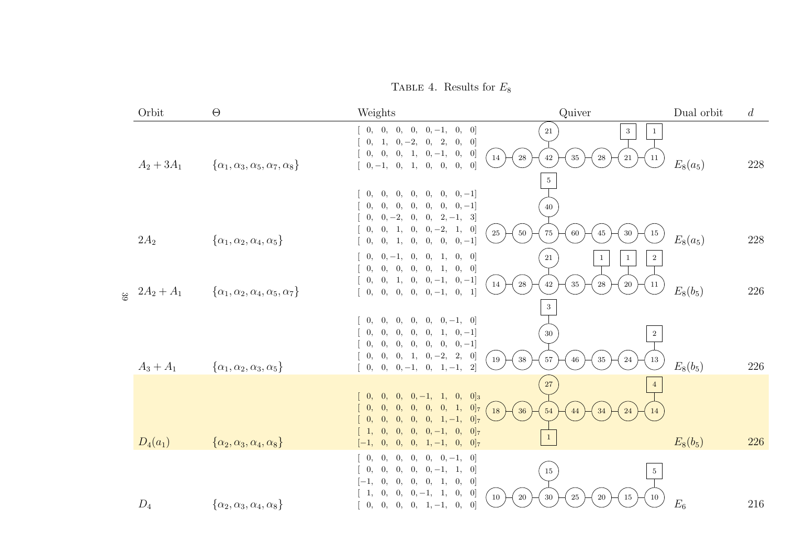TABLE 4. Results for  $E_8$ 

| Orbit                                            | $\Theta$                                               | Weights                                                                                                                                                                                           | Quiver                                                                                                       | Dual orbit | d   |
|--------------------------------------------------|--------------------------------------------------------|---------------------------------------------------------------------------------------------------------------------------------------------------------------------------------------------------|--------------------------------------------------------------------------------------------------------------|------------|-----|
| $A_2 + 3A_1$                                     | $\{\alpha_1, \alpha_3, \alpha_5, \alpha_7, \alpha_8\}$ | $[0, 0, 0, 0, 0, -1, 0, 0]$<br>$0, 1, 0, -2, 0, 2,$<br>[0, 0]<br>$\begin{bmatrix} 0, & 0, & 0, & 1, & 0, -1, & 0, & 0 \end{bmatrix}$<br>14<br>$\sqrt{28}$<br>$[0, -1, 0, 1, 0, 0, 0, 0]$          | 21<br>3<br>$42\,$<br>$35\,$<br>$21\,$<br>${\bf 28}$<br>11                                                    | $E_8(a_5)$ | 228 |
|                                                  |                                                        | 0, 0,<br>$[0, 0, 0, 0, 0, -1]$<br>$0, 0, 0, 0, 0, 0, 0, -1]$<br>$0, 0, -2, 0, 0, 2, -1, 3$<br>$0, 0, 1, 0, 0, -2, 1, 0]$<br>$25\,$<br>$50\,$                                                      | $\overline{5}$<br>40<br>$30\,$<br>$75\,$<br>$60\,$<br>$\rm 45$<br>15                                         |            |     |
| $2A_2$                                           | $\{\alpha_1, \alpha_2, \alpha_4, \alpha_5\}$           | $0, 0, 1, 0, 0, 0, 0, -1$                                                                                                                                                                         |                                                                                                              | $E_8(a_5)$ | 228 |
| $\int_{\infty}$ 2A <sub>2</sub> + A <sub>1</sub> | $\{\alpha_1, \alpha_2, \alpha_4, \alpha_5, \alpha_7\}$ | $0, 0, -1, 0, 0, 1, 0, 0]$<br>[0, 0, 0, 0, 0, 1, 0, 0]<br>$\left[\begin{array}{cccccc} 0, & 0, & 1, & 0, & 0, -1, & 0, -1 \end{array}\right]$<br>14<br>$\sqrt{28}$<br>$[0, 0, 0, 0, 0, -1, 0, 1]$ | $21\,$<br>$\boldsymbol{2}$<br>$\mathbf{1}$<br>$\mathbf{1}$<br>$35\,$<br>$42\,$<br>$20\,$<br>${\bf 28}$<br>11 | $E_8(b_5)$ | 226 |
|                                                  |                                                        |                                                                                                                                                                                                   | $\sqrt{3}$                                                                                                   |            |     |
|                                                  |                                                        | $[0, 0, 0, 0, 0, 0, -1, 0]$                                                                                                                                                                       |                                                                                                              |            |     |
|                                                  |                                                        | $0, 0, 0, 0, 0, 1, 0, -1$<br>$0, 0, 0, 0, 0, 0, 0, -1]$                                                                                                                                           | 30<br>$\overline{2}$                                                                                         |            |     |
| $A_3 + A_1$                                      | $\{\alpha_1, \alpha_2, \alpha_3, \alpha_5\}$           | $0, 0, 0, 1, 0, -2, 2, 0]$<br>19<br>$38\,$<br>$0, 0, 0, -1, 0, 1, -1, 2$                                                                                                                          | $57\,$<br>$35\,$<br>24<br>46<br>13                                                                           | $E_8(b_5)$ | 226 |
|                                                  |                                                        |                                                                                                                                                                                                   | $27\,$<br>$\overline{4}$                                                                                     |            |     |
|                                                  |                                                        | $[0, 0, 0, 0, -1, 1, 0, 0]_3$<br>[0, 0, 0, 0, 0, 0, 1, 0]<br>18<br>36                                                                                                                             | 54<br>$\sqrt{24}$<br>44<br>34<br>14                                                                          |            |     |
|                                                  |                                                        | $[0, 0, 0, 0, 1, -1, 0]$<br>$\begin{bmatrix} 0, \end{bmatrix}$                                                                                                                                    |                                                                                                              |            |     |
| $D_4(a_1)$                                       | $\{\alpha_2, \alpha_3, \alpha_4, \alpha_8\}$           | $[0, 0, 0, -1, 0, 0]$<br>0,<br>$\boxed{1}$<br>$[0, 0, 1, -1, 0, 0]$<br>$[-1, 0,$                                                                                                                  | -1                                                                                                           | $E_8(b_5)$ | 226 |
|                                                  |                                                        | 0,<br>$[0, 0, 0, 0, -1, 0]$<br>0,<br>$0, 0, 0, -1, 1, 0]$<br>0,<br>0,                                                                                                                             |                                                                                                              |            |     |
|                                                  |                                                        | [0, 0, 0, 1, 0, 0]<br>$\vert 0, \vert$<br>$ -1,$                                                                                                                                                  | $15\,$<br>$5\,$                                                                                              |            |     |
| $D_4$                                            | $\{\alpha_2, \alpha_3, \alpha_4, \alpha_8\}$           | $0, 0, -1, 1, 0, 0]$<br>1, 0,<br>$10\,$<br>$20\,$<br>$\vert 0 \vert$<br>$[0, 0, 0, 0, 1, -1, 0,$                                                                                                  | $25\,$<br>30<br>20<br>15<br>10                                                                               | $E_6$      | 216 |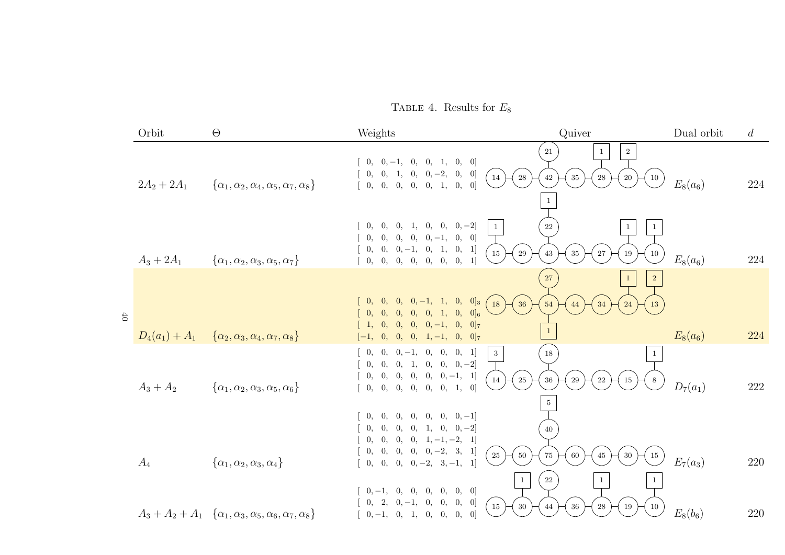TABLE 4. Results for  $E_8$ 

|                | Orbit         | $\Theta$                                                                           | Weights                                                                                                                                                     | Quiver                                                                                       | Dual orbit | $\overline{d}$ |
|----------------|---------------|------------------------------------------------------------------------------------|-------------------------------------------------------------------------------------------------------------------------------------------------------------|----------------------------------------------------------------------------------------------|------------|----------------|
|                | $2A_2 + 2A_1$ | $\{\alpha_1, \alpha_2, \alpha_4, \alpha_5, \alpha_7, \alpha_8\}$                   | $[0, 0, -1, 0, 0, 1, 0, 0]$<br>$\begin{bmatrix} 0, & 0, & 1, & 0, & 0, -2, & 0, & 0 \end{bmatrix}$<br>[0, 0, 0, 0, 0, 1, 0, 0]                              | $\,2\,$<br>21<br>1<br>14<br>$\sqrt{28}$<br>$35\,$<br>$20\,$<br>$42\,$<br>$\sqrt{28}$<br>10   | $E_8(a_6)$ | 224            |
|                | $A_3 + 2A_1$  | $\{\alpha_1, \alpha_2, \alpha_3, \alpha_5, \alpha_7\}$                             | $0, 0, 0, 1, 0, 0, 0, -2]$<br>$\begin{bmatrix} 0, & 0, & 0, & 0, & -1, & 0, & 0 \end{bmatrix}$<br>$0, 0, 0, -1, 0, 1, 0, 1]$<br>[0, 0, 0, 0, 0, 0, 0, 0, 1] | 22<br>$\mathbf{1}$<br>15<br>$\,29$<br>$35\,$<br>$27\,$<br>43<br>19<br>10                     | $E_8(a_6)$ | 224            |
| 6 <sup>†</sup> |               | $D_4(a_1) + A_1 \quad {\alpha_2, \alpha_3, \alpha_4, \alpha_7, \alpha_8}$          | $[0, 0, -1, 1, 0, 0]_3$<br>0, 0,<br>$[0, 0, 0, 0, 0, 1, 0, 0]_6$<br>$[1, 0, 0, 0, 0, -1, 0, 0]$<br>$\vert 0, \vert$<br>$[0, 0, 1, -1, 0, 0]$<br>$[-1,$      | $\sqrt{27}$<br>$\overline{2}$<br>36<br>18<br>54<br>34<br>24<br>13<br>$\overline{1}$          | $E_8(a_6)$ | 224            |
|                | $A_3 + A_2$   | $\{\alpha_1, \alpha_2, \alpha_3, \alpha_5, \alpha_6\}$                             | $0, 0, -1, 0, 0, 0, 1$<br>0,<br>$0, 0, 1, 0, 0, 0, -2]$<br>0,<br>$0, 0, 0, 0, 0, 0, -1, 1$<br>[0, 0, 0, 0, 0, 0, 1, 0]                                      | $\mathbf{3}$<br>18<br>$25\,$<br>14<br>$36\,$<br>$\,29$<br>$22\,$<br>$15\,$<br>$\overline{5}$ | $D_7(a_1)$ | 222            |
|                | $A_4$         | $\{\alpha_1, \alpha_2, \alpha_3, \alpha_4\}$                                       | $0, 0, 0, 0, 0, 0, 0, -1$<br>$0, 0, 0, 0, 1, 0, 0, -2]$<br>$0, 0, 0, 0, 1, -1, -2, 1$<br>$0, 0, 0, 0, 0, -2, 3, 1$<br>$[0, 0, 0, 0, -2, 3, -1, 1]$          | 40<br>25<br>$50\,$<br>$75\,$<br>$30\,$<br>$60\,$<br>45<br>15<br>$22\,$<br>$\mathbf{1}$<br>1  | $E_7(a_3)$ | 220            |
|                |               | $A_3 + A_2 + A_1 \{ \alpha_1, \alpha_3, \alpha_5, \alpha_6, \alpha_7, \alpha_8 \}$ | $[0,-1, 0, 0, 0, 0, 0, 0]$<br>$[0, 2, 0, -1, 0, 0, 0, 0]$<br>$[0,-1, 0, 1, 0, 0, 0, 0]$                                                                     | $15\,$<br>$30\,$<br>$36\,$<br>${\bf 28}$<br>19<br>$44\,$<br>10                               | $E_8(b_6)$ | 220            |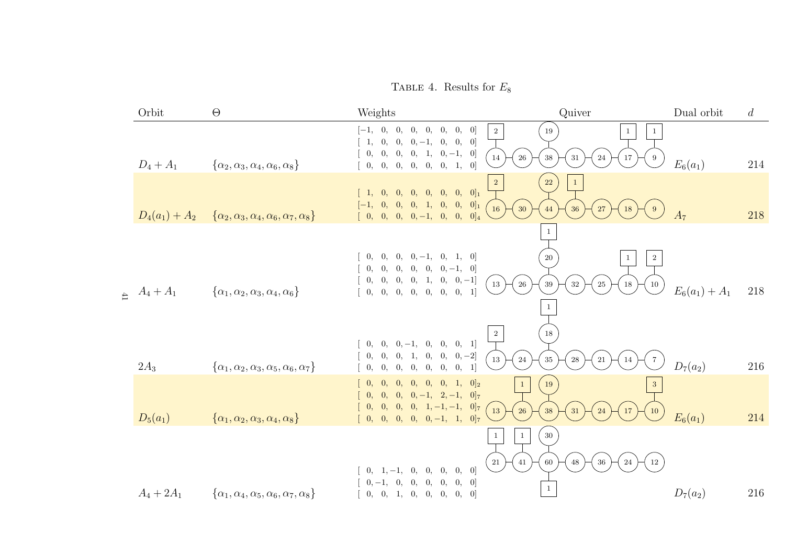TABLE 4. Results for  $E_8$ 

|                         | Orbit            | $\Theta$                                                         | Weights                                                                                                                                                        | Quiver                                                                                                        | Dual orbit       | $\overline{d}$ |
|-------------------------|------------------|------------------------------------------------------------------|----------------------------------------------------------------------------------------------------------------------------------------------------------------|---------------------------------------------------------------------------------------------------------------|------------------|----------------|
|                         | $D_4 + A_1$      | $\{\alpha_2, \alpha_3, \alpha_4, \alpha_6, \alpha_8\}$           | $[-1, 0, 0,$<br>[0, 0, 0, 0, 0]<br>$1, 0, 0, 0, -1, 0, 0, 0$<br>$0, 0, 0, 0, 1, 0, -1, 0]$<br>[0, 0, 0, 0, 0, 0, 1, 0]                                         | $\,2$<br>19<br>-1<br>$26\,$<br>$38\,$<br>$31\,$<br>14<br>24<br>$17\,$<br>9                                    | $E_6(a_1)$       | 214            |
|                         | $D_4(a_1) + A_2$ | $\{\alpha_2, \alpha_3, \alpha_4, \alpha_6, \alpha_7, \alpha_8\}$ | $[1, 0, 0, 0, 0, 0, 0, 0]_1$<br>$[-1, 0, 0, 0, 1, 0, 0, 0]_1$<br>$[0, 0, 0, 0, -1, 0, 0, 0]_4$                                                                 | 22<br>$\overline{\mathbf{2}}$<br>$\mathbf{1}$<br>$30\,$<br><sup>16</sup><br>27<br>44<br>$36\,$<br>$18\,$<br>9 | A <sub>7</sub>   | 218            |
| $\overline{\mathbb{H}}$ | $A_4 + A_1$      | $\{\alpha_1, \alpha_2, \alpha_3, \alpha_4, \alpha_6\}$           | $[0, 0, 0, 0, -1, 0, 1, 0]$<br>$0, 0, 0, 0, 0, 0, -1, 0$<br>$\begin{bmatrix} 0, & 0, & 0, & 0, & 1, & 0, & 0, -1 \end{bmatrix}$<br>[0, 0, 0, 0, 0, 0, 0, 0, 1] | 20<br>$\overline{2}$<br>13<br>$26\,$<br>$39\,$<br>$25\,$<br>$32\,$<br>$18\,$<br>10<br>1                       | $E_6(a_1) + A_1$ | 218            |
|                         | $2A_3$           | $\{\alpha_1, \alpha_2, \alpha_3, \alpha_5, \alpha_6, \alpha_7\}$ | $0, 0, 0, -1, 0, 0, 0, 1]$<br>$[0, 0, 0, 1, 0, 0, 0, -2]$<br>0, 0, 0, 0, 0, 0, 0, 1                                                                            | 18<br>$\overline{2}$<br>24<br>$13\,$<br>$35\,$<br>$\bf 28$<br>$21\,$<br>$14\,$                                | $D_7(a_2)$       | 216            |
|                         | $D_5(a_1)$       | $\{\alpha_1, \alpha_2, \alpha_3, \alpha_4, \alpha_8\}$           | $[0, 0, 0, 0, 0, 1, 0]_2$<br>$\theta$ ,<br>$[0, 0, 0, 0, -1, 2, -1, 0]$<br>$[0, 0, 0, 0, 1, -1, -1, 0]$<br>$[0, 0, 0, 0, 0, -1, 1, 0]$                         | $19\,$<br>$\,1\,$<br>13<br>$26\,$<br>38<br>$31\,$<br>$17\,$<br>24<br>10                                       | $E_6(a_1)$       | 214            |
|                         | $A_4 + 2A_1$     | $\{\alpha_1, \alpha_4, \alpha_5, \alpha_6, \alpha_7, \alpha_8\}$ | $0, 1, -1, 0, 0, 0, 0, 0]$<br>$0, -1, 0, 0, 0, 0, 0, 0]$<br>[0, 0, 1, 0, 0, 0, 0, 0]                                                                           | $30\,$<br>$1\,$<br>$\mathbf{1}$<br>41<br>$21\,$<br>60<br>$48\,$<br>$36\,$<br>$24\,$<br>$12\,$<br>$\mathbf{1}$ | $D_7(a_2)$       | 216            |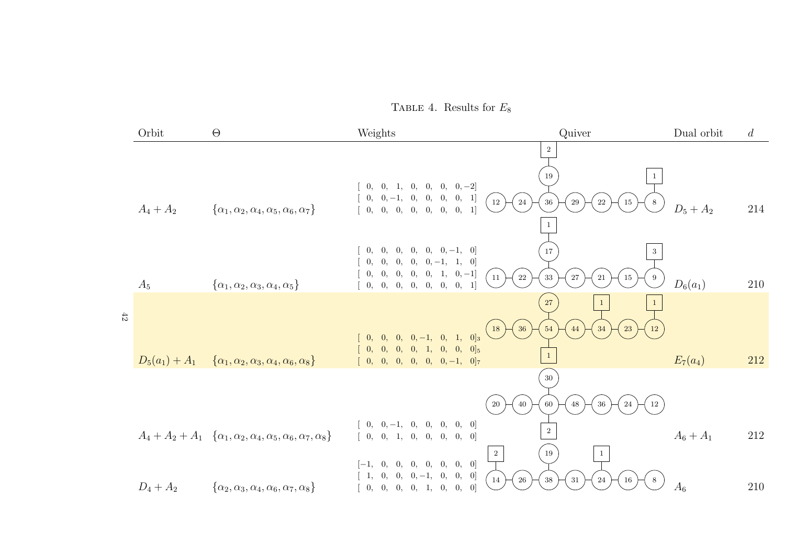TABLE 4. Results for  $E_8$ 

|        | Orbit            | $\Theta$                                                                                     | Weights                                                                                                                                                                                                                                             | Quiver                                                            | Dual orbit  | $\overline{d}$ |
|--------|------------------|----------------------------------------------------------------------------------------------|-----------------------------------------------------------------------------------------------------------------------------------------------------------------------------------------------------------------------------------------------------|-------------------------------------------------------------------|-------------|----------------|
|        | $A_4 + A_2$      | $\{\alpha_1, \alpha_2, \alpha_4, \alpha_5, \alpha_6, \alpha_7\}$                             | $0, 0, 1, 0, 0, 0, 0, -2$<br>$\left[\begin{array}{cccccc} 0, & 0, -1, & 0, & 0, & 0, & 0, & 1\end{array}\right]$<br>12<br>24<br>[0, 0, 0, 0, 0, 0, 0, 1]                                                                                            | 2<br>19<br>$36\,$<br>29<br>$22\,$<br>$15\,$<br>8                  | $D_5 + A_2$ | 214            |
|        | $A_5$            | $\{\alpha_1, \alpha_2, \alpha_3, \alpha_4, \alpha_5\}$                                       | 0,<br>$[0, 0, 0, -1, 0]$<br>0, 0,<br>$\begin{bmatrix} 0, & 0, & 0, & 0, & -1, & 1, & 0 \end{bmatrix}$<br>$\begin{bmatrix} 0, & 0, & 0, & 0, & 1, & 0, -1 \end{bmatrix}$<br>$ 11\rangle$<br>$22\,$<br>0, 0, 0, 0, 0, 0, 0, 0,<br>$\lceil$            | 17<br>3<br>$33\,$<br>$27\,$<br>$15\,$<br>21<br>9                  | $D_6(a_1)$  | 210            |
| $42\,$ | $D_5(a_1) + A_1$ | $\{\alpha_1, \alpha_2, \alpha_3, \alpha_4, \alpha_6, \alpha_8\}$                             | 36<br>18)<br>$[0, 0, 0, 0, -1, 0, 1, 0]_3$<br>$[0, 0, 0, 0, 1, 0, 0, 0]_5$<br>$[0, 0, 0, 0, 0, 0, -1, 0]$                                                                                                                                           | $27\,$<br>54<br>23<br>44<br>34<br>12<br>$\mathbf{1}$              | $E_7(a_4)$  | 212            |
|        |                  |                                                                                              | 40<br>20                                                                                                                                                                                                                                            | $30\,$<br>48<br>$36\,$<br>$\sqrt{24}$<br>60<br><b>12</b>          |             |                |
|        |                  | $A_4 + A_2 + A_1 \{ \alpha_1, \alpha_2, \alpha_4, \alpha_5, \alpha_6, \alpha_7, \alpha_8 \}$ | $0, \quad 0, -1, \quad 0, \quad 0, \quad 0, \quad 0, \quad 0]$<br>[0, 0, 1, 0, 0, 0, 0, 0]<br>$\overline{2}$<br>$[-1, 0, 0, 0, 0, 0, 0, 0]$<br>$\left[\begin{array}{cccccc} 1, & 0, & 0, & 0, -1, & 0, & 0, & 0 \end{array}\right]$<br>$26\,$<br>14 | $\overline{2}$<br>19<br>$31\,$<br>$38\,$<br>$24\,$<br>$16\,$<br>8 | $A_6 + A_1$ | 212            |
|        | $D_4 + A_2$      | $\{\alpha_2, \alpha_3, \alpha_4, \alpha_6, \alpha_7, \alpha_8\}$                             | [0, 0, 0, 0, 1, 0, 0, 0]                                                                                                                                                                                                                            |                                                                   | $A_6$       | 210            |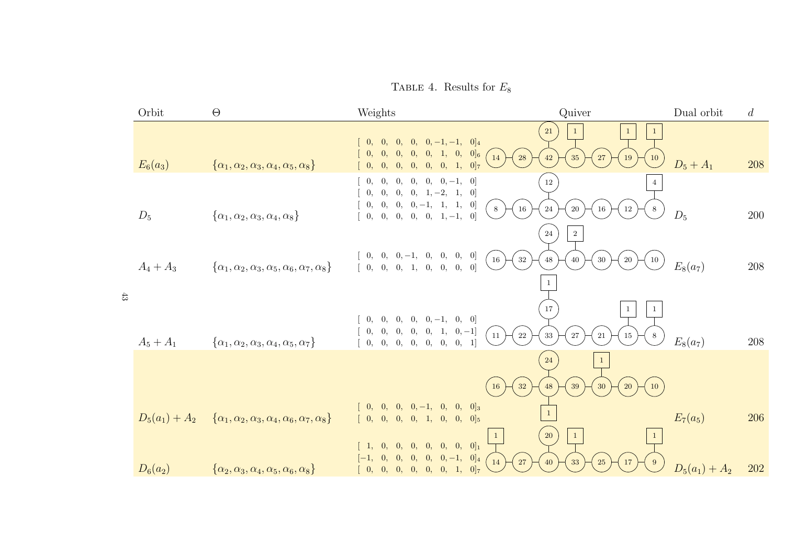TABLE 4. Results for  $E_8$ 

|        | Orbit                          | $\Theta$                                                                                                                                       | Weights                                                                                                                                                                                            | Quiver                                                             | Dual orbit       | $\overline{d}$ |
|--------|--------------------------------|------------------------------------------------------------------------------------------------------------------------------------------------|----------------------------------------------------------------------------------------------------------------------------------------------------------------------------------------------------|--------------------------------------------------------------------|------------------|----------------|
|        | $E_6(a_3)$                     | $\{\alpha_1, \alpha_2, \alpha_3, \alpha_4, \alpha_5, \alpha_8\}$                                                                               | $[0, 0, 0, 0, -1, -1, 0]_4$<br>$\theta$ ,<br>$[0, 0, 0, 1, 0, 0]_6$<br>0,<br>$\vert$ 14 )<br>28<br>[0, 0, 0, 0, 0, 1, 0]<br>$\hspace{0.1em}0.$                                                     | 21<br>42<br>35<br>27<br>19<br>10                                   | $D_5 + A_1$      | 208            |
|        | $D_5$                          | $\{\alpha_1, \alpha_2, \alpha_3, \alpha_4, \alpha_8\}$                                                                                         | $[0, 0, 0, 0, 0, -1, 0]$<br>$\theta$ .<br>$0, 0, 0, 1, -2, 1, 0$<br>$\theta$ ,<br>$0, 0, 0, 0, -1, 1, 1, 0]$<br>$\,$ 8 $\,$<br>$16\,$<br>$[0, 0, 0, 0, 0, 1, -1, 0]$                               | $12\,$<br>24<br>$20\,$<br>$16\,$<br>$12\,$<br>24<br>$\overline{2}$ | $D_5$            | $200\,$        |
| $43\,$ | $A_4 + A_3$                    | $\{\alpha_1, \alpha_2, \alpha_3, \alpha_5, \alpha_6, \alpha_7, \alpha_8\}$                                                                     | $[0, 0, 0, -1, 0, 0, 0, 0]$<br>$32\,$<br>16<br>[0, 0, 0, 1, 0, 0, 0, 0]                                                                                                                            | 48<br>$40\,$<br>$30\,$<br>20<br>10                                 | $E_8(a_7)$       | $208\,$        |
|        | $A_5 + A_1$                    | $\{\alpha_1, \alpha_2, \alpha_3, \alpha_4, \alpha_5, \alpha_7\}$                                                                               | $[0, 0, 0, -1, 0, 0]$<br>0,<br>$\theta$ ,<br>$\begin{bmatrix} 0, & 0, & 0, & 0, & 1, & 0, -1 \end{bmatrix}$<br>11<br>$22\,$<br>$0, \quad 0, \quad 0, \quad 0, \quad 0, \quad 0, \quad 0, \quad 1]$ | 17<br>33<br>27<br>21<br>15<br>8                                    | $E_8(a_7)$       | 208            |
|        |                                |                                                                                                                                                | 32<br>16<br>$[0, 0, 0, 0, -1, 0, 0, 0]_3$                                                                                                                                                          | 24<br>39<br>48<br>30<br>20<br>10                                   | $E_7(a_5)$       | 206            |
|        | $D_5(a_1) + A_2$<br>$D_6(a_2)$ | $\{\alpha_1, \alpha_2, \alpha_3, \alpha_4, \alpha_6, \alpha_7, \alpha_8\}$<br>$\{\alpha_2, \alpha_3, \alpha_4, \alpha_5, \alpha_6, \alpha_8\}$ | [0, 0, 0, 0, 1, 0, 0, 0]<br>$\mathbf{1}$<br>$[0, 0, 0, 0, 0, 0]_1$<br>0,<br>$[-1, 0, 0, 0, 0, 0, -1, 0]_4$<br>14<br>27<br>[0, 0, 0, 0, 0, 0, 1, 0]                                                 | <b>20</b><br>$\mathbf{1}$<br>33<br>40<br>25                        | $D_5(a_1) + A_2$ | 202            |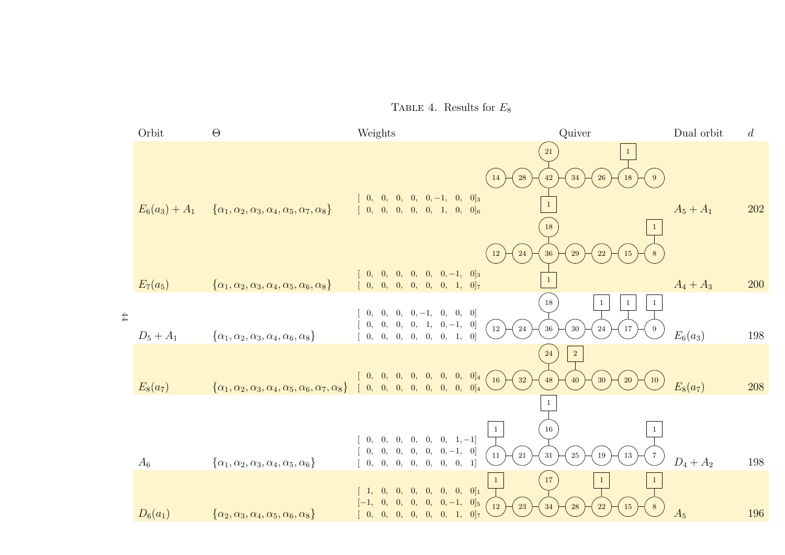TABLE 4. Results for  $E_8$ 

|        | Orbit            | $\Theta$                                                                                                                            | Weights                                                                                                                               | Quiver                                                                        | Dual orbit  | $\overline{d}$ |
|--------|------------------|-------------------------------------------------------------------------------------------------------------------------------------|---------------------------------------------------------------------------------------------------------------------------------------|-------------------------------------------------------------------------------|-------------|----------------|
|        | $E_6(a_3) + A_1$ | $\{\alpha_1, \alpha_2, \alpha_3, \alpha_4, \alpha_5, \alpha_7, \alpha_8\}$                                                          | 14<br>$[0, 0, 0, 0, 0, -1, 0, 0]$<br>[0, 0, 0, 0, 0, 1, 0, 0]                                                                         | 21<br>28<br>$42\,$<br>34<br><b>26</b><br>$18\,$<br>9<br>$\mathbf{1}$<br>18    | $A_5 + A_1$ | 202            |
|        | $E_7(a_5)$       | $\{\alpha_1, \alpha_2, \alpha_3, \alpha_4, \alpha_5, \alpha_6, \alpha_8\}$                                                          | $12\,$<br>$[0, 0, 0, 0, 0, 0, -1, 0]_3$<br>[0, 0, 0, 0, 0, 0, 1, 0]                                                                   | 24<br>$36\,$<br>$22\,$<br>29<br>15<br>$\mathbf{1}$                            | $A_4 + A_3$ | 200            |
| $44\,$ | $D_5 + A_1$      | $\{\alpha_1, \alpha_2, \alpha_3, \alpha_4, \alpha_6, \alpha_8\}$                                                                    | $[0, 0, 0, 0, -1, 0, 0, 0]$<br>$\begin{bmatrix} 0, & 0, & 0, & 0, & 1, & 0, -1, & 0 \end{bmatrix}$<br>12)<br>[0, 0, 0, 0, 0, 0, 1, 0] | 18<br>$\mathbf{1}$<br>$\mathbf{1}$<br>24<br>$36\,$<br>$30\,$<br>17<br>24<br>9 | $E_6(a_3)$  | 198            |
|        | $E_8(a_7)$       | $\left\{\alpha_1, \alpha_2, \alpha_3, \alpha_4, \alpha_5, \alpha_6, \alpha_7, \alpha_8\right\} \quad [0, 0, 0, 0, 0, 0, 0, 0, 0]_4$ | $\begin{bmatrix} 0, & 0, & 0, & 0, & 0, & 0, & 0, & 0 \end{bmatrix}$ 4<br>$\left(16\right)$                                           | $\sqrt{2}$<br>24<br>32<br>$48\,$<br>40<br>30<br><b>20</b><br>$10\,$           | $E_8(a_7)$  | 208            |
|        |                  |                                                                                                                                     | $\mathbf{1}$<br>$0, 0, 0, 0, 0, 0, 1, -1$                                                                                             | 1<br>16                                                                       |             |                |
|        | $A_6$            | $\{\alpha_1, \alpha_2, \alpha_3, \alpha_4, \alpha_5, \alpha_6\}$                                                                    | $0, 0, 0, 0, 0, 0, -1, 0]$<br>$11\,$<br>$0, \quad 0, \quad 0, \quad 0, \quad 0, \quad 0, \quad 0, \quad 1]$                           | $21\,$<br>13<br>$31\,$<br>$25\,$<br>19<br>$\overline{7}$                      | $D_4 + A_2$ | 198            |
|        | $D_6(a_1)$       | $\{\alpha_2, \alpha_3, \alpha_4, \alpha_5, \alpha_6, \alpha_8\}$                                                                    | $[0, 0, 0, 0, 0, 0, 0]_1$<br>1,<br>$[0, 0, 0, -1, 0]_5$<br>0, 0,<br>12<br>$[-0, 0, 0, 0, 0, 0, 1, 0]_7$                               | 17<br>$\mathbf{1}$<br>23<br>28<br>34<br>22<br>15<br>8                         | $A_5$       | 196            |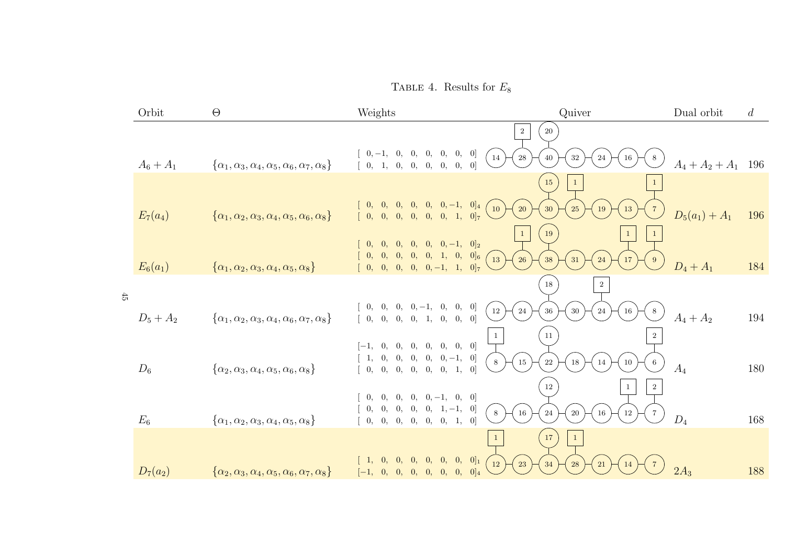TABLE 4. Results for  $E_8$ 

|        | Orbit       | $\Theta$                                                                   | Weights                                                                                                                                                    | Quiver                                                                                     | Dual orbit            | $\overline{d}$ |
|--------|-------------|----------------------------------------------------------------------------|------------------------------------------------------------------------------------------------------------------------------------------------------------|--------------------------------------------------------------------------------------------|-----------------------|----------------|
|        |             |                                                                            |                                                                                                                                                            | $\sqrt{2}$<br>$20\,$                                                                       |                       |                |
|        | $A_6 + A_1$ | $\{\alpha_1, \alpha_3, \alpha_4, \alpha_5, \alpha_6, \alpha_7, \alpha_8\}$ | $0, -1, 0, 0, 0, 0, 0, 0]$<br>14<br>$\left[\begin{array}{cccccc} 0, & 1, & 0, & 0, & 0, & 0, & 0, & 0 \end{array}\right]$                                  | $\bf 28$<br>$32\,$<br>40<br>24<br>16<br>8                                                  | $A_4 + A_2 + A_1$ 196 |                |
|        | $E_7(a_4)$  | $\{\alpha_1, \alpha_2, \alpha_3, \alpha_4, \alpha_5, \alpha_6, \alpha_8\}$ | $[0, 0, 0, 0, 0, 0, -1, 0]_4$<br>10<br>[0, 0, 0, 0, 0, 0, 1, 0]                                                                                            | 15<br>$20\,$<br>30<br>25<br>19<br>13                                                       | $D_5(a_1) + A_1$      | 196            |
|        | $E_6(a_1)$  | $\{\alpha_1, \alpha_2, \alpha_3, \alpha_4, \alpha_5, \alpha_8\}$           | $[0, 0, 0, -1, 0]_2$<br>$\theta$ .<br>$\overline{0}$ .<br>$\theta$ .<br>$[0, 0, 0, 0, 1, 0, 0]$ 6<br>0,<br>$\left  \right $ 13<br>$[0, 0, 0, 0, -1, 1, 0]$ | 19<br>$\mathbf{1}$<br>$\mathbf{1}$<br>26<br>$38\,$<br>24<br>$17\,$<br>31<br>9 <sup>°</sup> | $D_4 + A_1$           | 184            |
| $45\,$ |             |                                                                            |                                                                                                                                                            | 18<br>2                                                                                    |                       |                |
|        | $D_5 + A_2$ | $\{\alpha_1, \alpha_2, \alpha_3, \alpha_4, \alpha_6, \alpha_7, \alpha_8\}$ | $0, 0, -1, 0, 0, 0]$<br>0, 0,<br>$12\,$<br>[0, 0, 0, 0, 1, 0, 0, 0]                                                                                        | $\sqrt{24}$<br>$36\,$<br>$30\,$<br>24<br>16<br>8                                           | $A_4 + A_2$           | 194            |
|        |             |                                                                            | $\mathbf{1}$<br>[0, 0, 0, 0, 0, 0]<br>0,<br>$[-1,$<br>$\begin{bmatrix} 0, & 0, & 0, & 0, & -1, & 0 \end{bmatrix}$<br>1,<br>$8\,$                           | 11<br>$\overline{2}$<br>$15\,$<br>$22\,$<br>18<br>$10\,$<br>14<br>6                        |                       |                |
|        | $D_6$       | $\{\alpha_2, \alpha_3, \alpha_4, \alpha_5, \alpha_6, \alpha_8\}$           | [0, 0, 0, 0, 0, 1, 0]<br>$\theta$ ,<br>$[0, 0, 0, -1, 0, 0]$<br>0,<br>$\theta$                                                                             | 12<br>$2\,$<br>1                                                                           | $A_4$                 | 180            |
|        | $E_6$       | $\{\alpha_1, \alpha_2, \alpha_3, \alpha_4, \alpha_5, \alpha_8\}$           | $[0, 0, 0, 1, -1, 0]$<br>0,<br>0,<br>8<br>0, 0, 0, 0, 0, 0, 1, 0                                                                                           | $16\,$<br>$\sqrt{24}$<br>$16\,$<br>$12\,$<br>$20\,$<br>$7\phantom{.0}$                     | $D_4$                 | 168            |
|        |             |                                                                            |                                                                                                                                                            | 17<br>$\mathbf{1}$                                                                         |                       |                |
|        | $D_7(a_2)$  | $\{\alpha_2, \alpha_3, \alpha_4, \alpha_5, \alpha_6, \alpha_7, \alpha_8\}$ | $[0, 0, 0, 0]_1$<br>$\Omega$ .<br><b>12</b><br>$[0, 0, 0, 0, 0, 0]_4$<br>$\vert 0, \vert$<br>$[-1,$                                                        | 23<br>34<br>28<br>21<br>14                                                                 | $2A_3$                | 188            |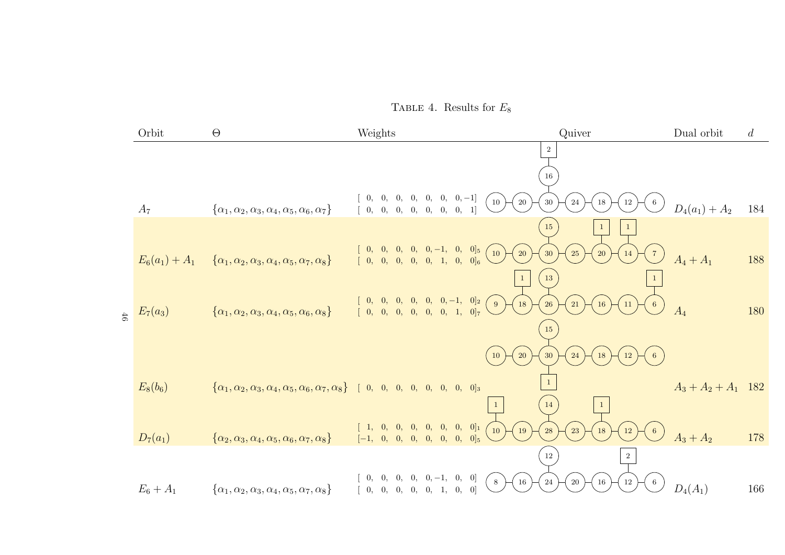TABLE 4. Results for  $E_8$ 

|        | Orbit            | $\Theta$                                                                                                                    | Weights                                                                                                                                                                                        | Quiver                                             | Dual orbit            | $\overline{d}$ |
|--------|------------------|-----------------------------------------------------------------------------------------------------------------------------|------------------------------------------------------------------------------------------------------------------------------------------------------------------------------------------------|----------------------------------------------------|-----------------------|----------------|
|        |                  |                                                                                                                             |                                                                                                                                                                                                | $\overline{2}$                                     |                       |                |
|        |                  |                                                                                                                             |                                                                                                                                                                                                | 16                                                 |                       |                |
|        | $A_7$            | $\{\alpha_1, \alpha_2, \alpha_3, \alpha_4, \alpha_5, \alpha_6, \alpha_7\}$                                                  | $\begin{bmatrix} 0, & 0, & 0, & 0, & 0, & 0, & -1]\\ 0, & 0, & 0, & 0, & 0, & 0, & 0, & 1 \end{bmatrix}$<br>10)<br>$20\,$                                                                      | $30\,$<br>$\sqrt{24}$<br>$12\,$<br>18              | $D_4(a_1) + A_2$      | 184            |
|        |                  |                                                                                                                             |                                                                                                                                                                                                | 15                                                 |                       |                |
|        | $E_6(a_1) + A_1$ | $\{\alpha_1, \alpha_2, \alpha_3, \alpha_4, \alpha_5, \alpha_7, \alpha_8\}$                                                  | $\left[ \begin{array}{cccccc} 0, & 0, & 0, & 0, & 0, -1, & 0, & 0]_5 \\ 0, & 0, & 0, & 0, & 0, & 1, & 0, & 0]_6 \end{array} \right.$<br>$\left( \begin{array}{c} 10 \end{array} \right)$<br>20 | 25<br>30<br>20<br>14                               | $A_4 + A_1$           | 188            |
|        |                  |                                                                                                                             |                                                                                                                                                                                                | 13                                                 |                       |                |
| $46\,$ | $E_7(a_3)$       | $\{\alpha_1, \alpha_2, \alpha_3, \alpha_4, \alpha_5, \alpha_6, \alpha_8\}$                                                  | $\left[ \begin{array}{cccccc} 0, & 0, & 0, & 0, & 0, & -1, & 0]_{2} \\ 0, & 0, & 0, & 0, & 0, & 0, & 1, & 0]_{7} \end{array} \right]$<br>$\left( \begin{array}{c} 9 \end{array} \right)$<br>18 | <b>26</b><br>$21\,$<br>16<br>11<br>$6\phantom{.}6$ | $A_4$                 | 180            |
|        |                  |                                                                                                                             |                                                                                                                                                                                                | 15                                                 |                       |                |
|        |                  |                                                                                                                             | 20<br>10                                                                                                                                                                                       | $12\,$<br>30<br>24<br>18<br>6                      |                       |                |
|        | $E_8(b_6)$       | $\{\alpha_1, \alpha_2, \alpha_3, \alpha_4, \alpha_5, \alpha_6, \alpha_7, \alpha_8\}$ [ 0, 0, 0, 0, 0, 0, 0, 0] <sub>3</sub> |                                                                                                                                                                                                |                                                    | $A_3 + A_2 + A_1$ 182 |                |
|        |                  |                                                                                                                             | $\vert 1 \vert$                                                                                                                                                                                | <sup>14</sup>                                      |                       |                |
|        | $D_7(a_1)$       | $\{\alpha_2, \alpha_3, \alpha_4, \alpha_5, \alpha_6, \alpha_7, \alpha_8\}$                                                  | $\left[\begin{array}{cccccc} 1, & 0, & 0, & 0, & 0, & 0, & 0 \end{array}\right]$<br>$19\,$<br>10<br>$[-1, 0, 0, 0, 0, 0, 0, 0]$                                                                | $23\,$<br>${\bf 28}$<br><b>12</b><br>18            | $A_3 + A_2$           | 178            |
|        |                  |                                                                                                                             |                                                                                                                                                                                                | $12\,$<br>$\overline{2}$                           |                       |                |
|        | $E_6 + A_1$      | $\{\alpha_1, \alpha_2, \alpha_3, \alpha_4, \alpha_5, \alpha_7, \alpha_8\}$                                                  | $0, 0, 0, 0, 0, -1, 0, 0]$<br>$\,$ 8 $\,$<br>$16\,$<br>[0, 0, 0, 0, 0, 1, 0, 0]                                                                                                                | $24\,$<br>$20\,$<br>16<br>12<br>-6                 | $D_4(A_1)$            | 166            |
|        |                  |                                                                                                                             |                                                                                                                                                                                                |                                                    |                       |                |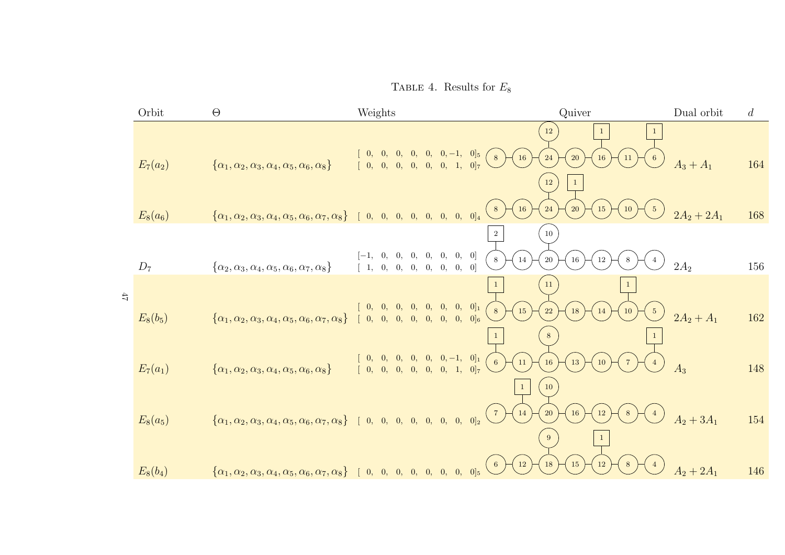TABLE 4. Results for  $E_8$ 

|        | Orbit           | $\Theta$                                                                                                                    | Weights                                                                                                                          | Quiver                                                                                     | Dual orbit    | $\overline{d}$ |
|--------|-----------------|-----------------------------------------------------------------------------------------------------------------------------|----------------------------------------------------------------------------------------------------------------------------------|--------------------------------------------------------------------------------------------|---------------|----------------|
|        | $E_7(a_2)$      | $\{\alpha_1, \alpha_2, \alpha_3, \alpha_4, \alpha_5, \alpha_6, \alpha_8\}$                                                  | $[0, 0, -1, 0]_5$<br>$\theta$ ,<br>$\mathbf{0}$<br>[0, 1, 0]<br>0, 0, 0,<br>0,<br>$\begin{bmatrix} 0, \end{bmatrix}$             | $12\,$<br>16<br>8<br>24<br>20<br>16<br>$11\,$<br>$6\overline{6}$<br>$12\,$<br>$\mathbf{1}$ | $A_3 + A_1$   | 164            |
|        | $E_8(a_6)$      | $\{\alpha_1, \alpha_2, \alpha_3, \alpha_4, \alpha_5, \alpha_6, \alpha_7, \alpha_8\}$ [ 0, 0, 0, 0, 0, 0, 0, 0] <sup>4</sup> |                                                                                                                                  | 16<br>24<br>20<br>8 <sup>8</sup><br>15<br>10                                               | $2A_2 + 2A_1$ | 168            |
|        | $\mathcal{D}_7$ | $\{\alpha_2, \alpha_3, \alpha_4, \alpha_5, \alpha_6, \alpha_7, \alpha_8\}$                                                  | [0, 0, 0]<br>$\overline{0}$ ,<br>[0]<br>0, 0,<br>0, 0,<br>0,<br>$\mathbf{0},$                                                    | $\overline{2}$<br>$10\,$<br>14<br>$20\,$<br>$\,$ 8 $\,$<br>$16\,$<br>$12\,$<br>8           | $2A_2$        | 156            |
| $47\,$ |                 |                                                                                                                             |                                                                                                                                  | $11\,$                                                                                     |               |                |
|        | $E_8(b_5)$      | $\{\alpha_1, \alpha_2, \alpha_3, \alpha_4, \alpha_5, \alpha_6, \alpha_7, \alpha_8\}$                                        | $[0, 0, 0]_1$<br>$\theta$ ,<br>$\vert 0, \vert$<br>$\vert 0, \vert$<br>$[0, 0]_6$<br>0, 0,<br>0,<br>$\overline{0}$ ,<br>0,<br>0, | 15<br>$8\phantom{.}8$<br>22<br>$18\,$<br><sup>10</sup><br>5 <sup>5</sup><br>14             | $2A_2 + A_1$  | 162            |
|        | $E_7(a_1)$      | $\{\alpha_1, \alpha_2, \alpha_3, \alpha_4, \alpha_5, \alpha_6, \alpha_8\}$                                                  | $[0, 0, -1, 0]_1$<br>0, 0, 0, 0,<br>$\boxed{0, 1}$<br>0 <sub>7</sub><br>$\mathbf{0},$                                            | 6<br>$11\,$<br>16<br>13<br>10<br>10                                                        | $A_3$         | 148            |
|        | $E_8(a_5)$      | $\{\alpha_1, \alpha_2, \alpha_3, \alpha_4, \alpha_5, \alpha_6, \alpha_7, \alpha_8\}$ [ 0, 0, 0, 0, 0, 0, 0, 0] <sup>2</sup> |                                                                                                                                  | <sup>14</sup><br>20<br>16<br>$\begin{pmatrix} 7 \end{pmatrix}$<br>12<br>9                  | $A_2 + 3A_1$  | 154            |
|        | $E_8(b_4)$      | $\{\alpha_1, \alpha_2, \alpha_3, \alpha_4, \alpha_5, \alpha_6, \alpha_7, \alpha_8\}$ [ 0, 0, 0, 0, 0, 0, 0, 0] <sub>5</sub> |                                                                                                                                  | <b>12</b><br>18<br><b>12</b><br>15<br>8<br>$6\phantom{.0}$                                 | $A_2 + 2A_1$  | 146            |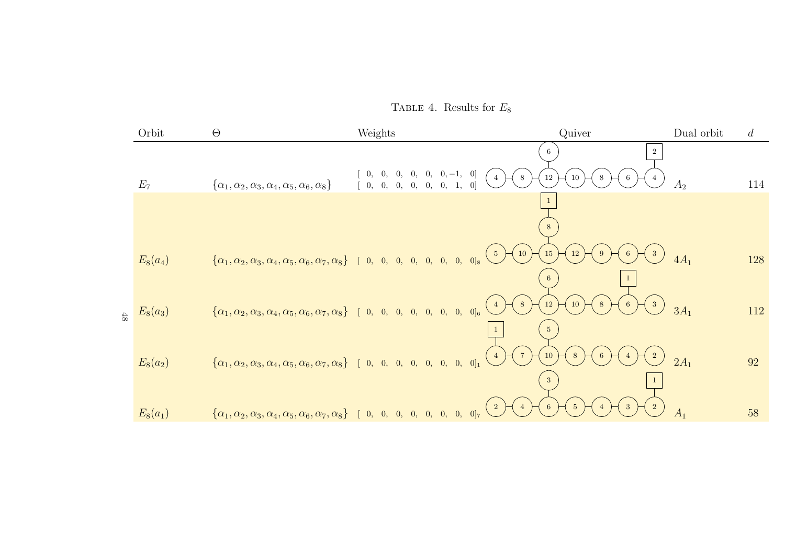TABLE 4. Results for  $E_8$ 

|        | Orbit      | $\Theta$                                                                                                                                                                            | Weights                                           | Quiver                                            | Dual orbit     | $\overline{d}$ |
|--------|------------|-------------------------------------------------------------------------------------------------------------------------------------------------------------------------------------|---------------------------------------------------|---------------------------------------------------|----------------|----------------|
|        |            |                                                                                                                                                                                     | $[0, 0, -1, 0]$<br>0,<br>0,<br>$\{0, \}$<br>$8\,$ | $\overline{2}$<br>6.<br>12<br>10<br>6<br>8        |                |                |
|        | $E_7$      | $\{\alpha_1, \alpha_2, \alpha_3, \alpha_4, \alpha_5, \alpha_6, \alpha_8\}$                                                                                                          | [0, 0, 0, 0, 0, 0, 1, 0]                          |                                                   | A <sub>2</sub> | 114            |
|        |            |                                                                                                                                                                                     |                                                   | 8                                                 |                |                |
|        | $E_8(a_4)$ | $\{\alpha_1, \alpha_2, \alpha_3, \alpha_4, \alpha_5, \alpha_6, \alpha_7, \alpha_8\}$ [ 0, 0, 0, 0, 0, 0, 0, 0]s                                                                     | 10<br>$5\phantom{.0}$                             | 15<br>12<br>$6\phantom{.}6$<br>9<br>3<br>6        | $4A_1$         | 128            |
| $48\,$ | $E_8(a_3)$ | $\left\{\alpha_1, \alpha_2, \alpha_3, \alpha_4, \alpha_5, \alpha_6, \alpha_7, \alpha_8\right\} \quad [ \begin{array}{cccccccc} 0, & 0, & 0, & 0, & 0, & 0, & 0 \end{array} \right.$ | 8 <sup>8</sup><br>$\overline{4}$                  | $12\,$<br>$10\,$<br>8<br>6<br>3<br>5 <sup>5</sup> | $3A_1$         | 112            |
|        | $E_8(a_2)$ | $\{\alpha_1, \alpha_2, \alpha_3, \alpha_4, \alpha_5, \alpha_6, \alpha_7, \alpha_8\}$ [ 0, 0, 0, 0, 0, 0, 0, 0] <sup>1</sup>                                                         | $7\overline{ }$                                   | 10<br>$8\phantom{.}8$<br>6<br>$\overline{4}$<br>3 | $2A_1$         | 92             |
|        | $E_8(a_1)$ | $\{\alpha_1, \alpha_2, \alpha_3, \alpha_4, \alpha_5, \alpha_6, \alpha_7, \alpha_8\}$ [ 0, 0, 0, 0, 0, 0, 0, 0] <sup>7</sup>                                                         | $\overline{2}$                                    | 6<br>3<br>$5\overline{)}$                         | A <sub>1</sub> | 58             |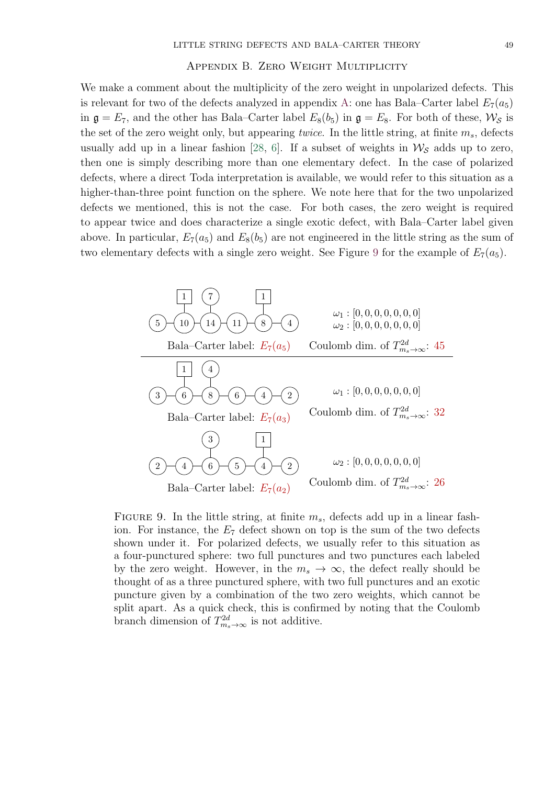# Appendix B. Zero Weight Multiplicity

<span id="page-48-0"></span>We make a comment about the multiplicity of the zero weight in unpolarized defects. This is relevant for two of the defects analyzed in appendix [A:](#page-23-0) one has Bala–Carter label  $E_7(a_5)$ in  $\mathfrak{g} = E_7$ , and the other has Bala–Carter label  $E_8(b_5)$  in  $\mathfrak{g} = E_8$ . For both of these,  $\mathcal{W}_S$  is the set of the zero weight only, but appearing *twice*. In the little string, at finite  $m_s$ , defects usually add up in a linear fashion [\[28,](#page-50-10) [6\]](#page-49-6). If a subset of weights in  $\mathcal{W}_{\mathcal{S}}$  adds up to zero, then one is simply describing more than one elementary defect. In the case of polarized defects, where a direct Toda interpretation is available, we would refer to this situation as a higher-than-three point function on the sphere. We note here that for the two unpolarized defects we mentioned, this is not the case. For both cases, the zero weight is required to appear twice and does characterize a single exotic defect, with Bala–Carter label given above. In particular,  $E_7(a_5)$  and  $E_8(b_5)$  are not engineered in the little string as the sum of two elementary defects with a single zero weight. See Figure [9](#page-48-1) for the example of  $E_7(a_5)$ .

<span id="page-48-1"></span>

FIGURE 9. In the little string, at finite  $m_s$ , defects add up in a linear fashion. For instance, the  $E_7$  defect shown on top is the sum of the two defects shown under it. For polarized defects, we usually refer to this situation as a four-punctured sphere: two full punctures and two punctures each labeled by the zero weight. However, in the  $m_s \to \infty$ , the defect really should be thought of as a three punctured sphere, with two full punctures and an exotic puncture given by a combination of the two zero weights, which cannot be split apart. As a quick check, this is confirmed by noting that the Coulomb branch dimension of  $T^{2d}_{m_s \to \infty}$  is not additive.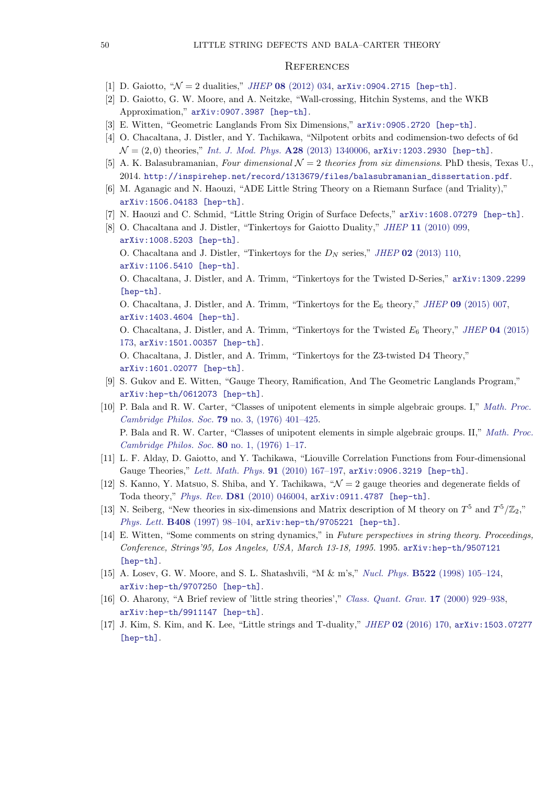# <span id="page-49-0"></span>**REFERENCES**

- <span id="page-49-1"></span>[1] D. Gaiotto, " $\mathcal{N} = 2$  dualities," JHEP 08 [\(2012\) 034,](http://dx.doi.org/10.1007/JHEP08(2012)034) [arXiv:0904.2715 \[hep-th\]](http://arxiv.org/abs/0904.2715).
- <span id="page-49-2"></span>[2] D. Gaiotto, G. W. Moore, and A. Neitzke, "Wall-crossing, Hitchin Systems, and the WKB Approximation," [arXiv:0907.3987 \[hep-th\]](http://arxiv.org/abs/0907.3987).
- <span id="page-49-3"></span>[3] E. Witten, "Geometric Langlands From Six Dimensions," [arXiv:0905.2720 \[hep-th\]](http://arxiv.org/abs/0905.2720).
- <span id="page-49-4"></span>[4] O. Chacaltana, J. Distler, and Y. Tachikawa, "Nilpotent orbits and codimension-two defects of 6d  $\mathcal{N} = (2, 0)$  theories," *[Int. J. Mod. Phys.](http://dx.doi.org/10.1142/S0217751X1340006X)* **A28** (2013) 1340006, [arXiv:1203.2930 \[hep-th\]](http://arxiv.org/abs/1203.2930).
- <span id="page-49-5"></span>[5] A. K. Balasubramanian, Four dimensional  $\mathcal{N}=2$  theories from six dimensions. PhD thesis, Texas U., 2014. [http://inspirehep.net/record/1313679/files/balasubramanian\\_dissertation.pdf](http://inspirehep.net/record/1313679/files/balasubramanian_dissertation.pdf).
- <span id="page-49-6"></span>[6] M. Aganagic and N. Haouzi, "ADE Little String Theory on a Riemann Surface (and Triality)," [arXiv:1506.04183 \[hep-th\]](http://arxiv.org/abs/1506.04183).
- <span id="page-49-7"></span>[7] N. Haouzi and C. Schmid, "Little String Origin of Surface Defects," [arXiv:1608.07279 \[hep-th\]](http://arxiv.org/abs/1608.07279).
- <span id="page-49-8"></span>[8] O. Chacaltana and J. Distler, "Tinkertoys for Gaiotto Duality," JHEP 11 [\(2010\) 099,](http://dx.doi.org/10.1007/JHEP11(2010)099) [arXiv:1008.5203 \[hep-th\]](http://arxiv.org/abs/1008.5203). O. Chacaltana and J. Distler, "Tinkertoys for the  $D<sub>N</sub>$  series," JHEP 02 [\(2013\) 110,](http://dx.doi.org/10.1007/JHEP02(2013)110) [arXiv:1106.5410 \[hep-th\]](http://arxiv.org/abs/1106.5410). O. Chacaltana, J. Distler, and A. Trimm, "Tinkertoys for the Twisted D-Series," [arXiv:1309.2299](http://arxiv.org/abs/1309.2299) [\[hep-th\]](http://arxiv.org/abs/1309.2299). O. Chacaltana, J. Distler, and A. Trimm, "Tinkertoys for the  $E_6$  theory," JHEP 09 [\(2015\) 007,](http://dx.doi.org/10.1007/JHEP09(2015)007) [arXiv:1403.4604 \[hep-th\]](http://arxiv.org/abs/1403.4604). O. Chacaltana, J. Distler, and A. Trimm, "Tinkertoys for the Twisted  $E_6$  Theory," JHEP 04 [\(2015\)](http://dx.doi.org/10.1007/JHEP04(2015)173) [173,](http://dx.doi.org/10.1007/JHEP04(2015)173) [arXiv:1501.00357 \[hep-th\]](http://arxiv.org/abs/1501.00357). O. Chacaltana, J. Distler, and A. Trimm, "Tinkertoys for the Z3-twisted D4 Theory," [arXiv:1601.02077 \[hep-th\]](http://arxiv.org/abs/1601.02077).
- <span id="page-49-9"></span>[9] S. Gukov and E. Witten, "Gauge Theory, Ramification, And The Geometric Langlands Program," [arXiv:hep-th/0612073 \[hep-th\]](http://arxiv.org/abs/hep-th/0612073).
- <span id="page-49-10"></span>[10] P. Bala and R. W. Carter, "Classes of unipotent elements in simple algebraic groups. I," [Math. Proc.](http://dx.doi.org/10.1017/S0305004100052403) [Cambridge Philos. Soc.](http://dx.doi.org/10.1017/S0305004100052403) 79 no. 3, (1976) 401–425. P. Bala and R. W. Carter, "Classes of unipotent elements in simple algebraic groups. II," [Math. Proc.](http://dx.doi.org/10.1017/S0305004100052610) [Cambridge Philos. Soc.](http://dx.doi.org/10.1017/S0305004100052610) 80 no. 1, (1976) 1–17.
- <span id="page-49-11"></span>[11] L. F. Alday, D. Gaiotto, and Y. Tachikawa, "Liouville Correlation Functions from Four-dimensional Gauge Theories," [Lett. Math. Phys.](http://dx.doi.org/10.1007/s11005-010-0369-5) 91 (2010) 167–197, [arXiv:0906.3219 \[hep-th\]](http://arxiv.org/abs/0906.3219).
- <span id="page-49-12"></span>[12] S. Kanno, Y. Matsuo, S. Shiba, and Y. Tachikawa,  $\mathcal{N} = 2$  gauge theories and degenerate fields of Toda theory," Phys. Rev. D81 [\(2010\) 046004,](http://dx.doi.org/10.1103/PhysRevD.81.046004) [arXiv:0911.4787 \[hep-th\]](http://arxiv.org/abs/0911.4787).
- <span id="page-49-13"></span>[13] N. Seiberg, "New theories in six-dimensions and Matrix description of M theory on  $T^5$  and  $T^5/\mathbb{Z}_2$ ," Phys. Lett. B408 (1997) 98-104, [arXiv:hep-th/9705221 \[hep-th\]](http://arxiv.org/abs/hep-th/9705221).
- <span id="page-49-14"></span>[14] E. Witten, "Some comments on string dynamics," in Future perspectives in string theory. Proceedings, Conference, Strings'95, Los Angeles, USA, March 13-18, 1995. 1995. [arXiv:hep-th/9507121](http://arxiv.org/abs/hep-th/9507121) [\[hep-th\]](http://arxiv.org/abs/hep-th/9507121).
- <span id="page-49-15"></span>[15] A. Losev, G. W. Moore, and S. L. Shatashvili, "M & m's," Nucl. Phys. B522 [\(1998\) 105–124,](http://dx.doi.org/10.1016/S0550-3213(98)00262-4) [arXiv:hep-th/9707250 \[hep-th\]](http://arxiv.org/abs/hep-th/9707250).
- <span id="page-49-16"></span>[16] O. Aharony, "A Brief review of 'little string theories'," [Class. Quant. Grav.](http://dx.doi.org/10.1088/0264-9381/17/5/302) 17 (2000) 929–938, [arXiv:hep-th/9911147 \[hep-th\]](http://arxiv.org/abs/hep-th/9911147).
- <span id="page-49-17"></span>[17] J. Kim, S. Kim, and K. Lee, "Little strings and T-duality," JHEP 02 [\(2016\) 170,](http://dx.doi.org/10.1007/JHEP02(2016)170) [arXiv:1503.07277](http://arxiv.org/abs/1503.07277) [\[hep-th\]](http://arxiv.org/abs/1503.07277).